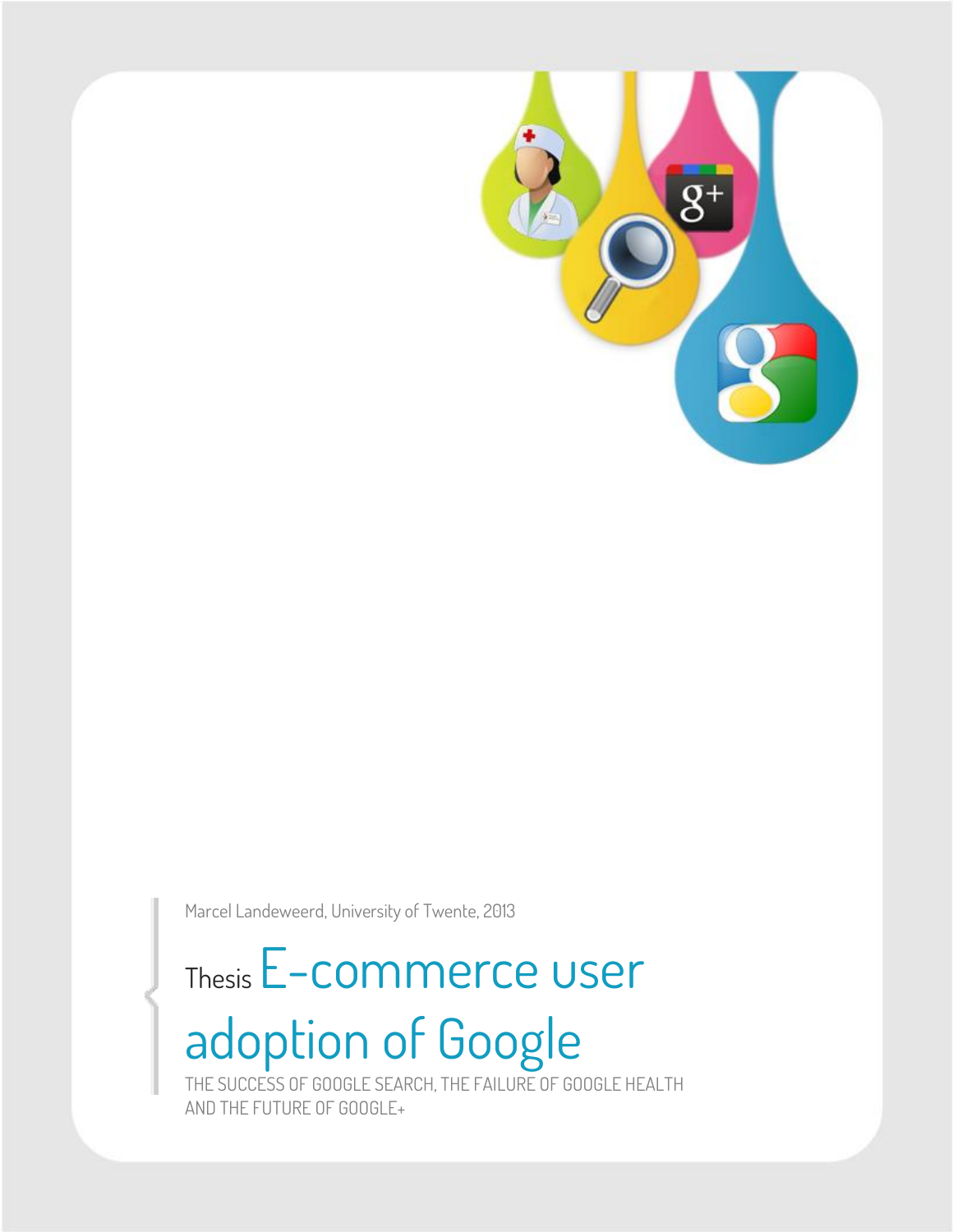

Marcel Landeweerd, University of Twente, 2013

Thesis E-commerce user adoption of Google

THE SUCCESS OF GOOGLE SEARCH, THE FAILURE OF GOOGLE HEALTH AND THE FUTURE OF GOOGLE+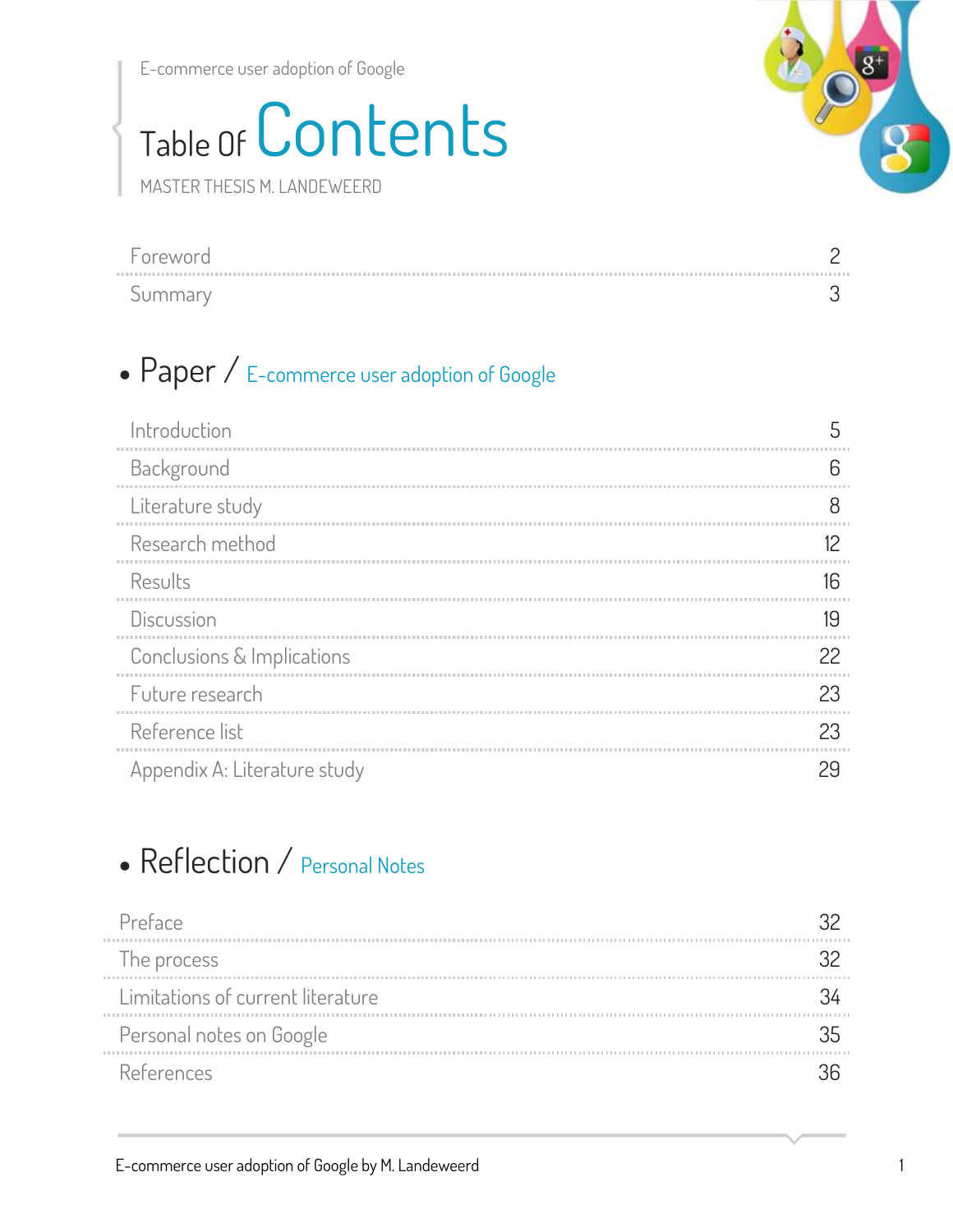# Table Of Contents



MASTER THESIS M. LANDEWEERD

| t oreword |  |
|-----------|--|
| Summarv   |  |

# • Paper / E-commerce user adoption of Google

| Introduction                 |    |
|------------------------------|----|
| Background                   |    |
| Literature study             |    |
| Research method              |    |
| Results                      | lБ |
| Discussion                   |    |
| Conclusions & Implications   |    |
| Future research              |    |
| Reference list               |    |
| Appendix A: Literature study |    |

# • Reflection / Personal Notes

| Preface                           |  |
|-----------------------------------|--|
| The process                       |  |
| Limitations of current literature |  |
| Personal notes on Google          |  |
| References                        |  |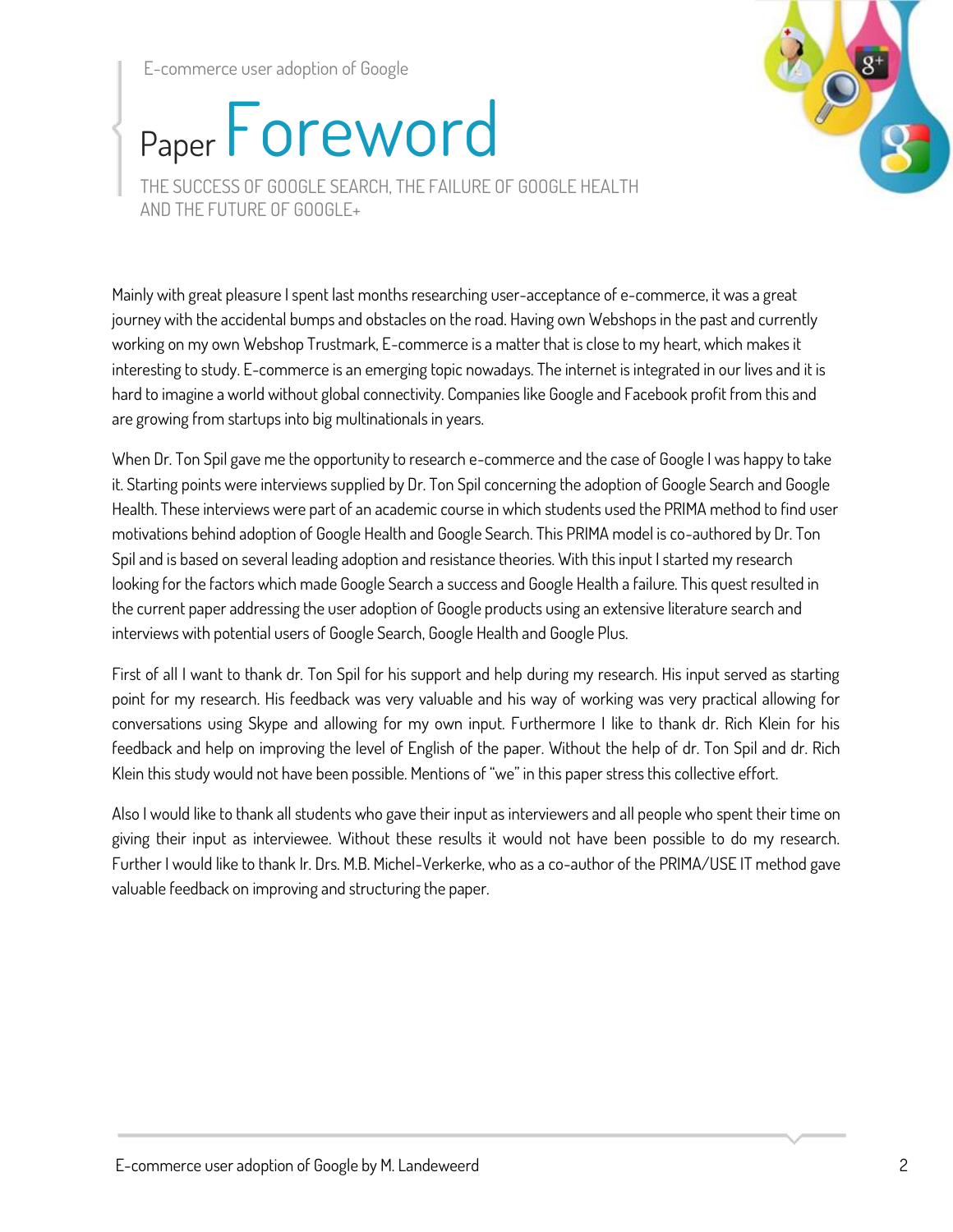E-commerce user adoption of Google

# Paper Foreword

THE SUCCESS OF GOOGLE SEARCH, THE FAILURE OF GOOGLE HEALTH AND THE FUTURE OF GOOGLE+

Mainly with great pleasure I spent last months researching user-acceptance of e-commerce, it was a great journey with the accidental bumps and obstacles on the road. Having own Webshops in the past and currently working on my own Webshop Trustmark, E-commerce is a matter that is close to my heart, which makes it interesting to study. E-commerce is an emerging topic nowadays. The internet is integrated in our lives and it is hard to imagine a world without global connectivity. Companies like Google and Facebook profit from this and are growing from startups into big multinationals in years.

When Dr. Ton Spil gave me the opportunity to research e-commerce and the case of Google I was happy to take it. Starting points were interviews supplied by Dr. Ton Spil concerning the adoption of Google Search and Google Health. These interviews were part of an academic course in which students used the PRIMA method to find user motivations behind adoption of Google Health and Google Search. This PRIMA model is co-authored by Dr. Ton Spil and is based on several leading adoption and resistance theories. With this input I started my research looking for the factors which made Google Search a success and Google Health a failure. This quest resulted in the current paper addressing the user adoption of Google products using an extensive literature search and interviews with potential users of Google Search, Google Health and Google Plus.

First of all I want to thank dr. Ton Spil for his support and help during my research. His input served as starting point for my research. His feedback was very valuable and his way of working was very practical allowing for conversations using Skype and allowing for my own input. Furthermore I like to thank dr. Rich Klein for his feedback and help on improving the level of English of the paper. Without the help of dr. Ton Spil and dr. Rich Klein this study would not have been possible. Mentions of "we" in this paper stress this collective effort.

Also I would like to thank all students who gave their input as interviewers and all people who spent their time on giving their input as interviewee. Without these results it would not have been possible to do my research. Further I would like to thank Ir. Drs. M.B. Michel-Verkerke, who as a co-author of the PRIMA/USE IT method gave valuable feedback on improving and structuring the paper.

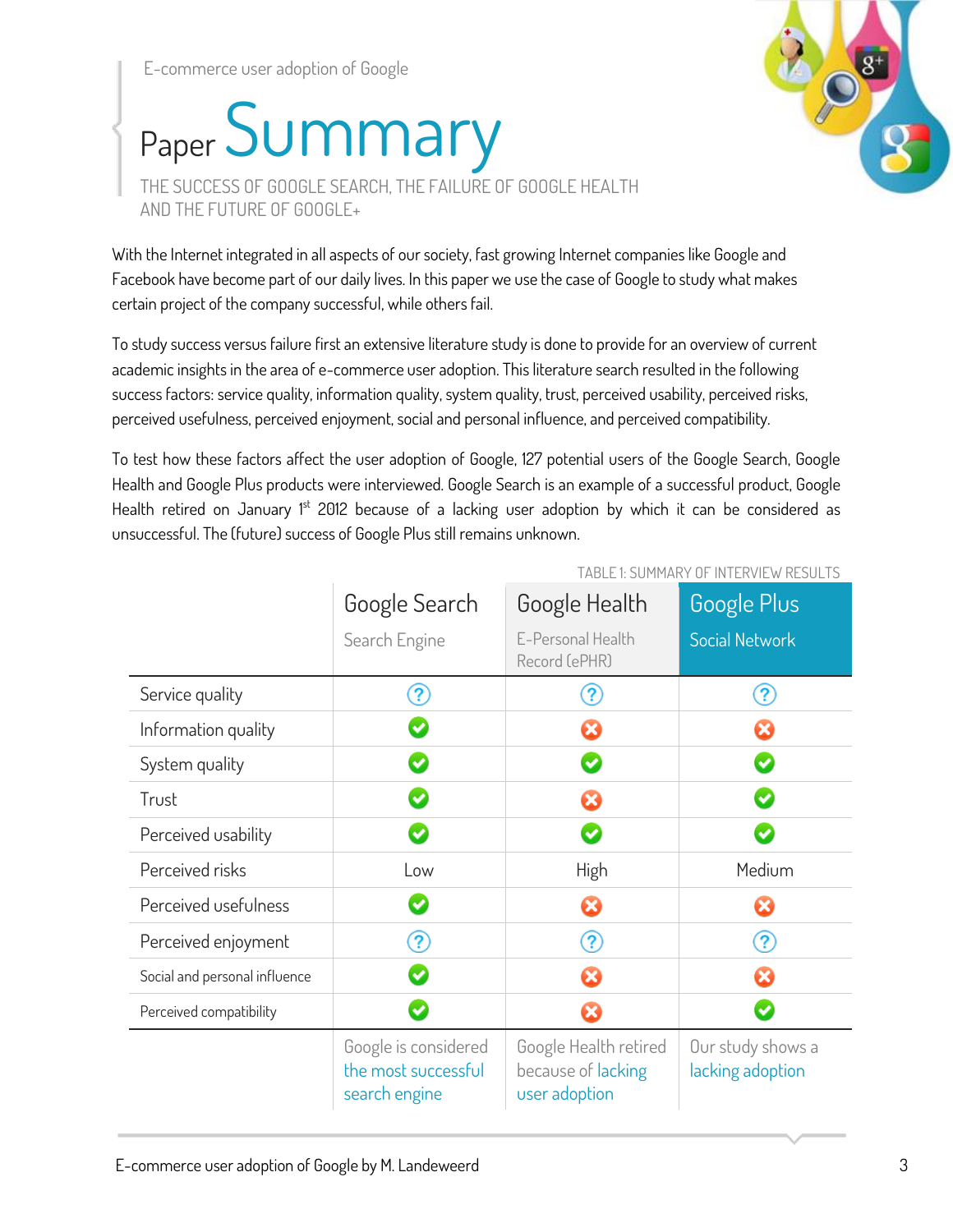E-commerce user adoption of Google

# Paper Summary THE SUCCESS OF GOOGLE SEARCH, THE FAILURE OF GOOGLE HEALTH

AND THE FUTURE OF GOOGLE+

With the Internet integrated in all aspects of our society, fast growing Internet companies like Google and Facebook have become part of our daily lives. In this paper we use the case of Google to study what makes certain project of the company successful, while others fail.

To study success versus failure first an extensive literature study is done to provide for an overview of current academic insights in the area of e-commerce user adoption. This literature search resulted in the following success factors: service quality, information quality, system quality, trust, perceived usability, perceived risks, perceived usefulness, perceived enjoyment, social and personal influence, and perceived compatibility.

To test how these factors affect the user adoption of Google, 127 potential users of the Google Search, Google Health and Google Plus products were interviewed. Google Search is an example of a successful product, Google Health retired on January 1<sup>st</sup> 2012 because of a lacking user adoption by which it can be considered as unsuccessful. The (future) success of Google Plus still remains unknown.

|                               | Google Search                                                | Google Health                                                | <b>Google Plus</b>                    |
|-------------------------------|--------------------------------------------------------------|--------------------------------------------------------------|---------------------------------------|
|                               | Search Engine                                                | E-Personal Health<br>Record (ePHR)                           | Social Network                        |
| Service quality               | $\overline{\mathbf{?}}$                                      | ?                                                            | ( ? )                                 |
| Information quality           | $\checkmark$                                                 | ශ                                                            | ශ                                     |
| System quality                | է                                                            | Ø                                                            | Ø                                     |
| Trust                         | Ø                                                            | ශ                                                            | Ø                                     |
| Perceived usability           | Ø                                                            | Ø                                                            | Ø                                     |
| Perceived risks               | Low                                                          | High                                                         | Medium                                |
| Perceived usefulness          | ✓                                                            | ပ                                                            | ×                                     |
| Perceived enjoyment           | ?)                                                           | ?                                                            | ?                                     |
| Social and personal influence | ✔                                                            | x                                                            | ය                                     |
| Perceived compatibility       | $\blacktriangledown$                                         | ය                                                            | Ø                                     |
|                               | Google is considered<br>the most successful<br>search engine | Google Health retired<br>because of lacking<br>user adoption | Our study shows a<br>lacking adoption |

#### TABLE 1: SUMMARY OF INTERVIEW RESULTS

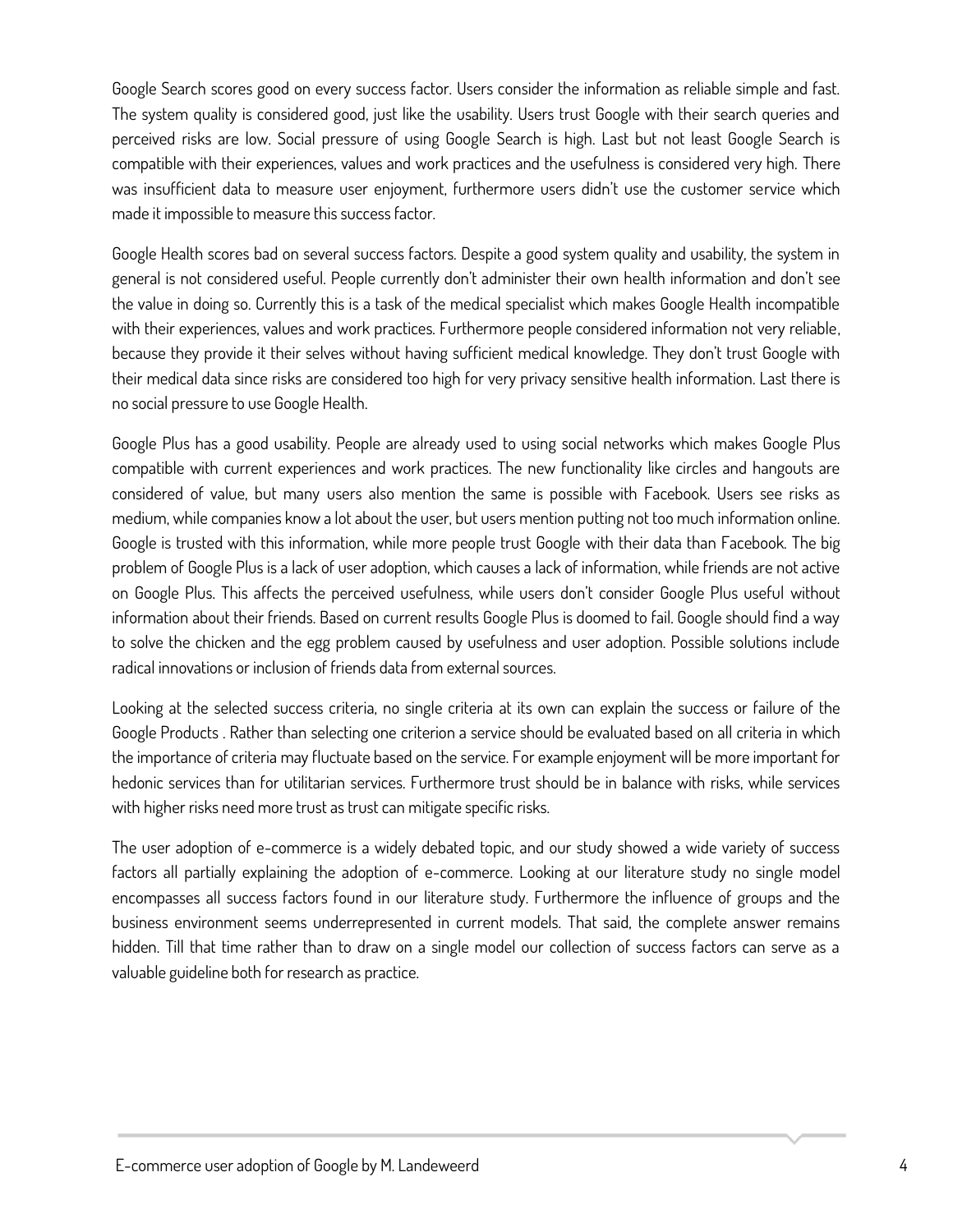Google Search scores good on every success factor. Users consider the information as reliable simple and fast. The system quality is considered good, just like the usability. Users trust Google with their search queries and perceived risks are low. Social pressure of using Google Search is high. Last but not least Google Search is compatible with their experiences, values and work practices and the usefulness is considered very high. There was insufficient data to measure user enjoyment, furthermore users didn't use the customer service which made it impossible to measure this success factor.

Google Health scores bad on several success factors. Despite a good system quality and usability, the system in general is not considered useful. People currently don't administer their own health information and don't see the value in doing so. Currently this is a task of the medical specialist which makes Google Health incompatible with their experiences, values and work practices. Furthermore people considered information not very reliable, because they provide it their selves without having sufficient medical knowledge. They don't trust Google with their medical data since risks are considered too high for very privacy sensitive health information. Last there is no social pressure to use Google Health.

Google Plus has a good usability. People are already used to using social networks which makes Google Plus compatible with current experiences and work practices. The new functionality like circles and hangouts are considered of value, but many users also mention the same is possible with Facebook. Users see risks as medium, while companies know a lot about the user, but users mention putting not too much information online. Google is trusted with this information, while more people trust Google with their data than Facebook. The big problem of Google Plus is a lack of user adoption, which causes a lack of information, while friends are not active on Google Plus. This affects the perceived usefulness, while users don't consider Google Plus useful without information about their friends. Based on current results Google Plus is doomed to fail. Google should find a way to solve the chicken and the egg problem caused by usefulness and user adoption. Possible solutions include radical innovations or inclusion of friends data from external sources.

Looking at the selected success criteria, no single criteria at its own can explain the success or failure of the Google Products . Rather than selecting one criterion a service should be evaluated based on all criteria in which the importance of criteria may fluctuate based on the service. For example enjoyment will be more important for hedonic services than for utilitarian services. Furthermore trust should be in balance with risks, while services with higher risks need more trust as trust can mitigate specific risks.

The user adoption of e-commerce is a widely debated topic, and our study showed a wide variety of success factors all partially explaining the adoption of e-commerce. Looking at our literature study no single model encompasses all success factors found in our literature study. Furthermore the influence of groups and the business environment seems underrepresented in current models. That said, the complete answer remains hidden. Till that time rather than to draw on a single model our collection of success factors can serve as a valuable guideline both for research as practice.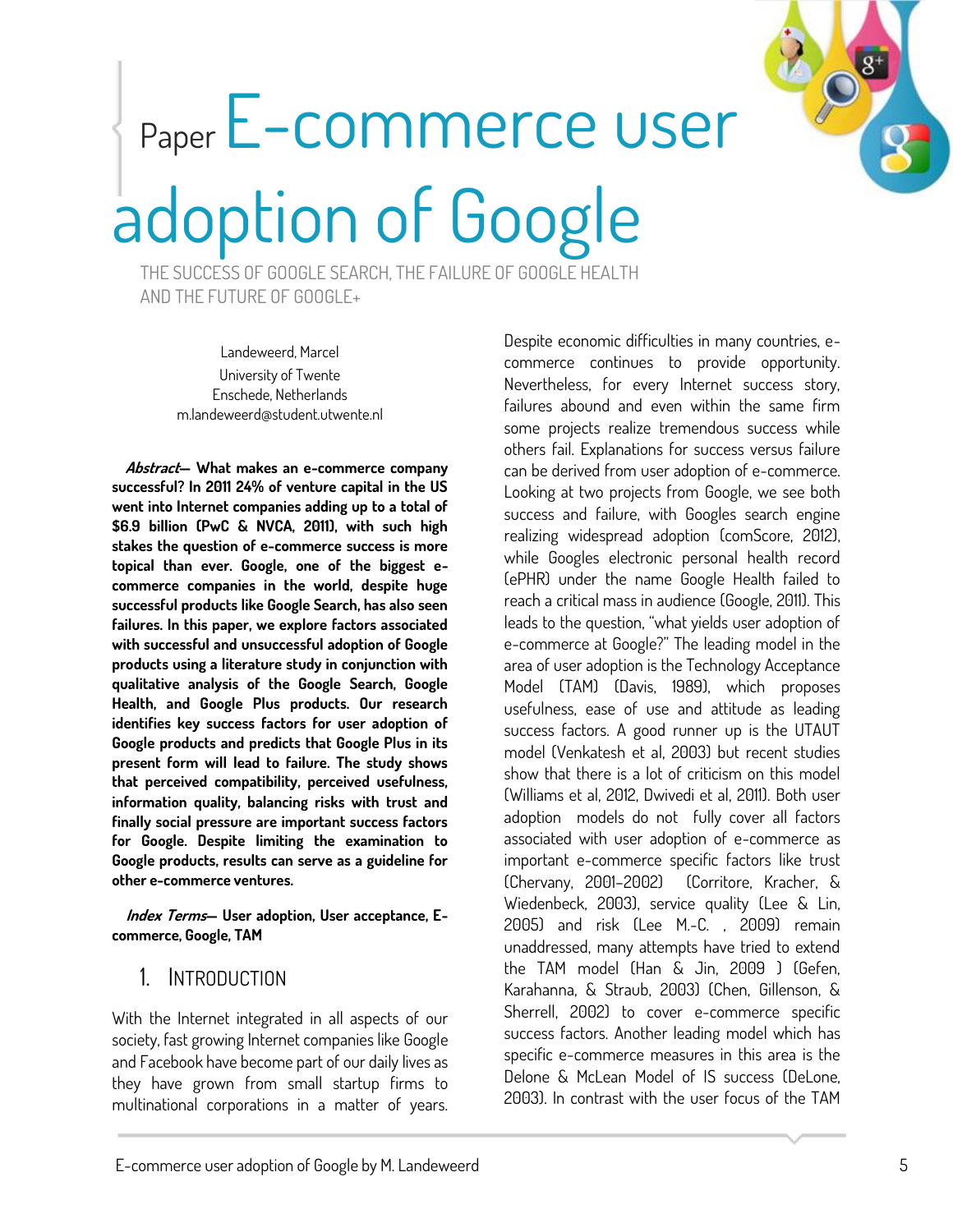

# Paper E-commerce user adoption of Google

SUCCESS OF GOOGLE SEARCH, THE FAILURE OF GOOGLE HEALTH AND THE FUTURE OF GOOGLE+

Landeweerd, Marcel University of Twente Enschede, Netherlands m.landeweerd@student.utwente.nl

**Abstract— What makes an e-commerce company successful? In 2011 24% of venture capital in the US went into Internet companies adding up to a total of \$6.9 billion (PwC & NVCA, 2011), with such high stakes the question of e-commerce success is more topical than ever. Google, one of the biggest ecommerce companies in the world, despite huge successful products like Google Search, has also seen failures. In this paper, we explore factors associated with successful and unsuccessful adoption of Google products using a literature study in conjunction with qualitative analysis of the Google Search, Google Health, and Google Plus products. Our research identifies key success factors for user adoption of Google products and predicts that Google Plus in its present form will lead to failure. The study shows that perceived compatibility, perceived usefulness, information quality, balancing risks with trust and finally social pressure are important success factors for Google. Despite limiting the examination to Google products, results can serve as a guideline for other e-commerce ventures.**

**Index Terms— User adoption, User acceptance, Ecommerce, Google, TAM**

#### 1. INTRODUCTION

With the Internet integrated in all aspects of our society, fast growing Internet companies like Google and Facebook have become part of our daily lives as they have grown from small startup firms to multinational corporations in a matter of years. Despite economic difficulties in many countries, ecommerce continues to provide opportunity. Nevertheless, for every Internet success story, failures abound and even within the same firm some projects realize tremendous success while others fail. Explanations for success versus failure can be derived from user adoption of e-commerce. Looking at two projects from Google, we see both success and failure, with Googles search engine realizing widespread adoption (comScore, 2012), while Googles electronic personal health record (ePHR) under the name Google Health failed to reach a critical mass in audience (Google, 2011). This leads to the question, "what yields user adoption of e-commerce at Google?" The leading model in the area of user adoption is the Technology Acceptance Model (TAM) (Davis, 1989), which proposes usefulness, ease of use and attitude as leading success factors. A good runner up is the UTAUT model (Venkatesh et al, 2003) but recent studies show that there is a lot of criticism on this model (Williams et al, 2012, Dwivedi et al, 2011). Both user adoption models do not fully cover all factors associated with user adoption of e-commerce as important e-commerce specific factors like trust (Chervany, 2001–2002) (Corritore, Kracher, & Wiedenbeck, 2003), service quality (Lee & Lin, 2005) and risk (Lee M.-C. , 2009) remain unaddressed, many attempts have tried to extend the TAM model (Han & Jin, 2009 ) (Gefen, Karahanna, & Straub, 2003) (Chen, Gillenson, & Sherrell, 2002) to cover e-commerce specific success factors. Another leading model which has specific e-commerce measures in this area is the Delone & McLean Model of IS success (DeLone, 2003). In contrast with the user focus of the TAM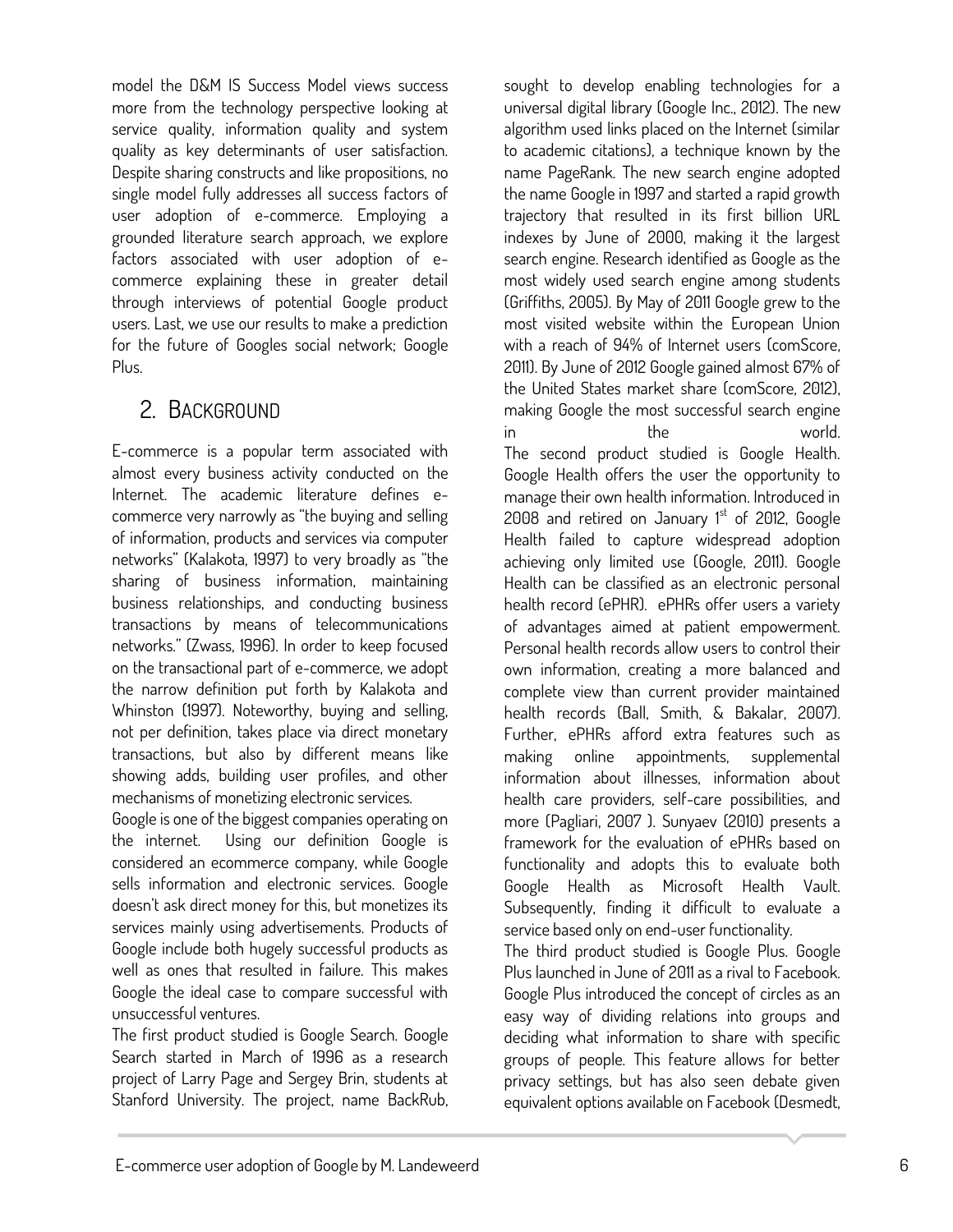model the D&M IS Success Model views success more from the technology perspective looking at service quality, information quality and system quality as key determinants of user satisfaction. Despite sharing constructs and like propositions, no single model fully addresses all success factors of user adoption of e-commerce. Employing a grounded literature search approach, we explore factors associated with user adoption of ecommerce explaining these in greater detail through interviews of potential Google product users. Last, we use our results to make a prediction for the future of Googles social network; Google Plus.

#### 2. BACKGROUND

E-commerce is a popular term associated with almost every business activity conducted on the Internet. The academic literature defines ecommerce very narrowly as "the buying and selling of information, products and services via computer networks" (Kalakota, 1997) to very broadly as "the sharing of business information, maintaining business relationships, and conducting business transactions by means of telecommunications networks." (Zwass, 1996). In order to keep focused on the transactional part of e-commerce, we adopt the narrow definition put forth by Kalakota and Whinston (1997). Noteworthy, buying and selling, not per definition, takes place via direct monetary transactions, but also by different means like showing adds, building user profiles, and other mechanisms of monetizing electronic services.

Google is one of the biggest companies operating on the internet. Using our definition Google is considered an ecommerce company, while Google sells information and electronic services. Google doesn't ask direct money for this, but monetizes its services mainly using advertisements. Products of Google include both hugely successful products as well as ones that resulted in failure. This makes Google the ideal case to compare successful with unsuccessful ventures.

The first product studied is Google Search. Google Search started in March of 1996 as a research project of Larry Page and Sergey Brin, students at Stanford University. The project, name BackRub, sought to develop enabling technologies for a universal digital library (Google Inc., 2012). The new algorithm used links placed on the Internet (similar to academic citations), a technique known by the name PageRank. The new search engine adopted the name Google in 1997 and started a rapid growth trajectory that resulted in its first billion URL indexes by June of 2000, making it the largest search engine. Research identified as Google as the most widely used search engine among students (Griffiths, 2005). By May of 2011 Google grew to the most visited website within the European Union with a reach of 94% of Internet users (comScore, 2011). By June of 2012 Google gained almost 67% of the United States market share (comScore, 2012), making Google the most successful search engine in the the world. The second product studied is Google Health. Google Health offers the user the opportunity to manage their own health information. Introduced in 2008 and retired on January  $1<sup>st</sup>$  of 2012, Google Health failed to capture widespread adoption achieving only limited use (Google, 2011). Google Health can be classified as an electronic personal health record (ePHR). ePHRs offer users a variety of advantages aimed at patient empowerment. Personal health records allow users to control their own information, creating a more balanced and complete view than current provider maintained health records (Ball, Smith, & Bakalar, 2007). Further, ePHRs afford extra features such as making online appointments, supplemental information about illnesses, information about health care providers, self-care possibilities, and more (Pagliari, 2007 ). Sunyaev (2010) presents a framework for the evaluation of ePHRs based on functionality and adopts this to evaluate both Google Health as Microsoft Health Vault. Subsequently, finding it difficult to evaluate a service based only on end-user functionality.

The third product studied is Google Plus. Google Plus launched in June of 2011 as a rival to Facebook. Google Plus introduced the concept of circles as an easy way of dividing relations into groups and deciding what information to share with specific groups of people. This feature allows for better privacy settings, but has also seen debate given equivalent options available on Facebook (Desmedt,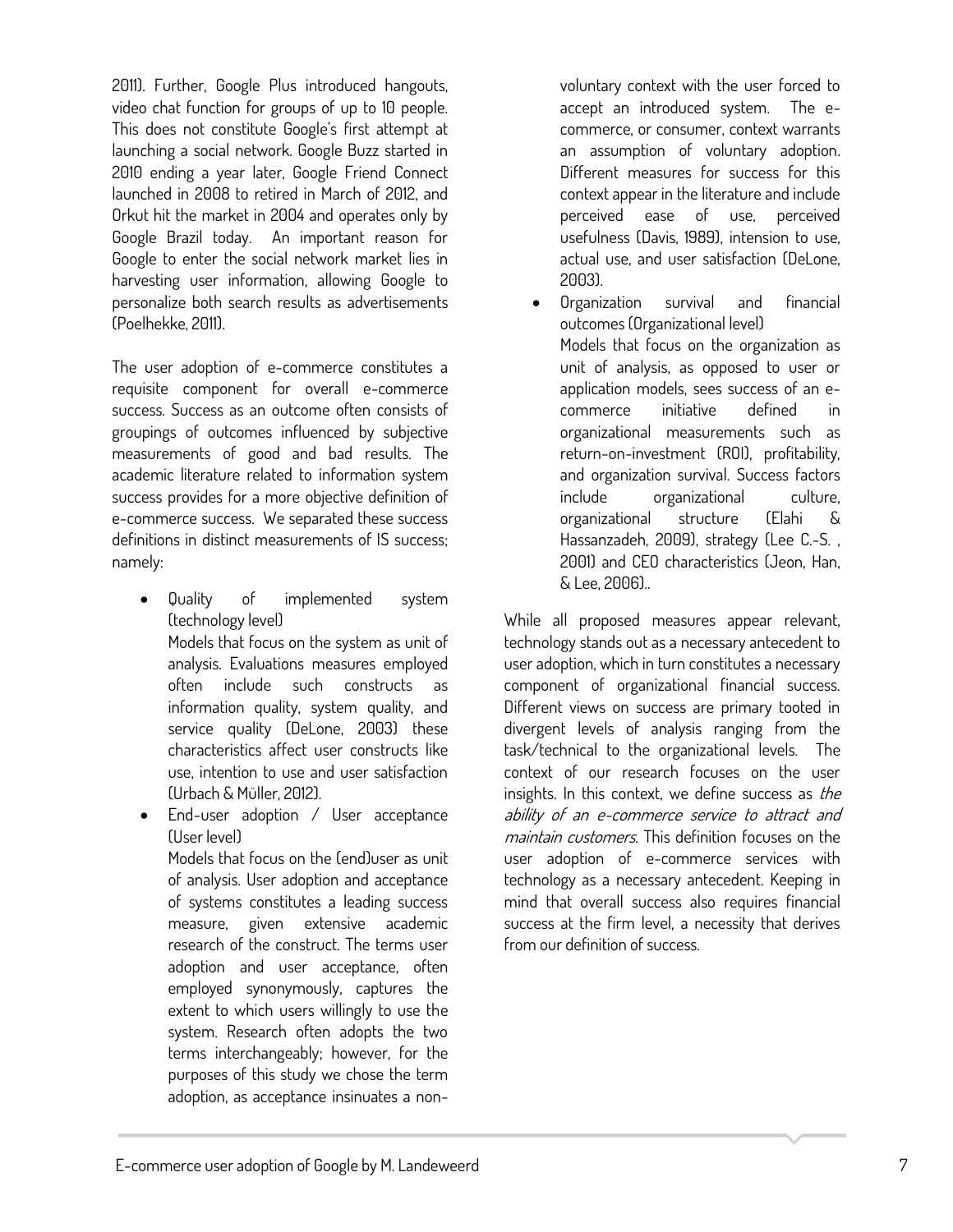2011). Further, Google Plus introduced hangouts, video chat function for groups of up to 10 people. This does not constitute Google's first attempt at launching a social network. Google Buzz started in 2010 ending a year later, Google Friend Connect launched in 2008 to retired in March of 2012, and Orkut hit the market in 2004 and operates only by Google Brazil today. An important reason for Google to enter the social network market lies in harvesting user information, allowing Google to personalize both search results as advertisements (Poelhekke, 2011).

The user adoption of e-commerce constitutes a requisite component for overall e-commerce success. Success as an outcome often consists of groupings of outcomes influenced by subjective measurements of good and bad results. The academic literature related to information system success provides for a more objective definition of e-commerce success. We separated these success definitions in distinct measurements of IS success; namely:

 Quality of implemented system (technology level)

Models that focus on the system as unit of analysis. Evaluations measures employed often include such constructs as information quality, system quality, and service quality (DeLone, 2003) these characteristics affect user constructs like use, intention to use and user satisfaction (Urbach & Müller, 2012).

 End-user adoption / User acceptance (User level)

Models that focus on the (end)user as unit of analysis. User adoption and acceptance of systems constitutes a leading success measure, given extensive academic research of the construct. The terms user adoption and user acceptance, often employed synonymously, captures the extent to which users willingly to use the system. Research often adopts the two terms interchangeably; however, for the purposes of this study we chose the term adoption, as acceptance insinuates a nonvoluntary context with the user forced to accept an introduced system. The ecommerce, or consumer, context warrants an assumption of voluntary adoption. Different measures for success for this context appear in the literature and include perceived ease of use, perceived usefulness (Davis, 1989), intension to use, actual use, and user satisfaction (DeLone, 2003).

 Organization survival and financial outcomes (Organizational level) Models that focus on the organization as unit of analysis, as opposed to user or application models, sees success of an ecommerce initiative defined in organizational measurements such as return-on-investment (ROI), profitability, and organization survival. Success factors include organizational culture, organizational structure (Elahi & Hassanzadeh, 2009), strategy (Lee C.-S. , 2001) and CEO characteristics (Jeon, Han, & Lee, 2006)..

While all proposed measures appear relevant, technology stands out as a necessary antecedent to user adoption, which in turn constitutes a necessary component of organizational financial success. Different views on success are primary tooted in divergent levels of analysis ranging from the task/technical to the organizational levels. The context of our research focuses on the user insights. In this context, we define success as the ability of an e-commerce service to attract and maintain customers. This definition focuses on the user adoption of e-commerce services with technology as a necessary antecedent. Keeping in mind that overall success also requires financial success at the firm level, a necessity that derives from our definition of success.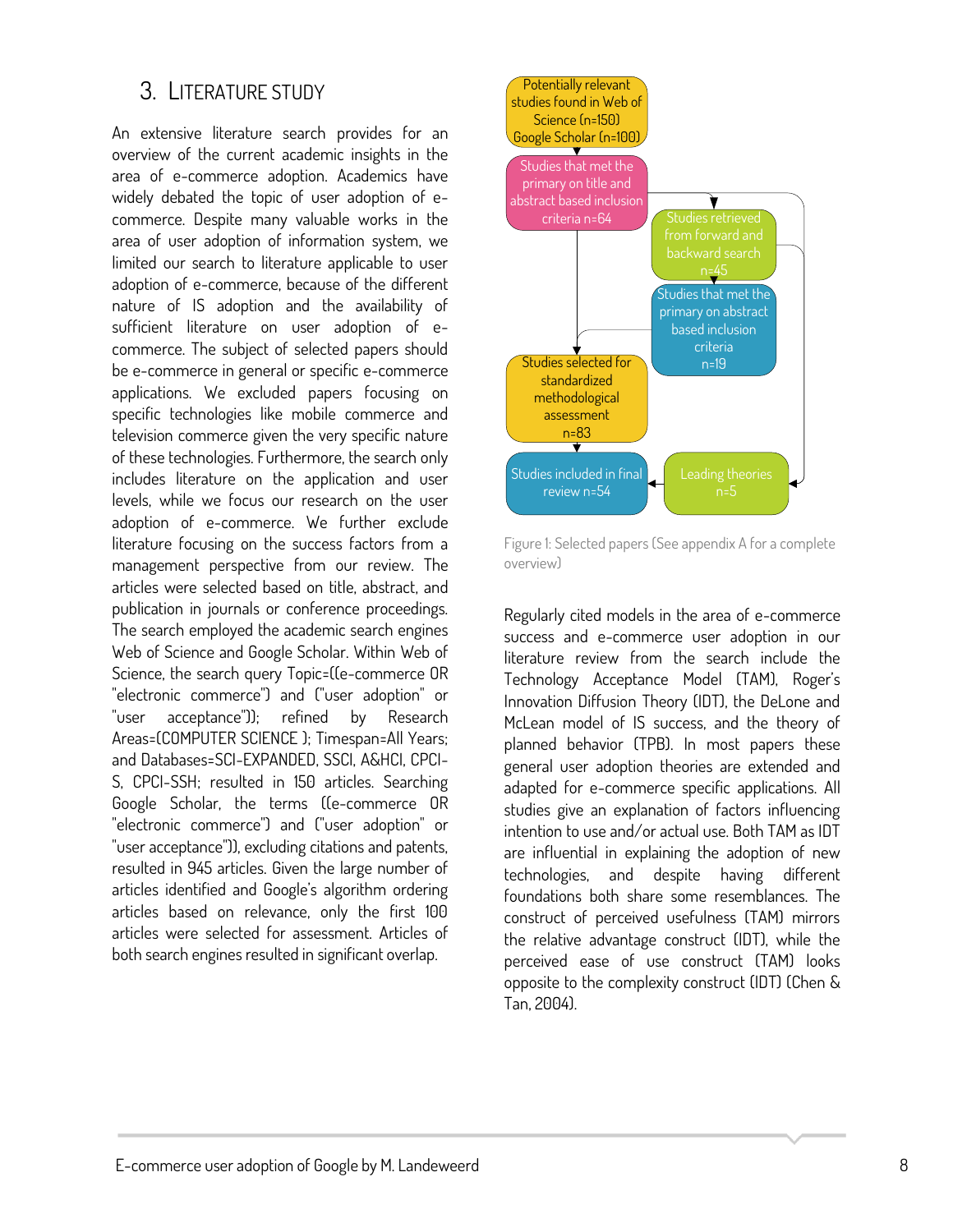#### 3. LITERATURE STUDY

An extensive literature search provides for an overview of the current academic insights in the area of e-commerce adoption. Academics have widely debated the topic of user adoption of ecommerce. Despite many valuable works in the area of user adoption of information system, we limited our search to literature applicable to user adoption of e-commerce, because of the different nature of IS adoption and the availability of sufficient literature on user adoption of ecommerce. The subject of selected papers should be e-commerce in general or specific e-commerce applications. We excluded papers focusing on specific technologies like mobile commerce and television commerce given the very specific nature of these technologies. Furthermore, the search only includes literature on the application and user levels, while we focus our research on the user adoption of e-commerce. We further exclude literature focusing on the success factors from a management perspective from our review. The articles were selected based on title, abstract, and publication in journals or conference proceedings. The search employed the academic search engines Web of Science and Google Scholar. Within Web of Science, the search query Topic=((e-commerce OR "electronic commerce") and ("user adoption" or "user acceptance")); refined by Research Areas=(COMPUTER SCIENCE ); Timespan=All Years; and Databases=SCI-EXPANDED, SSCI, A&HCI, CPCI-S, CPCI-SSH; resulted in 150 articles. Searching Google Scholar, the terms ((e-commerce OR "electronic commerce") and ("user adoption" or "user acceptance")), excluding citations and patents, resulted in 945 articles. Given the large number of articles identified and Google's algorithm ordering articles based on relevance, only the first 100 articles were selected for assessment. Articles of both search engines resulted in significant overlap.



Figure 1: Selected papers (See appendix A for a complete overview)

Regularly cited models in the area of e-commerce success and e-commerce user adoption in our literature review from the search include the Technology Acceptance Model (TAM), Roger's Innovation Diffusion Theory (IDT), the DeLone and McLean model of IS success, and the theory of planned behavior (TPB). In most papers these general user adoption theories are extended and adapted for e-commerce specific applications. All studies give an explanation of factors influencing intention to use and/or actual use. Both TAM as IDT are influential in explaining the adoption of new technologies, and despite having different foundations both share some resemblances. The construct of perceived usefulness (TAM) mirrors the relative advantage construct (IDT), while the perceived ease of use construct (TAM) looks opposite to the complexity construct (IDT) (Chen & Tan, 2004).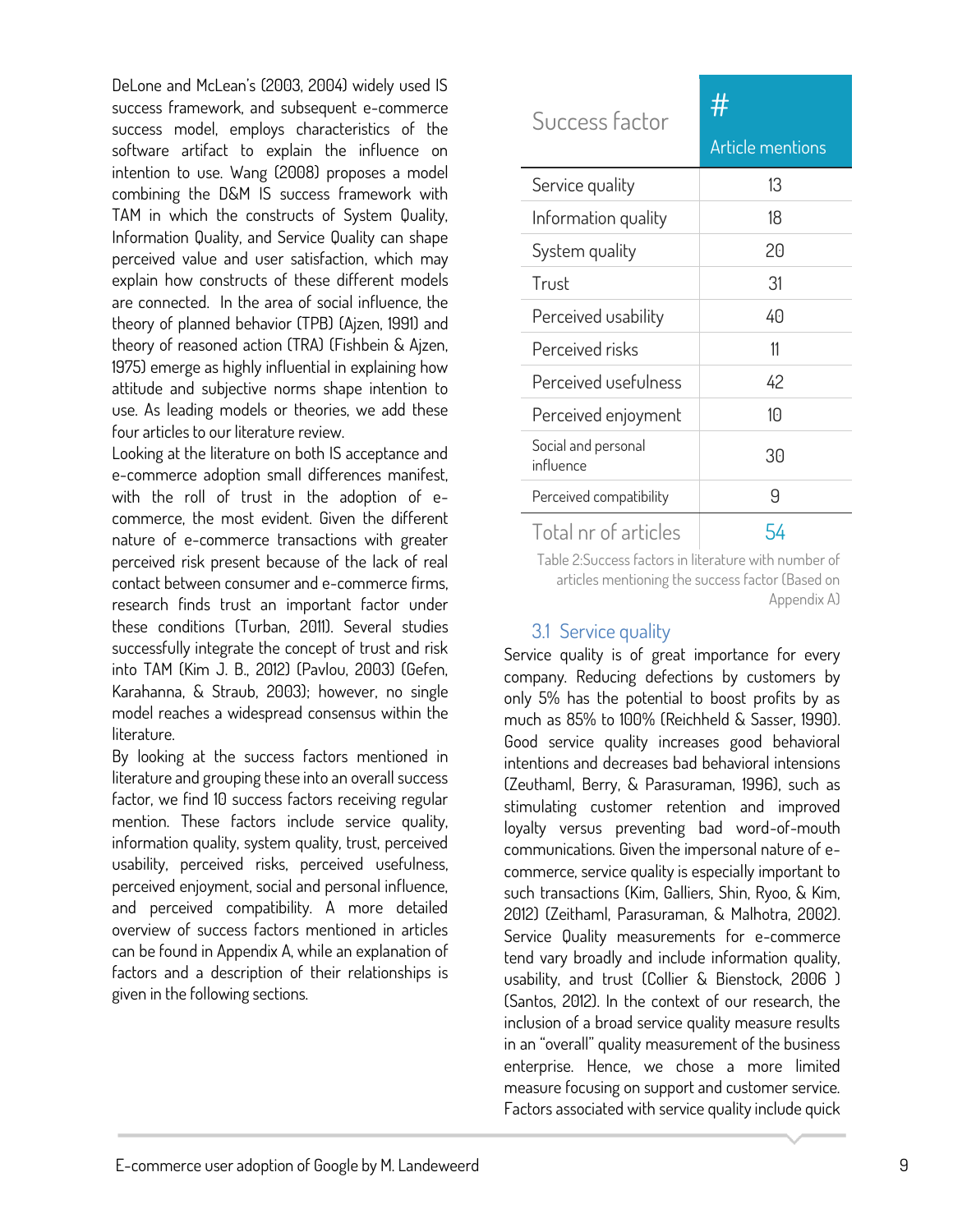DeLone and McLean's (2003, 2004) widely used IS success framework, and subsequent e-commerce success model, employs characteristics of the software artifact to explain the influence on intention to use. Wang (2008) proposes a model combining the D&M IS success framework with TAM in which the constructs of System Quality, Information Quality, and Service Quality can shape perceived value and user satisfaction, which may explain how constructs of these different models are connected. In the area of social influence, the theory of planned behavior (TPB) (Ajzen, 1991) and theory of reasoned action (TRA) (Fishbein & Ajzen, 1975) emerge as highly influential in explaining how attitude and subjective norms shape intention to use. As leading models or theories, we add these four articles to our literature review.

Looking at the literature on both IS acceptance and e-commerce adoption small differences manifest, with the roll of trust in the adoption of ecommerce, the most evident. Given the different nature of e-commerce transactions with greater perceived risk present because of the lack of real contact between consumer and e-commerce firms, research finds trust an important factor under these conditions (Turban, 2011). Several studies successfully integrate the concept of trust and risk into TAM (Kim J. B., 2012) (Pavlou, 2003) (Gefen, Karahanna, & Straub, 2003); however, no single model reaches a widespread consensus within the literature.

By looking at the success factors mentioned in literature and grouping these into an overall success factor, we find 10 success factors receiving regular mention. These factors include service quality, information quality, system quality, trust, perceived usability, perceived risks, perceived usefulness, perceived enjoyment, social and personal influence, and perceived compatibility. A more detailed overview of success factors mentioned in articles can be found in Appendix A, while an explanation of factors and a description of their relationships is given in the following sections.

| Success factor                   | Article mentions |
|----------------------------------|------------------|
| Service quality                  | 13               |
| Information quality              | 18               |
| System quality                   | 20               |
| Trust                            | 31               |
| Perceived usability              | 40               |
| Perceived risks                  | 11               |
| Perceived usefulness             | 42               |
| Perceived enjoyment              | 10               |
| Social and personal<br>influence | 30               |
| Perceived compatibility          | 9                |
| Total nr of articles             | 54               |

Table 2:Success factors in literature with number of articles mentioning the success factor (Based on Appendix A)

#### 3.1 Service quality

Service quality is of great importance for every company. Reducing defections by customers by only 5% has the potential to boost profits by as much as 85% to 100% (Reichheld & Sasser, 1990). Good service quality increases good behavioral intentions and decreases bad behavioral intensions (Zeuthaml, Berry, & Parasuraman, 1996), such as stimulating customer retention and improved loyalty versus preventing bad word-of-mouth communications. Given the impersonal nature of ecommerce, service quality is especially important to such transactions (Kim, Galliers, Shin, Ryoo, & Kim, 2012) (Zeithaml, Parasuraman, & Malhotra, 2002). Service Quality measurements for e-commerce tend vary broadly and include information quality, usability, and trust (Collier & Bienstock, 2006 ) (Santos, 2012). In the context of our research, the inclusion of a broad service quality measure results in an "overall" quality measurement of the business enterprise. Hence, we chose a more limited measure focusing on support and customer service. Factors associated with service quality include quick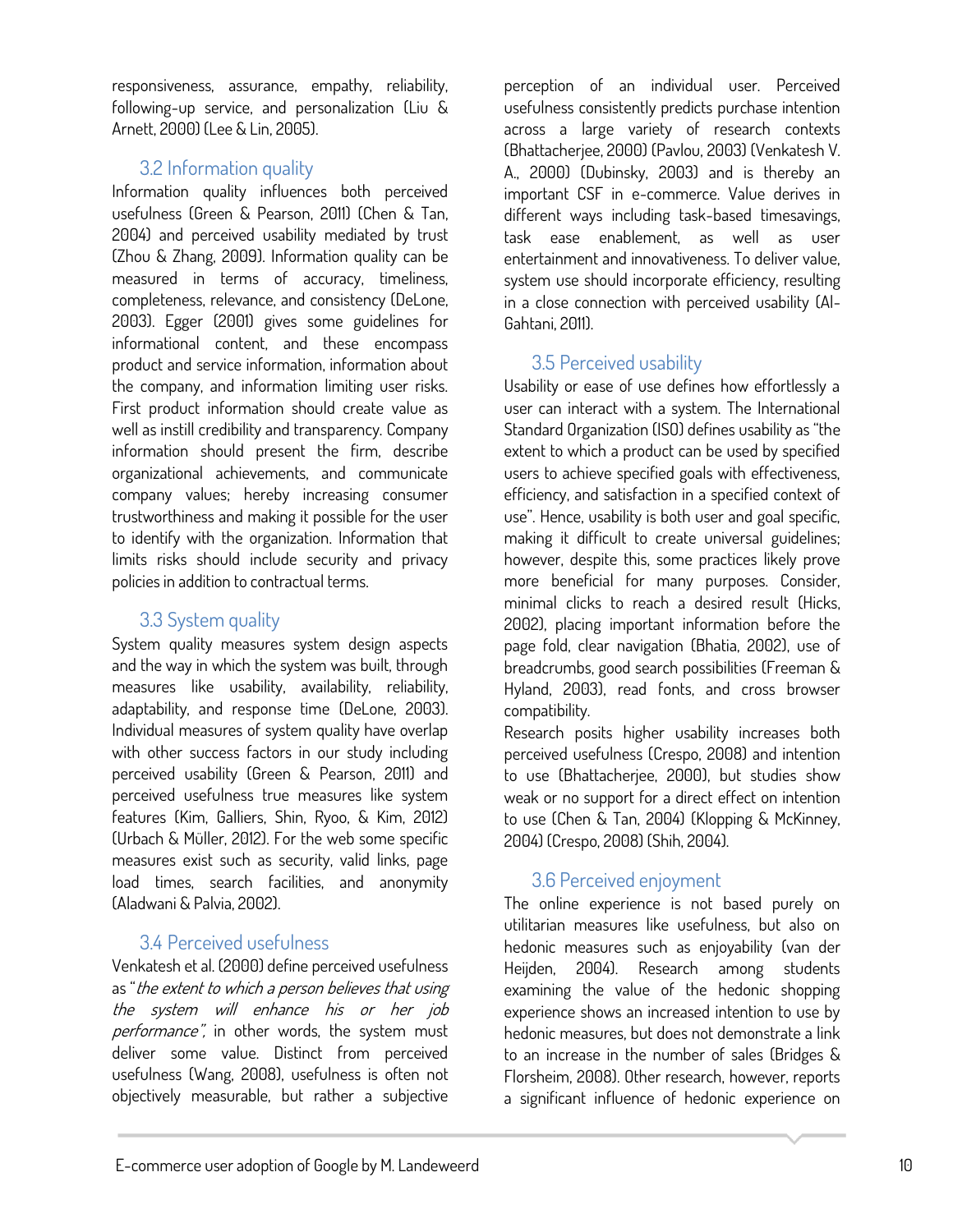responsiveness, assurance, empathy, reliability, following-up service, and personalization (Liu & Arnett, 2000) (Lee & Lin, 2005).

#### 3.2 Information quality

Information quality influences both perceived usefulness (Green & Pearson, 2011) (Chen & Tan, 2004) and perceived usability mediated by trust (Zhou & Zhang, 2009). Information quality can be measured in terms of accuracy, timeliness, completeness, relevance, and consistency (DeLone, 2003). Egger (2001) gives some guidelines for informational content, and these encompass product and service information, information about the company, and information limiting user risks. First product information should create value as well as instill credibility and transparency. Company information should present the firm, describe organizational achievements, and communicate company values; hereby increasing consumer trustworthiness and making it possible for the user to identify with the organization. Information that limits risks should include security and privacy policies in addition to contractual terms.

#### 3.3 System quality

System quality measures system design aspects and the way in which the system was built, through measures like usability, availability, reliability, adaptability, and response time (DeLone, 2003). Individual measures of system quality have overlap with other success factors in our study including perceived usability (Green & Pearson, 2011) and perceived usefulness true measures like system features (Kim, Galliers, Shin, Ryoo, & Kim, 2012) (Urbach & Müller, 2012). For the web some specific measures exist such as security, valid links, page load times, search facilities, and anonymity (Aladwani & Palvia, 2002).

#### 3.4 Perceived usefulness

Venkatesh et al. (2000) define perceived usefulness as "the extent to which a person believes that using the system will enhance his or her job performance", in other words, the system must deliver some value. Distinct from perceived usefulness (Wang, 2008), usefulness is often not objectively measurable, but rather a subjective

perception of an individual user. Perceived usefulness consistently predicts purchase intention across a large variety of research contexts (Bhattacherjee, 2000) (Pavlou, 2003) (Venkatesh V. A., 2000) (Dubinsky, 2003) and is thereby an important CSF in e-commerce. Value derives in different ways including task-based timesavings, task ease enablement, as well as user entertainment and innovativeness. To deliver value, system use should incorporate efficiency, resulting in a close connection with perceived usability (Al-Gahtani, 2011).

#### 3.5 Perceived usability

Usability or ease of use defines how effortlessly a user can interact with a system. The International Standard Organization (ISO) defines usability as "the extent to which a product can be used by specified users to achieve specified goals with effectiveness, efficiency, and satisfaction in a specified context of use". Hence, usability is both user and goal specific, making it difficult to create universal guidelines; however, despite this, some practices likely prove more beneficial for many purposes. Consider, minimal clicks to reach a desired result (Hicks, 2002), placing important information before the page fold, clear navigation (Bhatia, 2002), use of breadcrumbs, good search possibilities (Freeman & Hyland, 2003), read fonts, and cross browser compatibility.

Research posits higher usability increases both perceived usefulness (Crespo, 2008) and intention to use (Bhattacherjee, 2000), but studies show weak or no support for a direct effect on intention to use (Chen & Tan, 2004) (Klopping & McKinney, 2004) (Crespo, 2008) (Shih, 2004).

#### 3.6 Perceived enjoyment

The online experience is not based purely on utilitarian measures like usefulness, but also on hedonic measures such as enjoyability (van der Heijden, 2004). Research among students examining the value of the hedonic shopping experience shows an increased intention to use by hedonic measures, but does not demonstrate a link to an increase in the number of sales (Bridges & Florsheim, 2008). Other research, however, reports a significant influence of hedonic experience on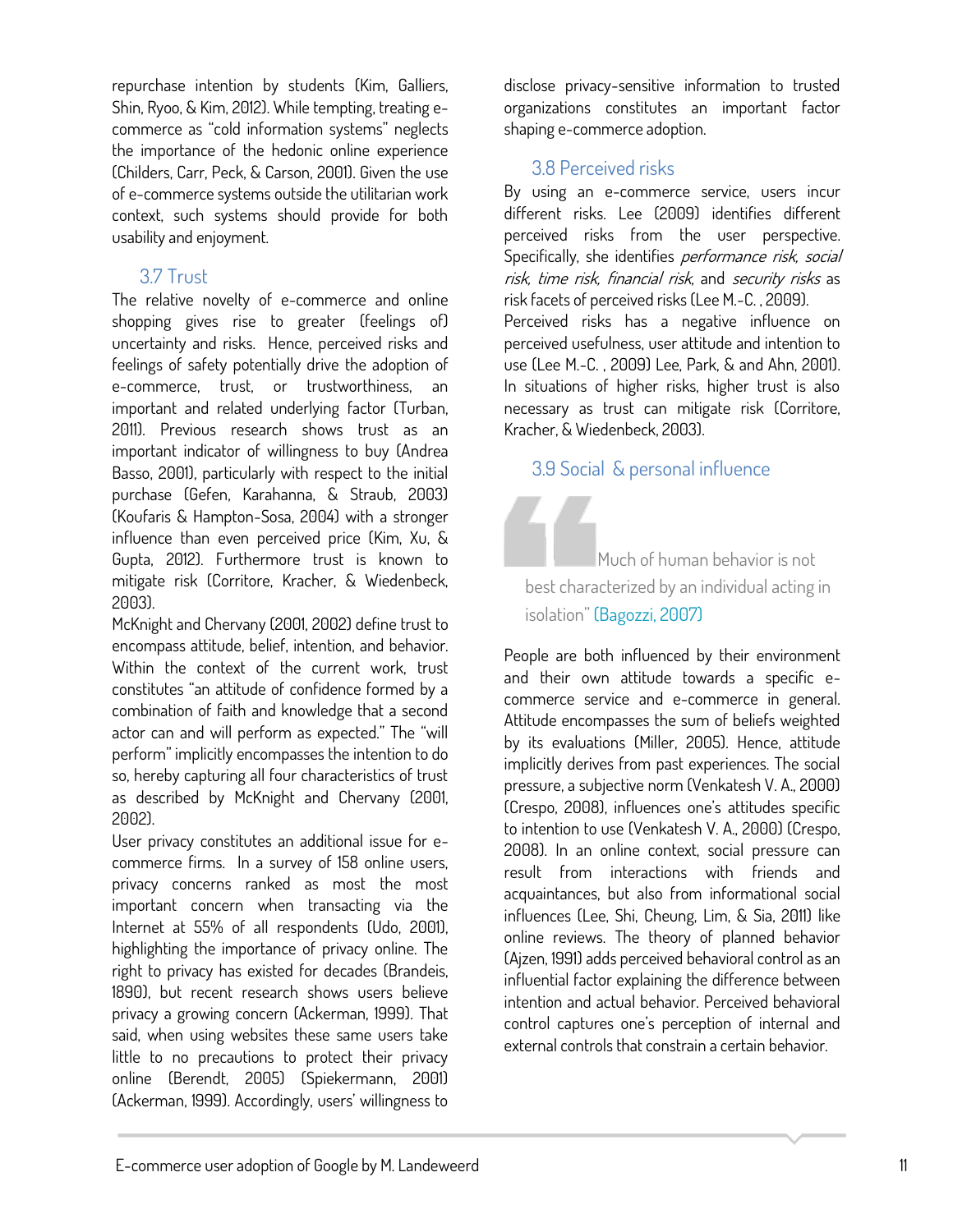repurchase intention by students (Kim, Galliers, Shin, Ryoo, & Kim, 2012). While tempting, treating ecommerce as "cold information systems" neglects the importance of the hedonic online experience (Childers, Carr, Peck, & Carson, 2001). Given the use of e-commerce systems outside the utilitarian work context, such systems should provide for both usability and enjoyment.

#### 3.7 Trust

The relative novelty of e-commerce and online shopping gives rise to greater (feelings of) uncertainty and risks. Hence, perceived risks and feelings of safety potentially drive the adoption of e-commerce, trust, or trustworthiness, an important and related underlying factor (Turban, 2011). Previous research shows trust as an important indicator of willingness to buy (Andrea Basso, 2001), particularly with respect to the initial purchase (Gefen, Karahanna, & Straub, 2003) (Koufaris & Hampton-Sosa, 2004) with a stronger influence than even perceived price (Kim, Xu, & Gupta, 2012). Furthermore trust is known to mitigate risk (Corritore, Kracher, & Wiedenbeck, 2003).

McKnight and Chervany (2001, 2002) define trust to encompass attitude, belief, intention, and behavior. Within the context of the current work, trust constitutes "an attitude of confidence formed by a combination of faith and knowledge that a second actor can and will perform as expected." The "will perform" implicitly encompasses the intention to do so, hereby capturing all four characteristics of trust as described by McKnight and Chervany (2001, 2002).

User privacy constitutes an additional issue for ecommerce firms. In a survey of 158 online users, privacy concerns ranked as most the most important concern when transacting via the Internet at 55% of all respondents (Udo, 2001), highlighting the importance of privacy online. The right to privacy has existed for decades (Brandeis, 1890), but recent research shows users believe privacy a growing concern (Ackerman, 1999). That said, when using websites these same users take little to no precautions to protect their privacy online (Berendt, 2005) (Spiekermann, 2001) (Ackerman, 1999). Accordingly, users' willingness to

disclose privacy-sensitive information to trusted organizations constitutes an important factor shaping e-commerce adoption.

#### 3.8 Perceived risks

By using an e-commerce service, users incur different risks. Lee (2009) identifies different perceived risks from the user perspective. Specifically, she identifies *performance risk, social* risk, time risk, financial risk, and security risks as risk facets of perceived risks (Lee M.-C. , 2009). Perceived risks has a negative influence on perceived usefulness, user attitude and intention to use (Lee M.-C. , 2009) Lee, Park, & and Ahn, 2001). In situations of higher risks, higher trust is also necessary as trust can mitigate risk (Corritore, Kracher, & Wiedenbeck, 2003).

#### 3.9 Social & personal influence

Much of human behavior is not best characterized by an individual acting in isolation" (Bagozzi, 2007)

People are both influenced by their environment and their own attitude towards a specific ecommerce service and e-commerce in general. Attitude encompasses the sum of beliefs weighted by its evaluations (Miller, 2005). Hence, attitude implicitly derives from past experiences. The social pressure, a subjective norm (Venkatesh V. A., 2000) (Crespo, 2008), influences one's attitudes specific to intention to use (Venkatesh V. A., 2000) (Crespo, 2008). In an online context, social pressure can result from interactions with friends and acquaintances, but also from informational social influences (Lee, Shi, Cheung, Lim, & Sia, 2011) like online reviews. The theory of planned behavior (Ajzen, 1991) adds perceived behavioral control as an influential factor explaining the difference between intention and actual behavior. Perceived behavioral control captures one's perception of internal and external controls that constrain a certain behavior.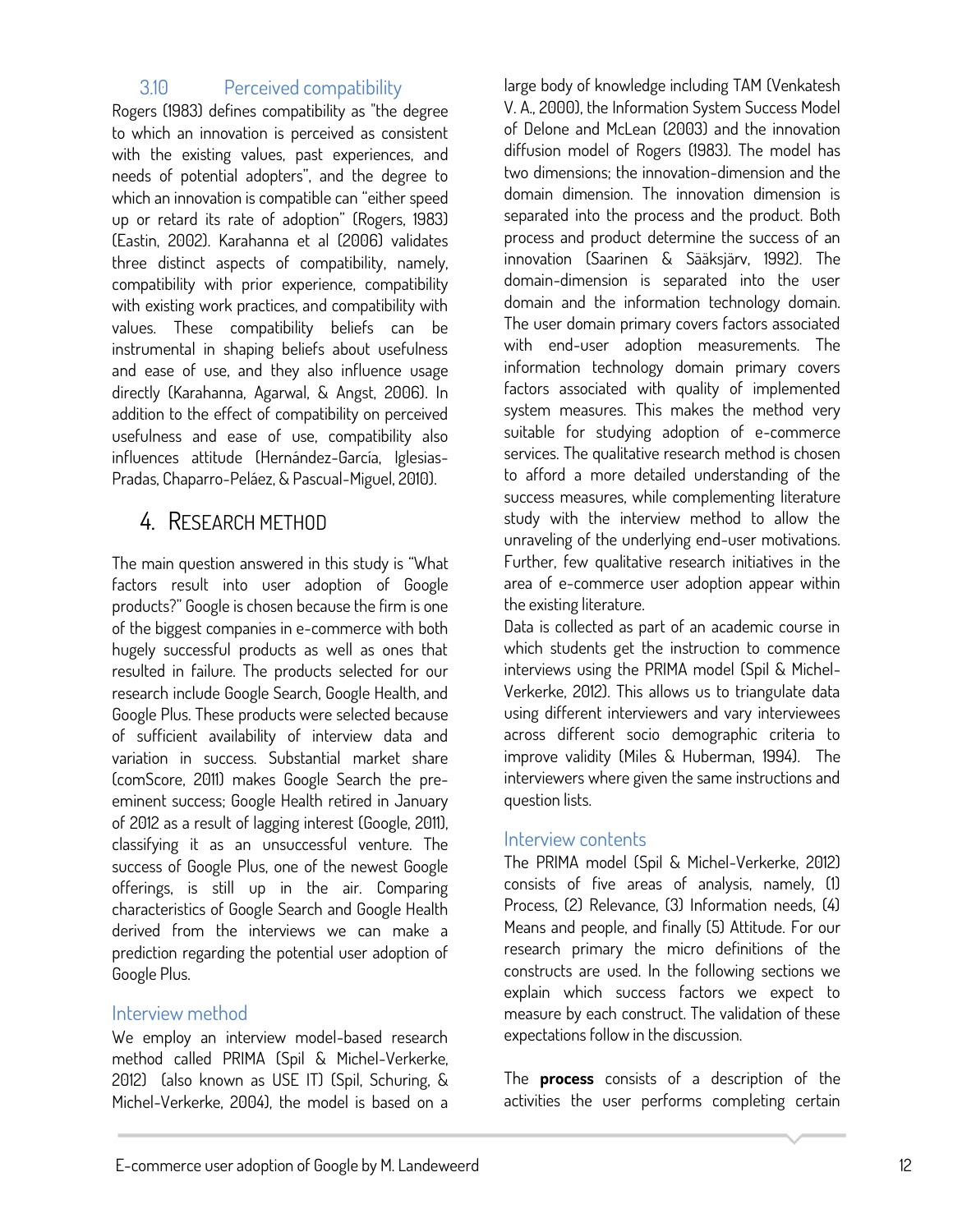#### 3.10 Perceived compatibility

Rogers (1983) defines compatibility as "the degree to which an innovation is perceived as consistent with the existing values, past experiences, and needs of potential adopters'', and the degree to which an innovation is compatible can ''either speed up or retard its rate of adoption'' (Rogers, 1983) (Eastin, 2002). Karahanna et al (2006) validates three distinct aspects of compatibility, namely, compatibility with prior experience, compatibility with existing work practices, and compatibility with values. These compatibility beliefs can be instrumental in shaping beliefs about usefulness and ease of use, and they also influence usage directly (Karahanna, Agarwal, & Angst, 2006). In addition to the effect of compatibility on perceived usefulness and ease of use, compatibility also influences attitude (Hernández-García, Iglesias-Pradas, Chaparro-Peláez, & Pascual-Miguel, 2010).

#### 4. RESEARCH METHOD

The main question answered in this study is "What factors result into user adoption of Google products?" Google is chosen because the firm is one of the biggest companies in e-commerce with both hugely successful products as well as ones that resulted in failure. The products selected for our research include Google Search, Google Health, and Google Plus. These products were selected because of sufficient availability of interview data and variation in success. Substantial market share (comScore, 2011) makes Google Search the preeminent success; Google Health retired in January of 2012 as a result of lagging interest (Google, 2011), classifying it as an unsuccessful venture. The success of Google Plus, one of the newest Google offerings, is still up in the air. Comparing characteristics of Google Search and Google Health derived from the interviews we can make a prediction regarding the potential user adoption of Google Plus.

#### Interview method

We employ an interview model-based research method called PRIMA (Spil & Michel-Verkerke, 2012) (also known as USE IT) (Spil, Schuring, & Michel-Verkerke, 2004), the model is based on a

large body of knowledge including TAM (Venkatesh V. A., 2000), the Information System Success Model of Delone and McLean (2003) and the innovation diffusion model of Rogers (1983). The model has two dimensions; the innovation-dimension and the domain dimension. The innovation dimension is separated into the process and the product. Both process and product determine the success of an innovation (Saarinen & Sääksjärv, 1992). The domain-dimension is separated into the user domain and the information technology domain. The user domain primary covers factors associated with end-user adoption measurements. The information technology domain primary covers factors associated with quality of implemented system measures. This makes the method very suitable for studying adoption of e-commerce services. The qualitative research method is chosen to afford a more detailed understanding of the success measures, while complementing literature study with the interview method to allow the unraveling of the underlying end-user motivations. Further, few qualitative research initiatives in the area of e-commerce user adoption appear within the existing literature.

Data is collected as part of an academic course in which students get the instruction to commence interviews using the PRIMA model (Spil & Michel-Verkerke, 2012). This allows us to triangulate data using different interviewers and vary interviewees across different socio demographic criteria to improve validity (Miles & Huberman, 1994). The interviewers where given the same instructions and question lists.

#### Interview contents

The PRIMA model (Spil & Michel-Verkerke, 2012) consists of five areas of analysis, namely, (1) Process, (2) Relevance, (3) Information needs, (4) Means and people, and finally (5) Attitude. For our research primary the micro definitions of the constructs are used. In the following sections we explain which success factors we expect to measure by each construct. The validation of these expectations follow in the discussion.

The **process** consists of a description of the activities the user performs completing certain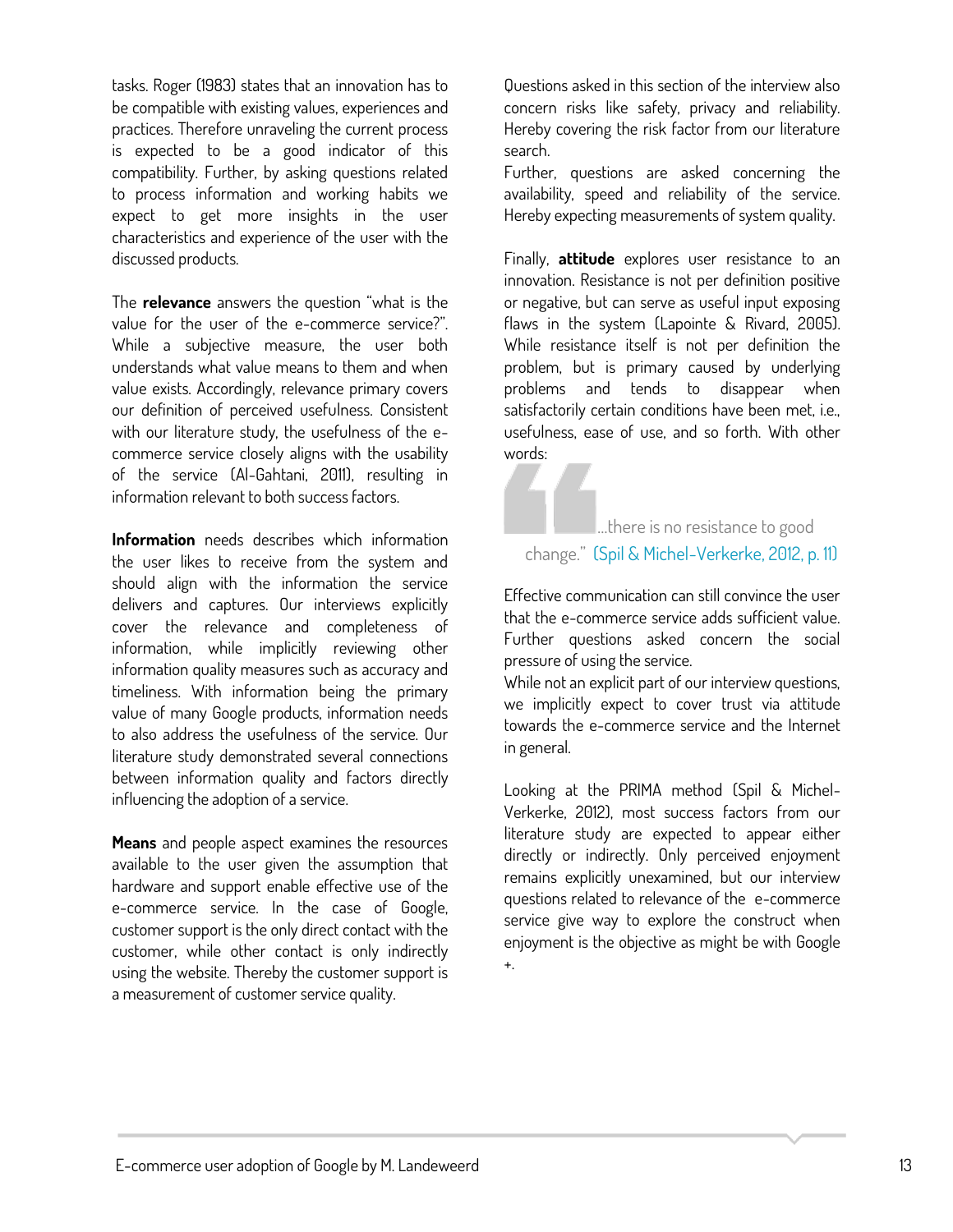tasks. Roger (1983) states that an innovation has to be compatible with existing values, experiences and practices. Therefore unraveling the current process is expected to be a good indicator of this compatibility. Further, by asking questions related to process information and working habits we expect to get more insights in the user characteristics and experience of the user with the discussed products.

The **relevance** answers the question "what is the value for the user of the e-commerce service?". While a subjective measure, the user both understands what value means to them and when value exists. Accordingly, relevance primary covers our definition of perceived usefulness. Consistent with our literature study, the usefulness of the ecommerce service closely aligns with the usability of the service (Al-Gahtani, 2011), resulting in information relevant to both success factors.

**Information** needs describes which information the user likes to receive from the system and should align with the information the service delivers and captures. Our interviews explicitly cover the relevance and completeness of information, while implicitly reviewing other information quality measures such as accuracy and timeliness. With information being the primary value of many Google products, information needs to also address the usefulness of the service. Our literature study demonstrated several connections between information quality and factors directly influencing the adoption of a service.

**Means** and people aspect examines the resources available to the user given the assumption that hardware and support enable effective use of the e-commerce service. In the case of Google, customer support is the only direct contact with the customer, while other contact is only indirectly using the website. Thereby the customer support is a measurement of customer service quality.

Questions asked in this section of the interview also concern risks like safety, privacy and reliability. Hereby covering the risk factor from our literature search.

Further, questions are asked concerning the availability, speed and reliability of the service. Hereby expecting measurements of system quality.

Finally, **attitude** explores user resistance to an innovation. Resistance is not per definition positive or negative, but can serve as useful input exposing flaws in the system (Lapointe & Rivard, 2005). While resistance itself is not per definition the problem, but is primary caused by underlying problems and tends to disappear when satisfactorily certain conditions have been met, i.e., usefulness, ease of use, and so forth. With other words:

#### …there is no resistance to good change." (Spil & Michel-Verkerke, 2012, p. 11)

Effective communication can still convince the user that the e-commerce service adds sufficient value. Further questions asked concern the social pressure of using the service.

While not an explicit part of our interview questions, we implicitly expect to cover trust via attitude towards the e-commerce service and the Internet in general.

Looking at the PRIMA method (Spil & Michel-Verkerke, 2012), most success factors from our literature study are expected to appear either directly or indirectly. Only perceived enjoyment remains explicitly unexamined, but our interview questions related to relevance of the e-commerce service give way to explore the construct when enjoyment is the objective as might be with Google +.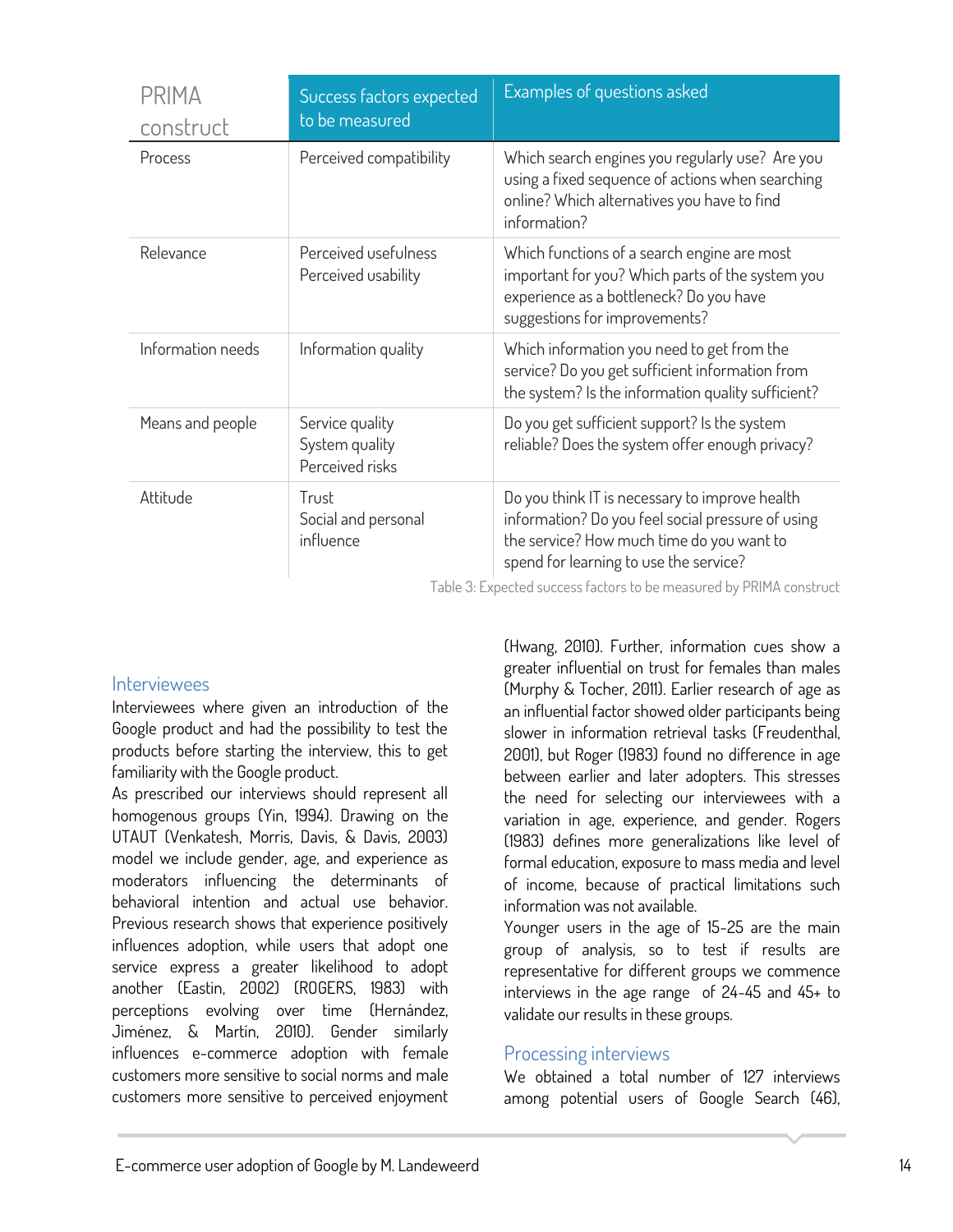| <b>PRIMA</b><br>construct | Success factors expected<br>to be measured           | Examples of questions asked                                                                                                                                                                |
|---------------------------|------------------------------------------------------|--------------------------------------------------------------------------------------------------------------------------------------------------------------------------------------------|
| Process                   | Perceived compatibility                              | Which search engines you regularly use? Are you<br>using a fixed sequence of actions when searching<br>online? Which alternatives you have to find<br>information?                         |
| Relevance                 | Perceived usefulness<br>Perceived usability          | Which functions of a search engine are most<br>important for you? Which parts of the system you<br>experience as a bottleneck? Do you have<br>suggestions for improvements?                |
| Information needs         | Information quality                                  | Which information you need to get from the<br>service? Do you get sufficient information from<br>the system? Is the information quality sufficient?                                        |
| Means and people          | Service quality<br>System quality<br>Perceived risks | Do you get sufficient support? Is the system<br>reliable? Does the system offer enough privacy?                                                                                            |
| Attitude                  | Trust<br>Social and personal<br>influence            | Do you think IT is necessary to improve health<br>information? Do you feel social pressure of using<br>the service? How much time do you want to<br>spend for learning to use the service? |

Table 3: Expected success factors to be measured by PRIMA construct

#### Interviewees

Interviewees where given an introduction of the Google product and had the possibility to test the products before starting the interview, this to get familiarity with the Google product.

As prescribed our interviews should represent all homogenous groups (Yin, 1994). Drawing on the UTAUT (Venkatesh, Morris, Davis, & Davis, 2003) model we include gender, age, and experience as moderators influencing the determinants of behavioral intention and actual use behavior. Previous research shows that experience positively influences adoption, while users that adopt one service express a greater likelihood to adopt another (Eastin, 2002) (ROGERS, 1983) with perceptions evolving over time (Hernández, Jiménez, & Martín, 2010). Gender similarly influences e-commerce adoption with female customers more sensitive to social norms and male customers more sensitive to perceived enjoyment

(Hwang, 2010). Further, information cues show a greater influential on trust for females than males (Murphy & Tocher, 2011). Earlier research of age as an influential factor showed older participants being slower in information retrieval tasks (Freudenthal, 2001), but Roger (1983) found no difference in age between earlier and later adopters. This stresses the need for selecting our interviewees with a variation in age, experience, and gender. Rogers (1983) defines more generalizations like level of formal education, exposure to mass media and level of income, because of practical limitations such information was not available.

Younger users in the age of 15-25 are the main group of analysis, so to test if results are representative for different groups we commence interviews in the age range of 24-45 and 45+ to validate our results in these groups.

#### Processing interviews

We obtained a total number of 127 interviews among potential users of Google Search (46),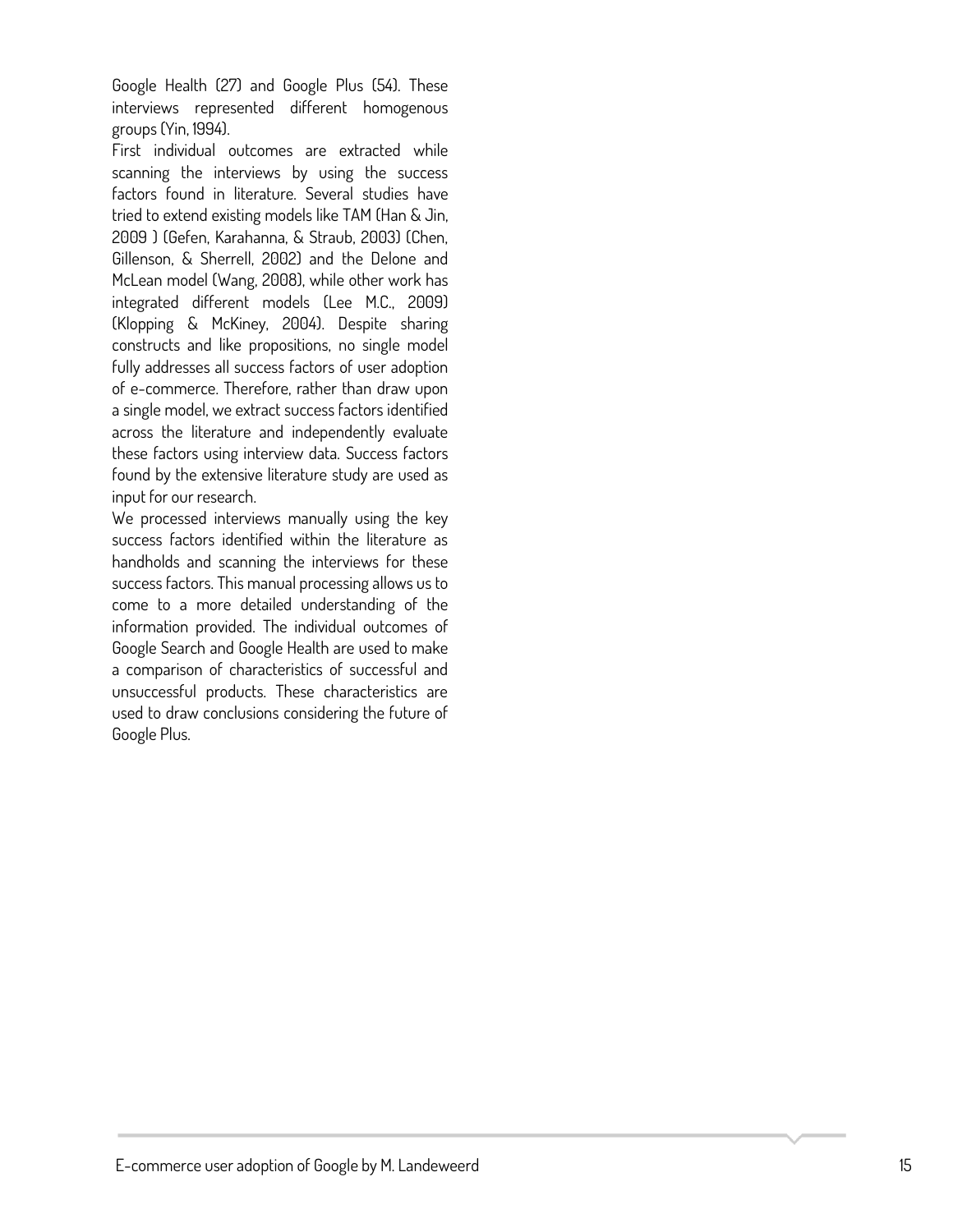Google Health (27) and Google Plus (54). These interviews represented different homogenous groups (Yin, 1994).

First individual outcomes are extracted while scanning the interviews by using the success factors found in literature. Several studies have tried to extend existing models like TAM (Han & Jin, 2009 ) (Gefen, Karahanna, & Straub, 2003) (Chen, Gillenson, & Sherrell, 2002) and the Delone and McLean model (Wang, 2008), while other work has integrated different models (Lee M.C., 2009) (Klopping & McKiney, 2004). Despite sharing constructs and like propositions, no single model fully addresses all success factors of user adoption of e -commerce. Therefore, rather than draw upon a single model, we extract success factors identified across the literature and independently evaluate these factors using interview data. Success factors found by the extensive literature study are used as input for our research.

We processed interviews manually using the key success factors identified within the literature as handholds and scanning the interviews for these success factors. This manual processing allows us to come to a more detailed understanding of the information provided. The individual outcomes of Google Search and Google Health are used to make a comparison of characteristics of successful and unsuccessful products. These characteristics are used to draw conclusions considering the future of Google Plus.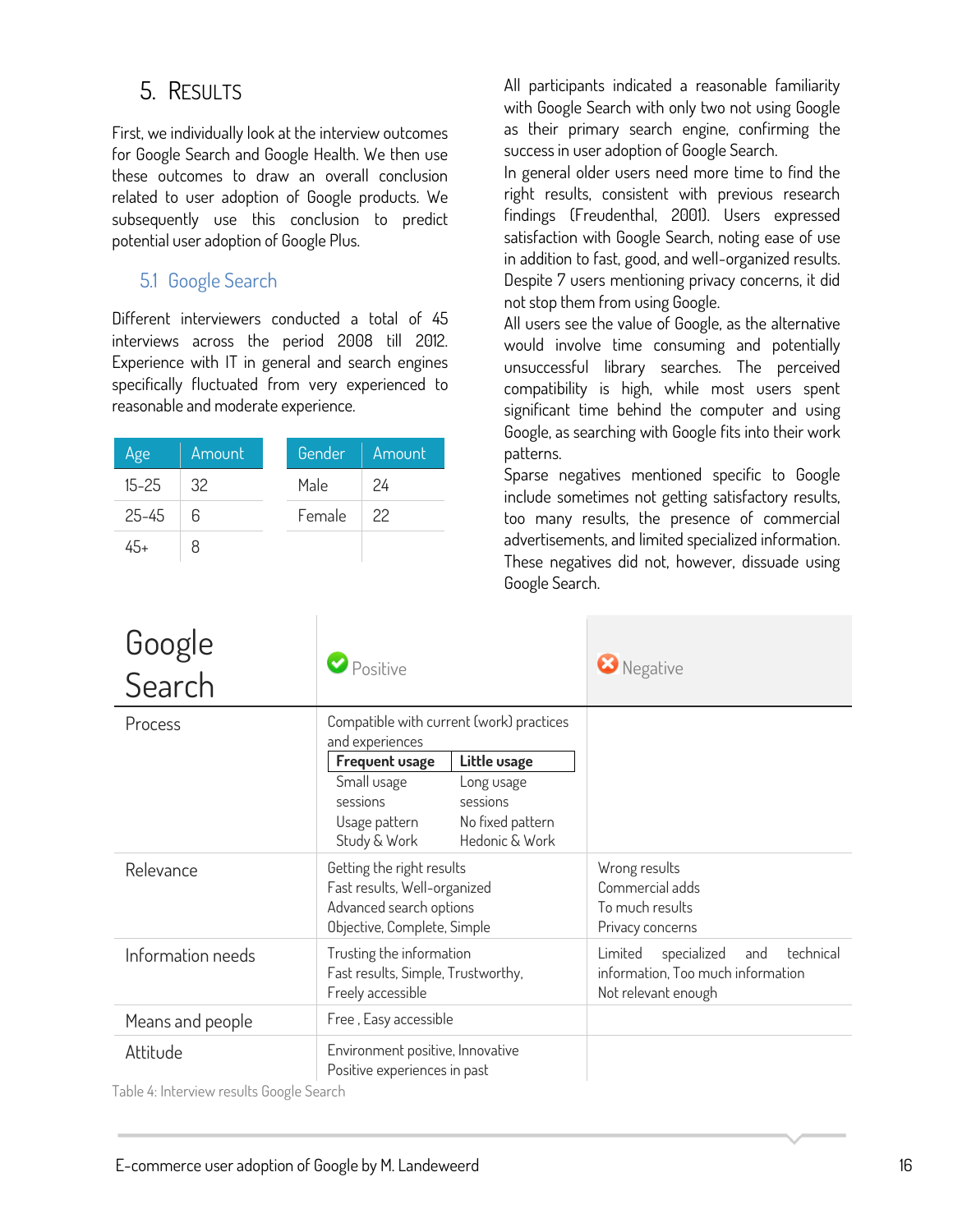## 5. RESULTS

First, we individually look at the interview outcomes for Google Search and Google Health. We then use these outcomes to draw an overall conclusion related to user adoption of Google products. We subsequently use this conclusion to predict potential user adoption of Google Plus.

#### 5.1 Google Search

Different interviewers conducted a total of 45 interviews across the period 2008 till 2012. Experience with IT in general and search engines specifically fluctuated from very experienced to reasonable and moderate experience.

| Age       | Amount |        | Gender Amount |
|-----------|--------|--------|---------------|
| $15 - 25$ | 32     | Male   | 24            |
| $25 - 45$ | ട      | Female | 22            |
| 454       |        |        |               |

All participants indicated a reasonable familiarity with Google Search with only two not using Google as their primary search engine, confirming the success in user adoption of Google Search.

In general older users need more time to find the right results, consistent with previous research findings (Freudenthal, 2001). Users expressed satisfaction with Google Search, noting ease of use in addition to fast, good, and well-organized results. Despite 7 users mentioning privacy concerns, it did not stop them from using Google.

All users see the value of Google, as the alternative would involve time consuming and potentially unsuccessful library searches. The perceived compatibility is high, while most users spent significant time behind the computer and using Google, as searching with Google fits into their work patterns.

Sparse negatives mentioned specific to Google include sometimes not getting satisfactory results, too many results, the presence of commercial advertisements, and limited specialized information. These negatives did not, however, dissuade using Google Search.

| Google<br>Search  | <b>O</b> Positive                                                                                                                                                                                                                | Negative                                                                                               |
|-------------------|----------------------------------------------------------------------------------------------------------------------------------------------------------------------------------------------------------------------------------|--------------------------------------------------------------------------------------------------------|
| Process           | Compatible with current (work) practices<br>and experiences<br><b>Frequent usage</b><br>Little usage<br>Small usage<br>Long usage<br>sessions<br>sessions<br>No fixed pattern<br>Usage pattern<br>Hedonic & Work<br>Study & Work |                                                                                                        |
| Relevance         | Getting the right results<br>Fast results, Well-organized<br>Advanced search options<br>Objective, Complete, Simple                                                                                                              | Wrong results<br>Commercial adds<br>To much results<br>Privacy concerns                                |
| Information needs | Trusting the information<br>Fast results, Simple, Trustworthy,<br>Freely accessible                                                                                                                                              | Limited<br>specialized<br>technical<br>and<br>information, Too much information<br>Not relevant enough |
| Means and people  | Free, Easy accessible                                                                                                                                                                                                            |                                                                                                        |
| Attitude          | Environment positive, Innovative<br>Positive experiences in past                                                                                                                                                                 |                                                                                                        |

Table 4: Interview results Google Search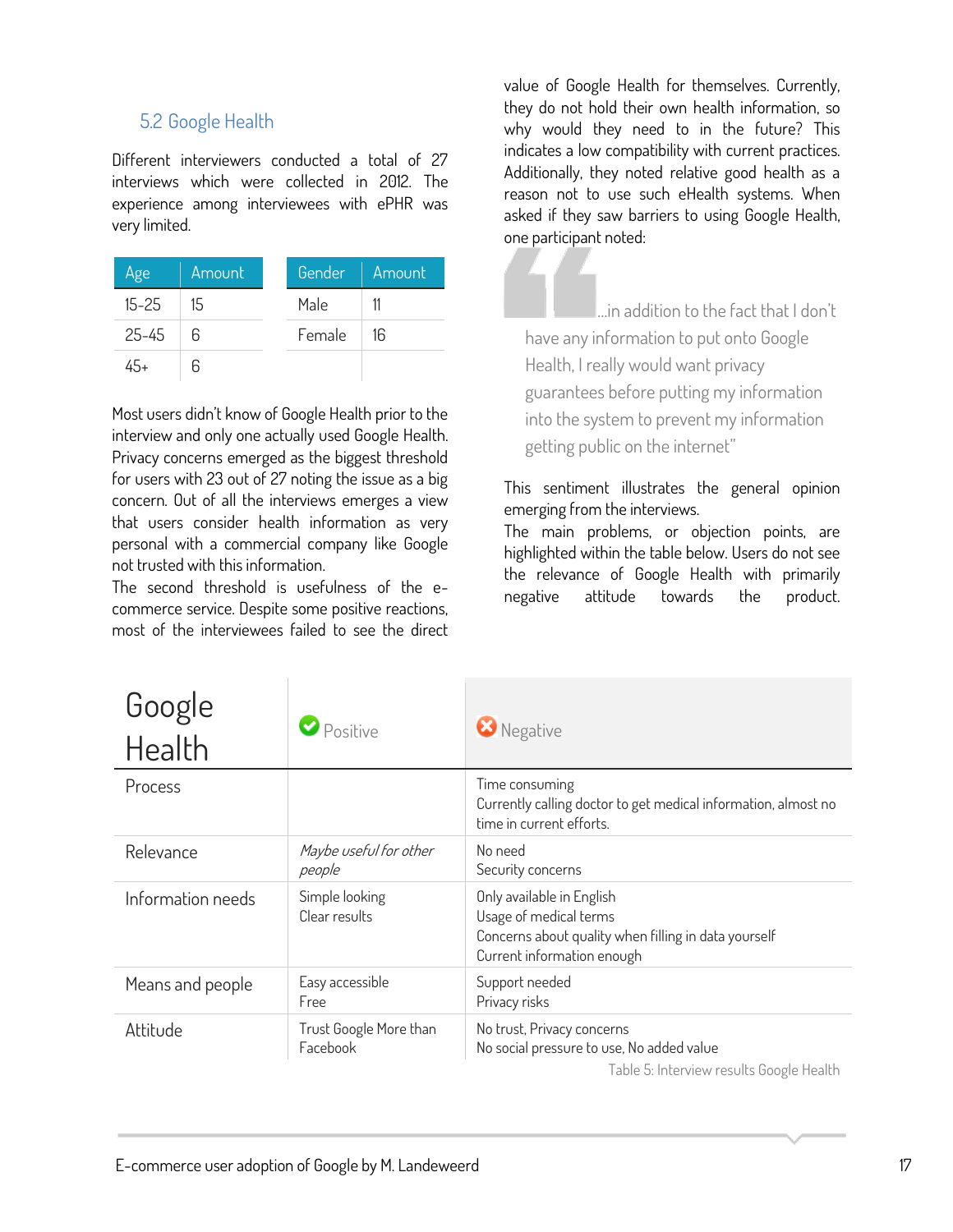#### 5.2 Google Health

Different interviewers conducted a total of 27 interviews which were collected in 2012. The experience among interviewees with ePHR was very limited.

| Age       | Amount | Gender | Amount |
|-----------|--------|--------|--------|
| $15 - 25$ | 15     | Male   |        |
| $25 - 45$ | ନ      | Female | 16     |
|           |        |        |        |

Most users didn't know of Google Health prior to the interview and only one actually used Google Health. Privacy concerns emerged as the biggest threshold for users with 23 out of 27 noting the issue as a big concern. Out of all the interviews emerges a view that users consider health information as very personal with a commercial company like Google not trusted with this information.

The second threshold is usefulness of the ecommerce service. Despite some positive reactions, most of the interviewees failed to see the direct value of Google Health for themselves. Currently, they do not hold their own health information, so why would they need to in the future? This indicates a low compatibility with current practices. Additionally, they noted relative good health as a reason not to use such eHealth systems. When asked if they saw barriers to using Google Health, one participant noted:

…in addition to the fact that I don't have any information to put onto Google Health, I really would want privacy guarantees before putting my information into the system to prevent my information getting public on the internet"

This sentiment illustrates the general opinion emerging from the interviews.

The main problems, or objection points, are highlighted within the table below. Users do not see the relevance of Google Health with primarily negative attitude towards the product.

| Google<br>Health  | <i>Positive</i>                    | <b>S</b> Negative                                                                                                                         |
|-------------------|------------------------------------|-------------------------------------------------------------------------------------------------------------------------------------------|
| Process           |                                    | Time consuming<br>Currently calling doctor to get medical information, almost no<br>time in current efforts.                              |
| Relevance         | Maybe useful for other<br>people   | No need<br>Security concerns                                                                                                              |
| Information needs | Simple looking<br>Clear results    | Only available in English<br>Usage of medical terms<br>Concerns about quality when filling in data yourself<br>Current information enough |
| Means and people  | Easy accessible<br>Free            | Support needed<br>Privacy risks                                                                                                           |
| Attitude          | Trust Google More than<br>Facebook | No trust, Privacy concerns<br>No social pressure to use, No added value<br>Tablo 5: Intonvious rocults Google Hoalth                      |

Table 5: Interview results Google Health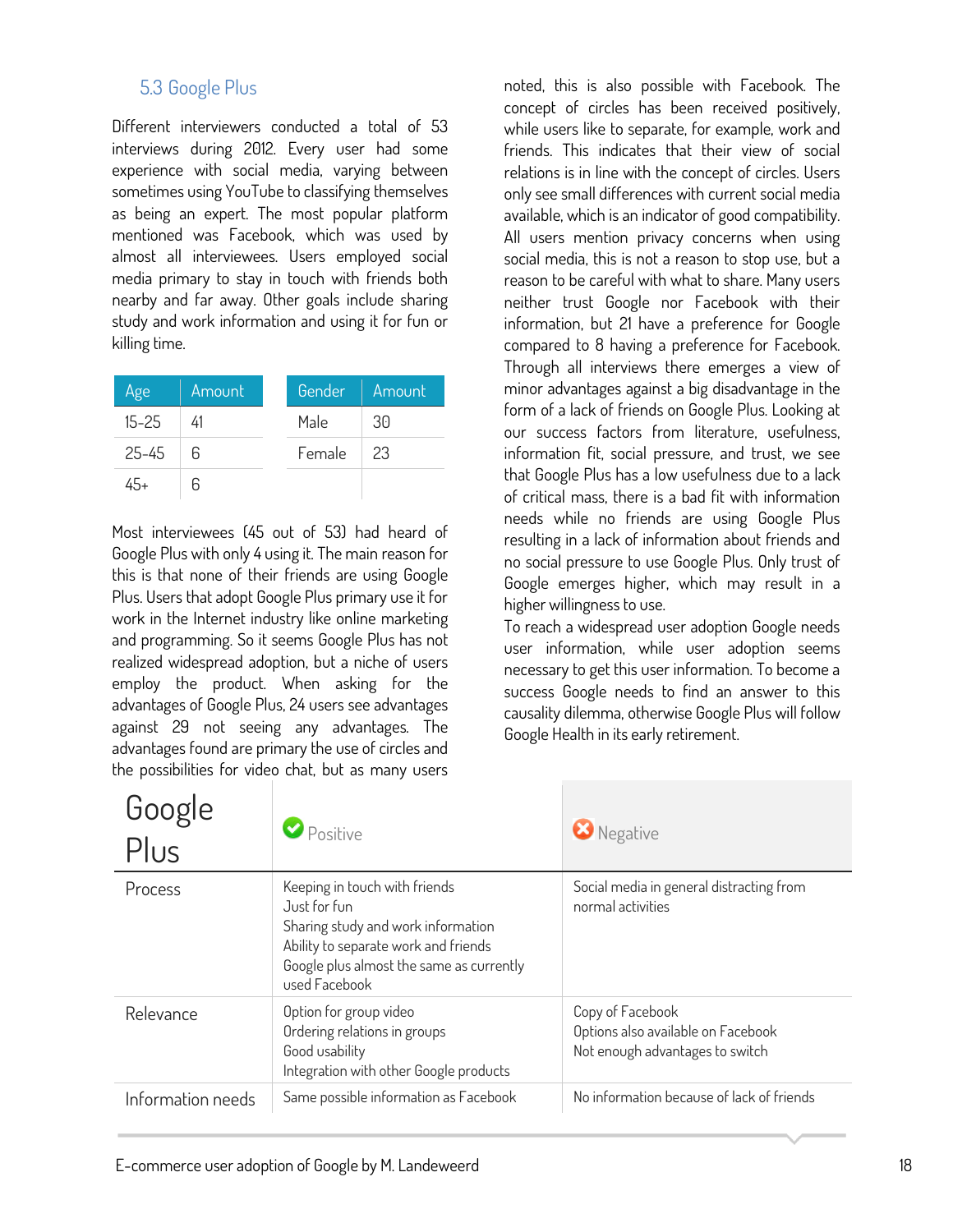#### 5.3 Google Plus

Different interviewers conducted a total of 53 interviews during 2012. Every user had some experience with social media, varying between sometimes using YouTube to classifying themselves as being an expert. The most popular platform mentioned was Facebook, which was used by almost all interviewees. Users employed social media primary to stay in touch with friends both nearby and far away. Other goals include sharing study and work information and using it for fun or killing time.

| Age       | Amount | Gender | Amount |
|-----------|--------|--------|--------|
| $15 - 25$ | 41     | Male   | 30     |
| $25 - 45$ | ନ      | Female | 23     |
| 45+       | ĥ      |        |        |

Most interviewees (45 out of 53) had heard of Google Plus with only 4 using it. The main reason for this is that none of their friends are using Google Plus. Users that adopt Google Plus primary use it for work in the Internet industry like online marketing and programming. So it seems Google Plus has not realized widespread adoption, but a niche of users employ the product. When asking for the advantages of Google Plus, 24 users see advantages against 29 not seeing any advantages. The advantages found are primary the use of circles and the possibilities for video chat, but as many users

noted, this is also possible with Facebook. The concept of circles has been received positively, while users like to separate, for example, work and friends. This indicates that their view of social relations is in line with the concept of circles. Users only see small differences with current social media available, which is an indicator of good compatibility. All users mention privacy concerns when using social media, this is not a reason to stop use, but a reason to be careful with what to share. Many users neither trust Google nor Facebook with their information, but 21 have a preference for Google compared to 8 having a preference for Facebook. Through all interviews there emerges a view of minor advantages against a big disadvantage in the form of a lack of friends on Google Plus. Looking at our success factors from literature, usefulness, information fit, social pressure, and trust, we see that Google Plus has a low usefulness due to a lack of critical mass, there is a bad fit with information needs while no friends are using Google Plus resulting in a lack of information about friends and no social pressure to use Google Plus. Only trust of Google emerges higher, which may result in a higher willingness to use.

To reach a widespread user adoption Google needs user information, while user adoption seems necessary to get this user information. To become a success Google needs to find an answer to this causality dilemma, otherwise Google Plus will follow Google Health in its early retirement.

| Google<br>Plus    | <b>O</b> Positive                                                                                                                                                                        | $\bullet$ Negative                                                                        |
|-------------------|------------------------------------------------------------------------------------------------------------------------------------------------------------------------------------------|-------------------------------------------------------------------------------------------|
| Process           | Keeping in touch with friends<br>Just for fun<br>Sharing study and work information<br>Ability to separate work and friends<br>Google plus almost the same as currently<br>used Facebook | Social media in general distracting from<br>normal activities                             |
| Relevance         | Option for group video<br>Ordering relations in groups<br>Good usability<br>Integration with other Google products                                                                       | Copy of Facebook<br>Options also available on Facebook<br>Not enough advantages to switch |
| Information needs | Same possible information as Facebook                                                                                                                                                    | No information because of lack of friends                                                 |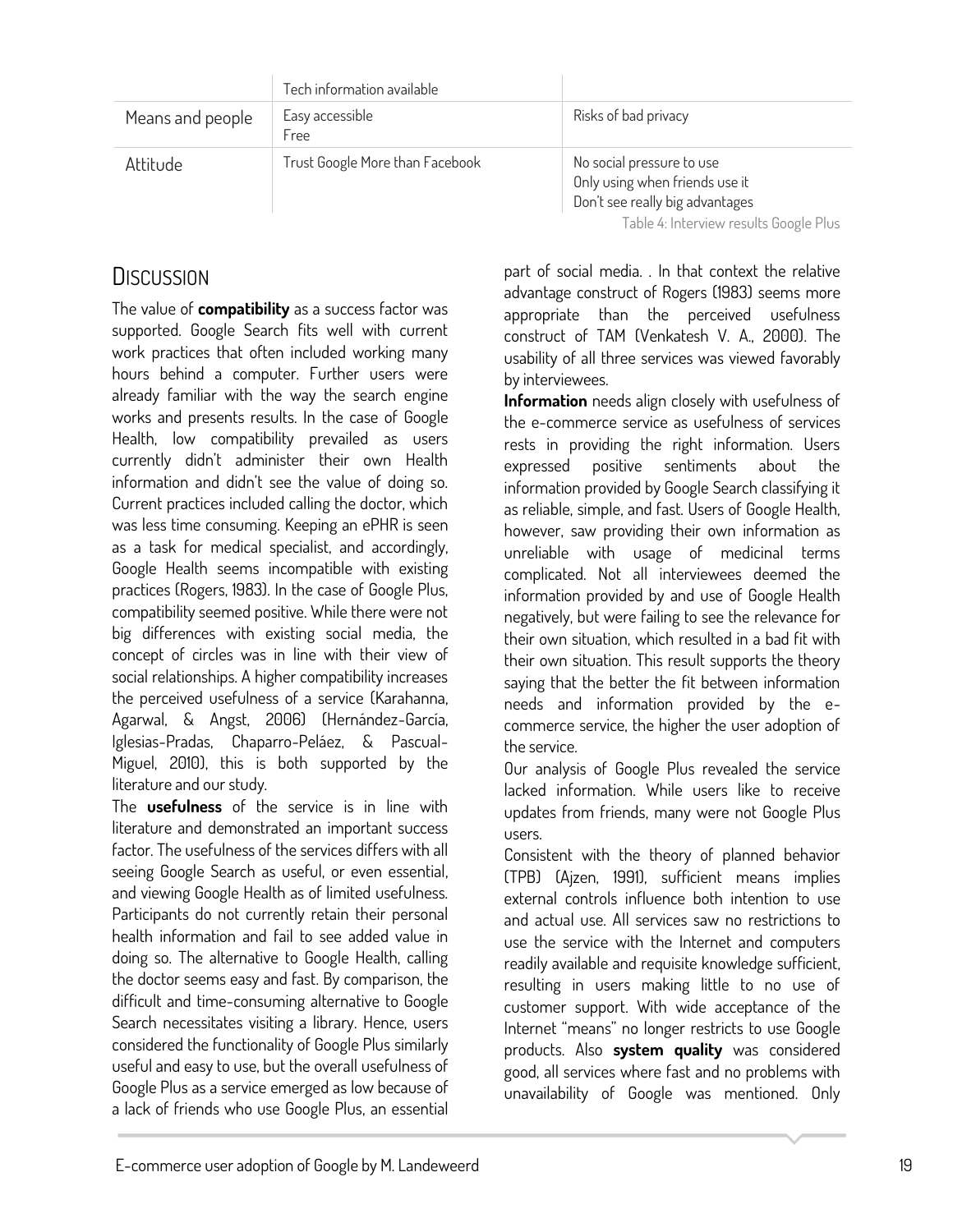|                  | Tech information available      |                                                                                                |
|------------------|---------------------------------|------------------------------------------------------------------------------------------------|
| Means and people | Easy accessible<br>Free         | Risks of bad privacy                                                                           |
| Attitude         | Trust Google More than Facebook | No social pressure to use<br>Only using when friends use it<br>Don't see really big advantages |
|                  |                                 | Table 4: Interview results Google Plus                                                         |

#### **DISCUSSION**

The value of **compatibility** as a success factor was supported. Google Search fits well with current work practices that often included working many hours behind a computer. Further users were already familiar with the way the search engine works and presents results. In the case of Google Health, low compatibility prevailed as users currently didn't administer their own Health information and didn't see the value of doing so. Current practices included calling the doctor, which was less time consuming. Keeping an ePHR is seen as a task for medical specialist, and accordingly, Google Health seems incompatible with existing practices (Rogers, 1983). In the case of Google Plus, compatibility seemed positive. While there were not big differences with existing social media, the concept of circles was in line with their view of social relationships. A higher compatibility increases the perceived usefulness of a service (Karahanna, Agarwal, & Angst, 2006) (Hernández-García, Iglesias-Pradas, Chaparro-Peláez, & Pascual-Miguel, 2010), this is both supported by the literature and our study.

The **usefulness** of the service is in line with literature and demonstrated an important success factor. The usefulness of the services differs with all seeing Google Search as useful, or even essential, and viewing Google Health as of limited usefulness. Participants do not currently retain their personal health information and fail to see added value in doing so. The alternative to Google Health, calling the doctor seems easy and fast. By comparison, the difficult and time-consuming alternative to Google Search necessitates visiting a library. Hence, users considered the functionality of Google Plus similarly useful and easy to use, but the overall usefulness of Google Plus as a service emerged as low because of a lack of friends who use Google Plus, an essential

part of social media. . In that context the relative advantage construct of Rogers (1983) seems more appropriate than the perceived usefulness construct of TAM (Venkatesh V. A., 2000). The usability of all three services was viewed favorably by interviewees.

**Information** needs align closely with usefulness of the e-commerce service as usefulness of services rests in providing the right information. Users expressed positive sentiments about the information provided by Google Search classifying it as reliable, simple, and fast. Users of Google Health, however, saw providing their own information as unreliable with usage of medicinal terms complicated. Not all interviewees deemed the information provided by and use of Google Health negatively, but were failing to see the relevance for their own situation, which resulted in a bad fit with their own situation. This result supports the theory saying that the better the fit between information needs and information provided by the ecommerce service, the higher the user adoption of the service.

Our analysis of Google Plus revealed the service lacked information. While users like to receive updates from friends, many were not Google Plus users.

Consistent with the theory of planned behavior (TPB) (Ajzen, 1991), sufficient means implies external controls influence both intention to use and actual use. All services saw no restrictions to use the service with the Internet and computers readily available and requisite knowledge sufficient, resulting in users making little to no use of customer support. With wide acceptance of the Internet "means" no longer restricts to use Google products. Also **system quality** was considered good, all services where fast and no problems with unavailability of Google was mentioned. Only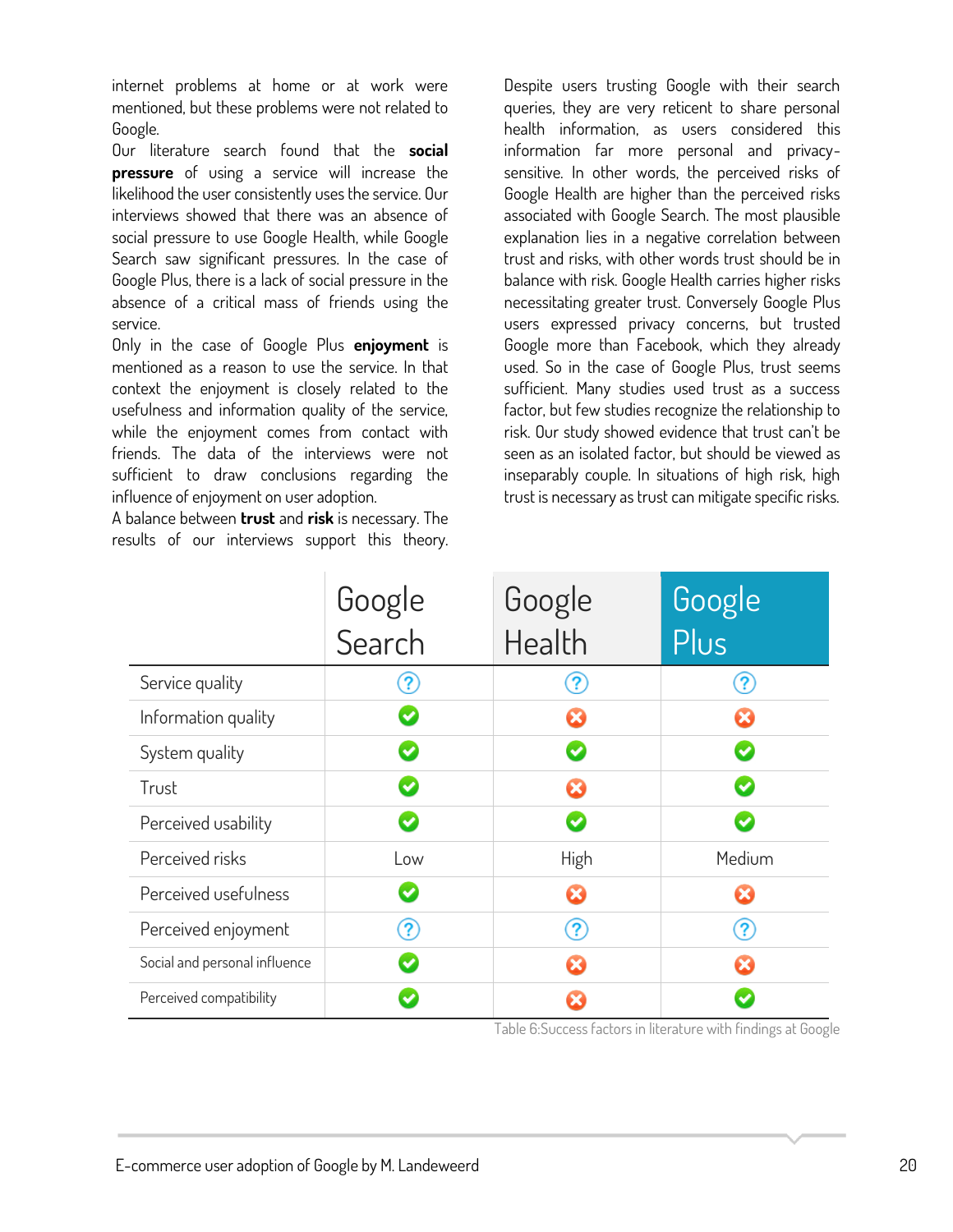internet problems at home or at work were mentioned, but these problems were not related to Google.

Our literature search found that the **social pressure** of using a service will increase the likelihood the user consistently uses the service. Our interviews showed that there was an absence of social pressure to use Google Health, while Google Search saw significant pressures. In the case of Google Plus, there is a lack of social pressure in the absence of a critical mass of friends using the service.

Only in the case of Google Plus **enjoyment** is mentioned as a reason to use the service. In that context the enjoyment is closely related to the usefulness and information quality of the service, while the enjoyment comes from contact with friends. The data of the interviews were not sufficient to draw conclusions regarding the influence of enjoyment on user adoption.

A balance between **trust** and **risk** is necessary. The results of our interviews support this theory. Despite users trusting Google with their search queries, they are very reticent to share personal health information, as users considered this information far more personal and privacysensitive. In other words, the perceived risks of Google Health are higher than the perceived risks associated with Google Search. The most plausible explanation lies in a negative correlation between trust and risks, with other words trust should be in balance with risk. Google Health carries higher risks necessitating greater trust. Conversely Google Plus users expressed privacy concerns, but trusted Google more than Facebook, which they already used. So in the case of Google Plus, trust seems sufficient. Many studies used trust as a success factor, but few studies recognize the relationship to risk. Our study showed evidence that trust can't be seen as an isolated factor, but should be viewed as inseparably couple. In situations of high risk, high trust is necessary as trust can mitigate specific risks.

|                               | Google<br>Search        | Google<br>Health        | Google<br>Plus |
|-------------------------------|-------------------------|-------------------------|----------------|
| Service quality               | $\overline{\mathbf{?}}$ | $\overline{\mathbf{?}}$ |                |
| Information quality           | Ø                       | ×                       |                |
| System quality                | Ø                       | Ø                       |                |
| Trust                         | Ø                       | x                       |                |
| Perceived usability           | Ø                       | ✔                       |                |
| Perceived risks               | Low                     | High                    | Medium         |
| Perceived usefulness          | Ø                       | ×                       |                |
| Perceived enjoyment           | ?)                      | ?                       |                |
| Social and personal influence | Ø                       | ×                       |                |
| Perceived compatibility       |                         |                         |                |

Table 6:Success factors in literature with findings at Google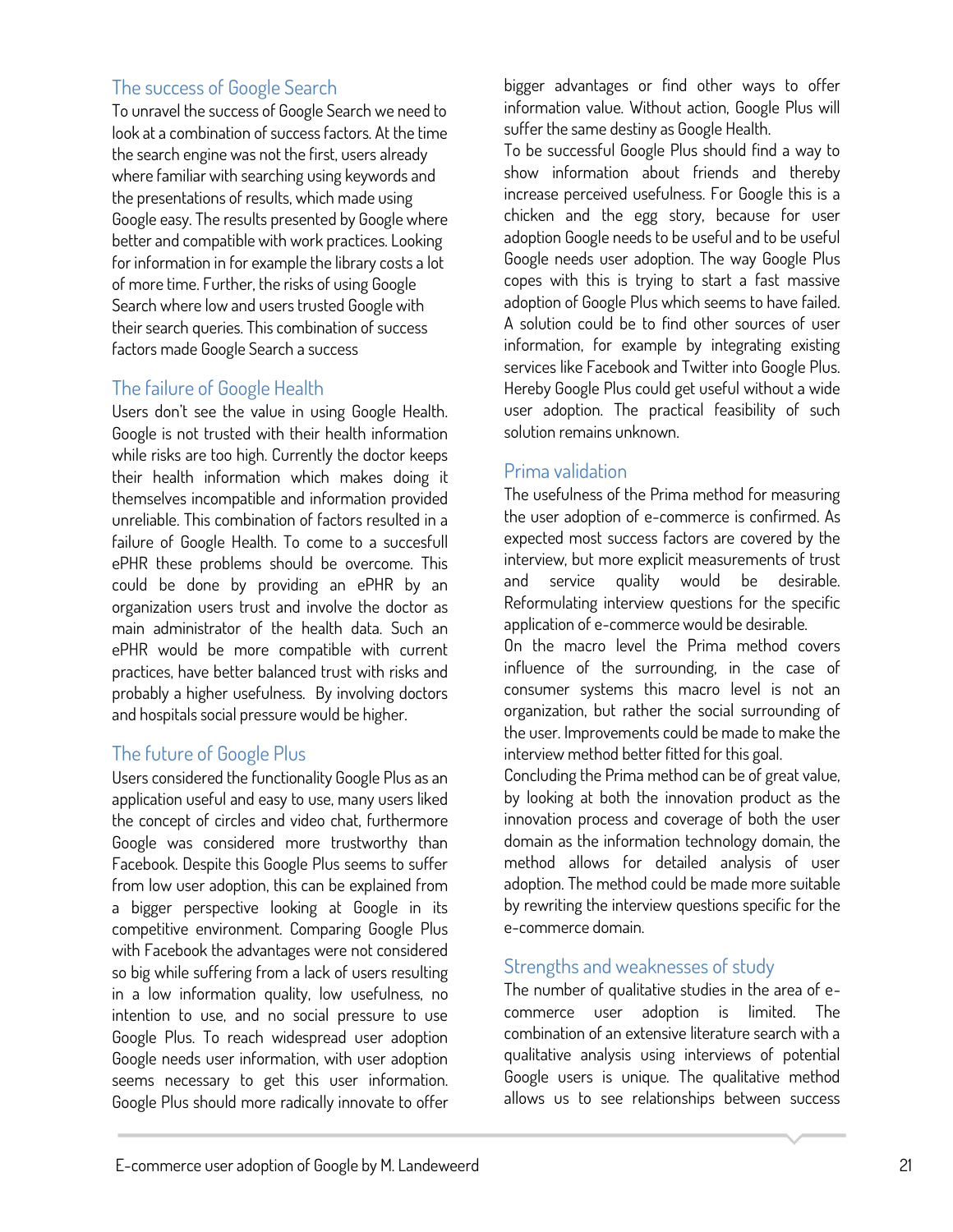#### The success of Google Search

To unravel the success of Google Search we need to look at a combination of success factors. At the time the search engine was not the first, users already where familiar with searching using keywords and the presentations of results, which made using Google easy. The results presented by Google where better and compatible with work practices. Looking for information in for example the library costs a lot of more time. Further, the risks of using Google Search where low and users trusted Google with their search queries. This combination of success factors made Google Search a success

#### The failure of Google Health

Users don't see the value in using Google Health. Google is not trusted with their health information while risks are too high. Currently the doctor keeps their health information which makes doing it themselves incompatible and information provided unreliable. This combination of factors resulted in a failure of Google Health. To come to a succesfull ePHR these problems should be overcome. This could be done by providing an ePHR by an organization users trust and involve the doctor as main administrator of the health data. Such an ePHR would be more compatible with current practices, have better balanced trust with risks and probably a higher usefulness. By involving doctors and hospitals social pressure would be higher.

#### The future of Google Plus

Users considered the functionality Google Plus as an application useful and easy to use, many users liked the concept of circles and video chat, furthermore Google was considered more trustworthy than Facebook. Despite this Google Plus seems to suffer from low user adoption, this can be explained from a bigger perspective looking at Google in its competitive environment. Comparing Google Plus with Facebook the advantages were not considered so big while suffering from a lack of users resulting in a low information quality, low usefulness, no intention to use, and no social pressure to use Google Plus. To reach widespread user adoption Google needs user information, with user adoption seems necessary to get this user information. Google Plus should more radically innovate to offer bigger advantages or find other ways to offer information value. Without action, Google Plus will suffer the same destiny as Google Health.

To be successful Google Plus should find a way to show information about friends and thereby increase perceived usefulness. For Google this is a chicken and the egg story, because for user adoption Google needs to be useful and to be useful Google needs user adoption. The way Google Plus copes with this is trying to start a fast massive adoption of Google Plus which seems to have failed. A solution could be to find other sources of user information, for example by integrating existing services like Facebook and Twitter into Google Plus. Hereby Google Plus could get useful without a wide user adoption. The practical feasibility of such solution remains unknown.

#### Prima validation

The usefulness of the Prima method for measuring the user adoption of e-commerce is confirmed. As expected most success factors are covered by the interview, but more explicit measurements of trust and service quality would be desirable. Reformulating interview questions for the specific application of e-commerce would be desirable.

On the macro level the Prima method covers influence of the surrounding, in the case of consumer systems this macro level is not an organization, but rather the social surrounding of the user. Improvements could be made to make the interview method better fitted for this goal.

Concluding the Prima method can be of great value, by looking at both the innovation product as the innovation process and coverage of both the user domain as the information technology domain, the method allows for detailed analysis of user adoption. The method could be made more suitable by rewriting the interview questions specific for the e-commerce domain.

#### Strengths and weaknesses of study

The number of qualitative studies in the area of ecommerce user adoption is limited. The combination of an extensive literature search with a qualitative analysis using interviews of potential Google users is unique. The qualitative method allows us to see relationships between success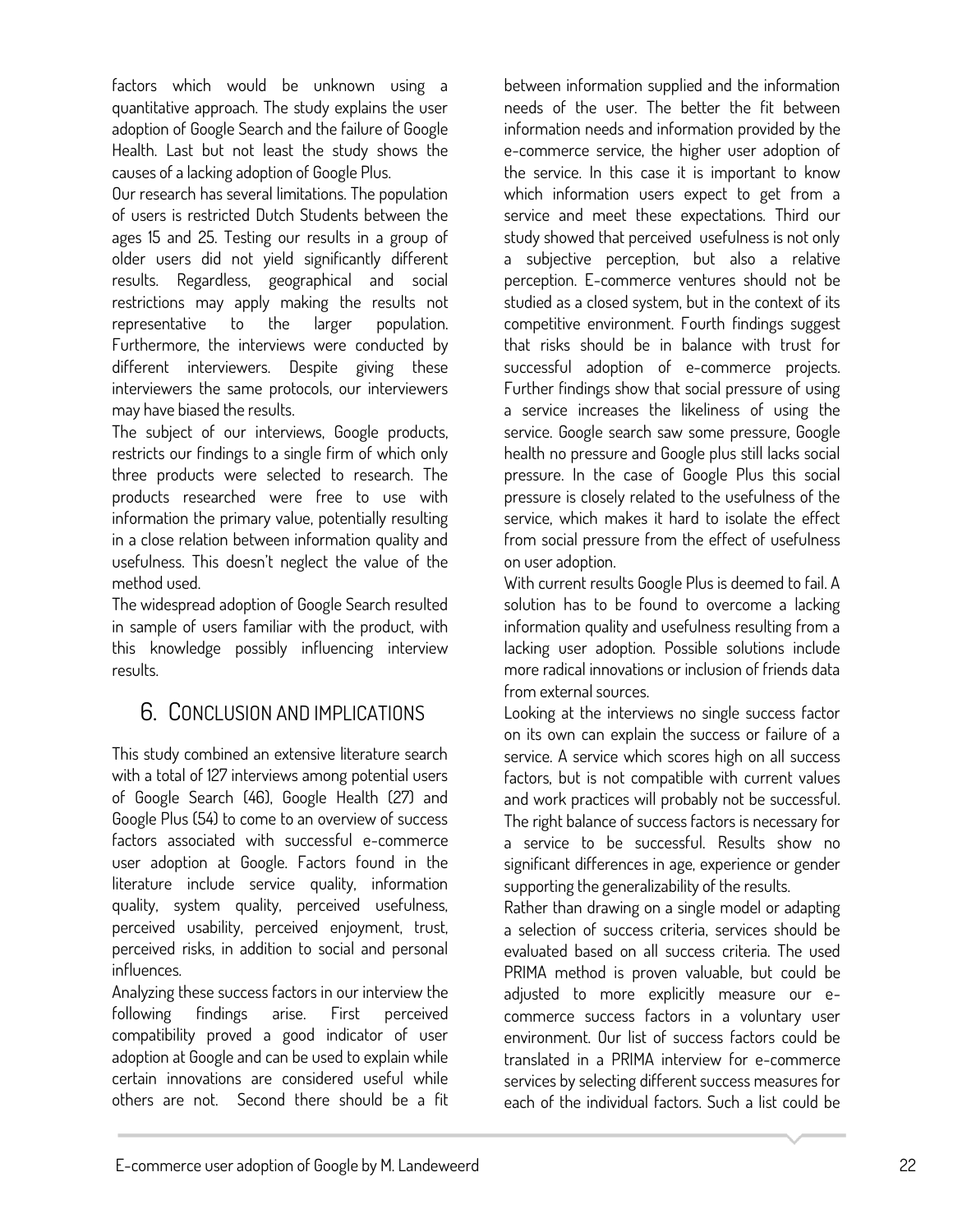factors which would be unknown using a quantitative approach. The study explains the user adoption of Google Search and the failure of Google Health. Last but not least the study shows the causes of a lacking adoption of Google Plus.

Our research has several limitations. The population of users is restricted Dutch Students between the ages 15 and 25. Testing our results in a group of older users did not yield significantly different results. Regardless, geographical and social restrictions may apply making the results not representative to the larger population. Furthermore, the interviews were conducted by different interviewers. Despite giving these interviewers the same protocols, our interviewers may have biased the results.

The subject of our interviews, Google products, restricts our findings to a single firm of which only three products were selected to research. The products researched were free to use with information the primary value, potentially resulting in a close relation between information quality and usefulness. This doesn't neglect the value of the method used.

The widespread adoption of Google Search resulted in sample of users familiar with the product, with this knowledge possibly influencing interview results.

#### 6. CONCLUSION AND IMPLICATIONS

This study combined an extensive literature search with a total of 127 interviews among potential users of Google Search (46), Google Health (27) and Google Plus (54) to come to an overview of success factors associated with successful e-commerce user adoption at Google. Factors found in the literature include service quality, information quality, system quality, perceived usefulness, perceived usability, perceived enjoyment, trust, perceived risks, in addition to social and personal influences.

Analyzing these success factors in our interview the following findings arise. First perceived compatibility proved a good indicator of user adoption at Google and can be used to explain while certain innovations are considered useful while others are not. Second there should be a fit

between information supplied and the information needs of the user. The better the fit between information needs and information provided by the e-commerce service, the higher user adoption of the service. In this case it is important to know which information users expect to get from a service and meet these expectations. Third our study showed that perceived usefulness is not only a subjective perception, but also a relative perception. E-commerce ventures should not be studied as a closed system, but in the context of its competitive environment. Fourth findings suggest that risks should be in balance with trust for successful adoption of e-commerce projects. Further findings show that social pressure of using a service increases the likeliness of using the service. Google search saw some pressure, Google health no pressure and Google plus still lacks social pressure. In the case of Google Plus this social pressure is closely related to the usefulness of the service, which makes it hard to isolate the effect from social pressure from the effect of usefulness on user adoption.

With current results Google Plus is deemed to fail. A solution has to be found to overcome a lacking information quality and usefulness resulting from a lacking user adoption. Possible solutions include more radical innovations or inclusion of friends data from external sources.

Looking at the interviews no single success factor on its own can explain the success or failure of a service. A service which scores high on all success factors, but is not compatible with current values and work practices will probably not be successful. The right balance of success factors is necessary for a service to be successful. Results show no significant differences in age, experience or gender supporting the generalizability of the results.

Rather than drawing on a single model or adapting a selection of success criteria, services should be evaluated based on all success criteria. The used PRIMA method is proven valuable, but could be adjusted to more explicitly measure our ecommerce success factors in a voluntary user environment. Our list of success factors could be translated in a PRIMA interview for e-commerce services by selecting different success measures for each of the individual factors. Such a list could be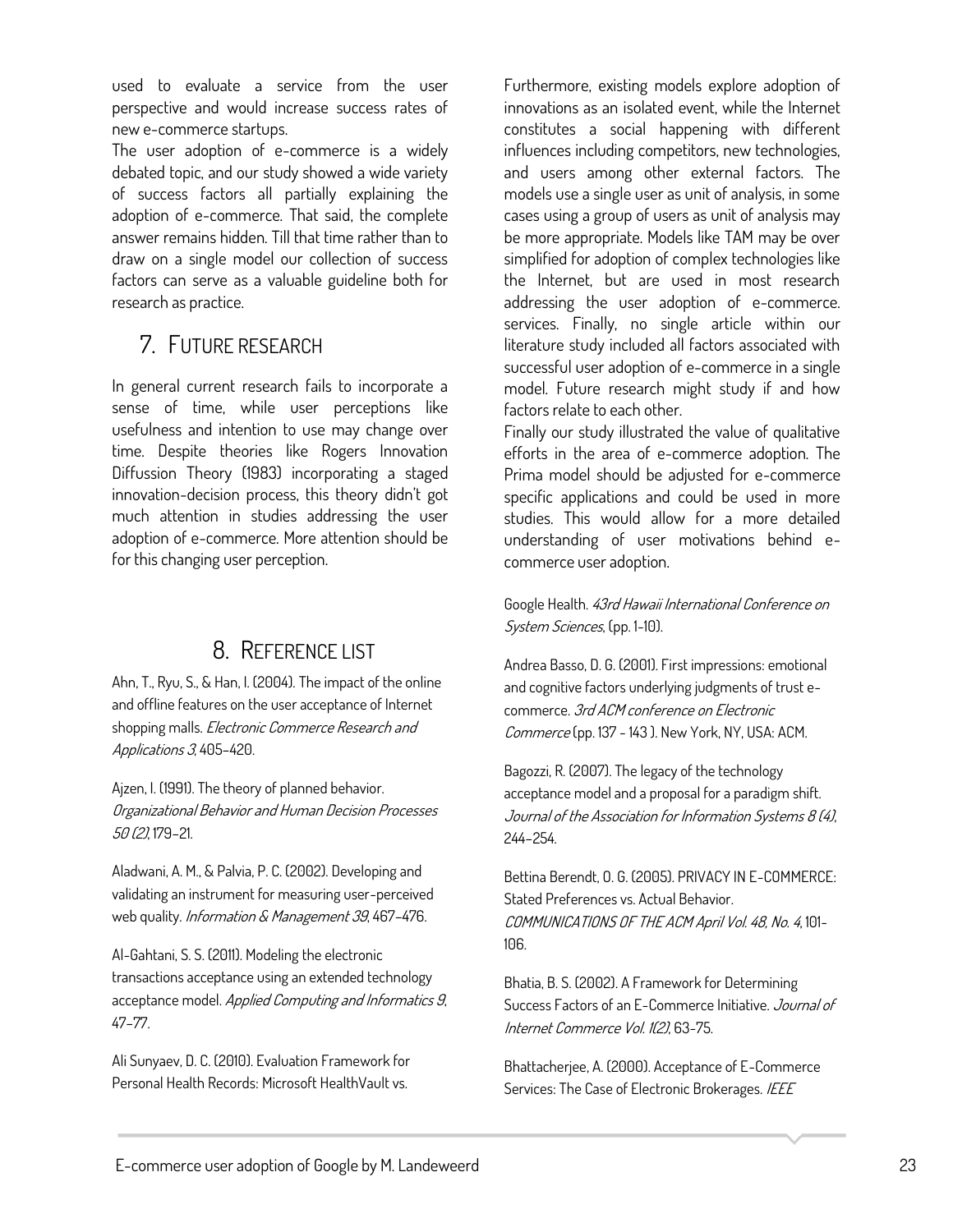used to evaluate a service from the user perspective and would increase success rates of new e-commerce startups.

The user adoption of e-commerce is a widely debated topic, and our study showed a wide variety of success factors all partially explaining the adoption of e-commerce. That said, the complete answer remains hidden. Till that time rather than to draw on a single model our collection of success factors can serve as a valuable guideline both for research as practice.

## 7. FUTURE RESEARCH

In general current research fails to incorporate a sense of time, while user perceptions like usefulness and intention to use may change over time. Despite theories like Rogers Innovation Diffussion Theory (1983) incorporating a staged innovation-decision process, this theory didn't got much attention in studies addressing the user adoption of e-commerce. More attention should be for this changing user perception.

# 8. REFERENCE LIST

Ahn, T., Ryu, S., & Han, I. (2004). The impact of the online and offline features on the user acceptance of Internet shopping malls. Electronic Commerce Research and Applications 3, 405–420.

Ajzen, I. (1991). The theory of planned behavior. Organizational Behavior and Human Decision Processes 50 (2), 179–21.

Aladwani, A. M., & Palvia, P. C. (2002). Developing and validating an instrument for measuring user-perceived web quality. *Information & Management 39*, 467-476.

Al-Gahtani, S. S. (2011). Modeling the electronic transactions acceptance using an extended technology acceptance model. Applied Computing and Informatics 9, 47–77.

Ali Sunyaev, D. C. (2010). Evaluation Framework for Personal Health Records: Microsoft HealthVault vs.

Furthermore, existing models explore adoption of innovations as an isolated event, while the Internet constitutes a social happening with different influences including competitors, new technologies, and users among other external factors. The models use a single user as unit of analysis, in some cases using a group of users as unit of analysis may be more appropriate. Models like TAM may be over simplified for adoption of complex technologies like the Internet, but are used in most research addressing the user adoption of e-commerce. services. Finally, no single article within our literature study included all factors associated with successful user adoption of e-commerce in a single model. Future research might study if and how factors relate to each other.

Finally our study illustrated the value of qualitative efforts in the area of e-commerce adoption. The Prima model should be adjusted for e-commerce specific applications and could be used in more studies. This would allow for a more detailed understanding of user motivations behind ecommerce user adoption.

Google Health. 43rd Hawaii International Conference on System Sciences, (pp. 1-10).

Andrea Basso, D. G. (2001). First impressions: emotional and cognitive factors underlying judgments of trust ecommerce. 3rd ACM conference on Electronic Commerce (pp. 137 - 143 ). New York, NY, USA: ACM.

Bagozzi, R. (2007). The legacy of the technology acceptance model and a proposal for a paradigm shift. Journal of the Association for Information Systems 8 (4), 244–254.

Bettina Berendt, O. G. (2005). PRIVACY IN E-COMMERCE: Stated Preferences vs. Actual Behavior. COMMUNICATIONS OF THE ACM April Vol. 48, No. 4, 101- 106.

Bhatia, B. S. (2002). A Framework for Determining Success Factors of an E-Commerce Initiative. Journal of Internet Commerce Vol. 1(2), 63-75.

Bhattacherjee, A. (2000). Acceptance of E-Commerce Services: The Case of Electronic Brokerages. IEEE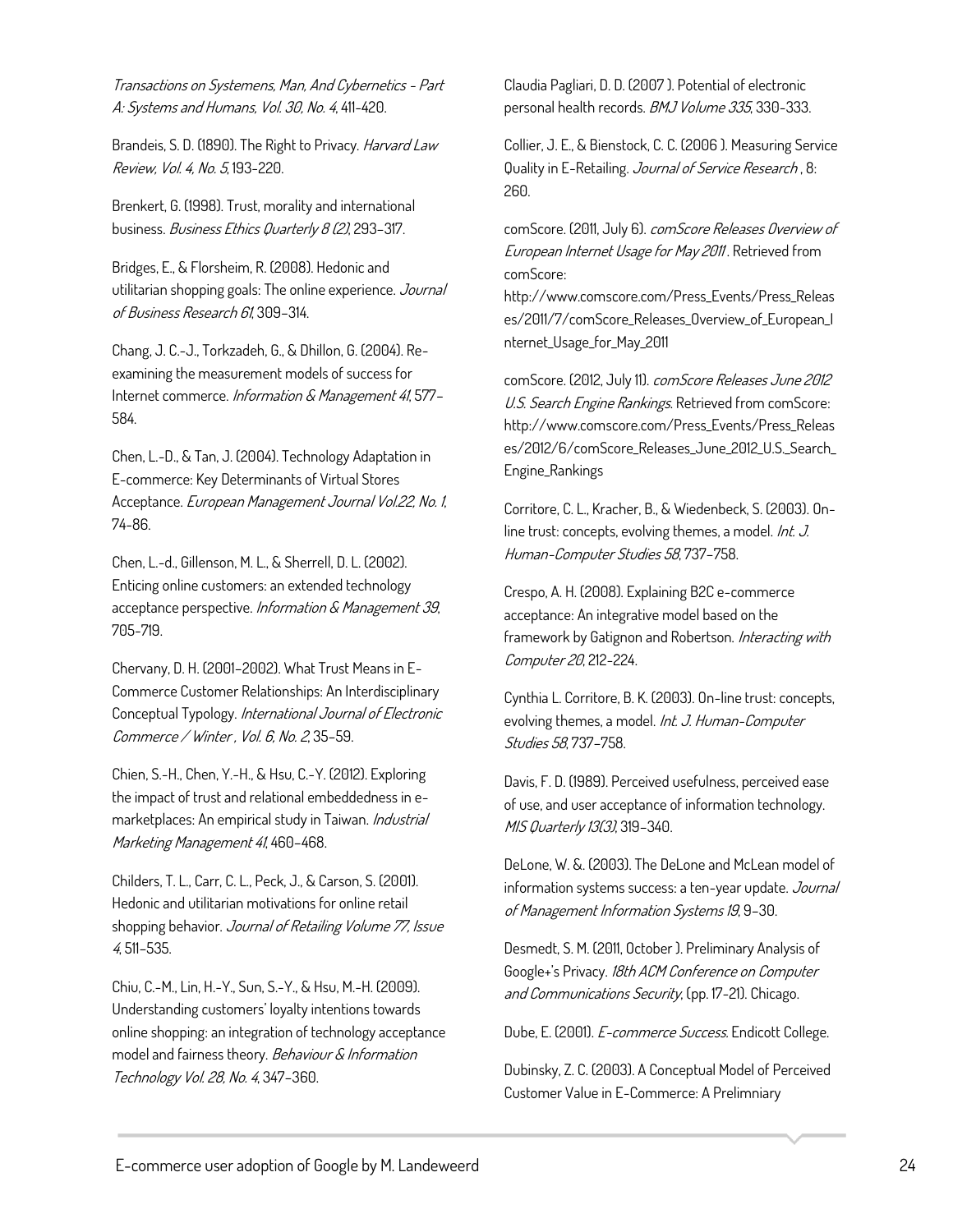Transactions on Systemens, Man, And Cybernetics - Part A: Systems and Humans, Vol. 30, No. 4, 411-420.

Brandeis, S. D. (1890). The Right to Privacy. Harvard Law Review, Vol. 4, No. 5, 193-220.

Brenkert, G. (1998). Trust, morality and international business. Business Ethics Quarterly 8 (2), 293–317.

Bridges, E., & Florsheim, R. (2008). Hedonic and utilitarian shopping goals: The online experience. Journal of Business Research 61, 309–314.

Chang, J. C.-J., Torkzadeh, G., & Dhillon, G. (2004). Reexamining the measurement models of success for Internet commerce. Information & Management 41, 577– 584.

Chen, L.-D., & Tan, J. (2004). Technology Adaptation in E-commerce: Key Determinants of Virtual Stores Acceptance. European Management Journal Vol.22, No. 1, 74-86.

Chen, L.-d., Gillenson, M. L., & Sherrell, D. L. (2002). Enticing online customers: an extended technology acceptance perspective. Information & Management 39, 705-719.

Chervany, D. H. (2001–2002). What Trust Means in E-Commerce Customer Relationships: An Interdisciplinary Conceptual Typology. International Journal of Electronic Commerce / Winter , Vol. 6, No. 2, 35–59.

Chien, S.-H., Chen, Y.-H., & Hsu, C.-Y. (2012). Exploring the impact of trust and relational embeddedness in emarketplaces: An empirical study in Taiwan. Industrial Marketing Management 41, 460-468.

Childers, T. L., Carr, C. L., Peck, J., & Carson, S. (2001). Hedonic and utilitarian motivations for online retail shopping behavior. Journal of Retailing Volume 77, Issue 4, 511–535.

Chiu, C.-M., Lin, H.-Y., Sun, S.-Y., & Hsu, M.-H. (2009). Understanding customers' loyalty intentions towards online shopping: an integration of technology acceptance model and fairness theory. Behaviour & Information Technology Vol. 28, No. 4, 347–360.

Claudia Pagliari, D. D. (2007 ). Potential of electronic personal health records. BMJ Volume 335, 330-333.

Collier, J. E., & Bienstock, C. C. (2006 ). Measuring Service Quality in E-Retailing. Journal of Service Research, 8: 260.

comScore. (2011, July 6). comScore Releases Overview of European Internet Usage for May 2011 . Retrieved from comScore:

http://www.comscore.com/Press\_Events/Press\_Releas es/2011/7/comScore\_Releases\_Overview\_of\_European\_I nternet\_Usage\_for\_May\_2011

comScore. (2012, July 11). comScore Releases June 2012 U.S. Search Engine Rankings. Retrieved from comScore: http://www.comscore.com/Press\_Events/Press\_Releas es/2012/6/comScore\_Releases\_June\_2012\_U.S.\_Search\_ Engine\_Rankings

Corritore, C. L., Kracher, B., & Wiedenbeck, S. (2003). Online trust: concepts, evolving themes, a model. Int. J. Human-Computer Studies 58, 737–758.

Crespo, A. H. (2008). Explaining B2C e-commerce acceptance: An integrative model based on the framework by Gatignon and Robertson. Interacting with Computer 20, 212-224.

Cynthia L. Corritore, B. K. (2003). On-line trust: concepts, evolving themes, a model. Int. J. Human-Computer Studies 58, 737–758.

Davis, F. D. (1989). Perceived usefulness, perceived ease of use, and user acceptance of information technology. MIS Quarterly 13(3), 319–340.

DeLone, W. &. (2003). The DeLone and McLean model of information systems success: a ten-year update. Journal of Management Information Systems 19, 9–30.

Desmedt, S. M. (2011, October ). Preliminary Analysis of Google+'s Privacy. 18th ACM Conference on Computer and Communications Security, (pp. 17-21). Chicago.

Dube, E. (2001). E-commerce Success. Endicott College.

Dubinsky, Z. C. (2003). A Conceptual Model of Perceived Customer Value in E-Commerce: A Prelimniary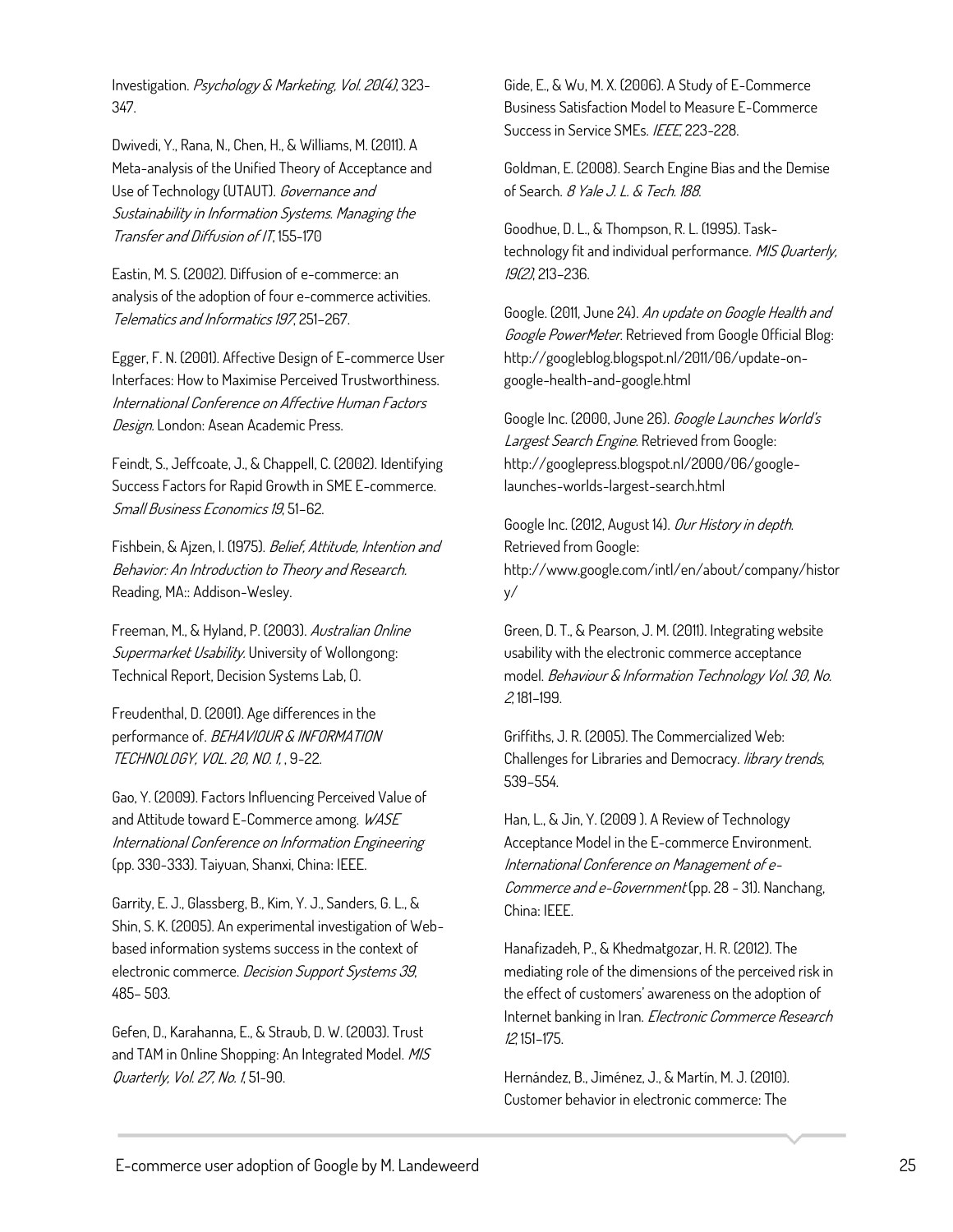Investigation. Psychology & Marketing, Vol. 20(4), 323- 347.

Dwivedi, Y., Rana, N., Chen, H., & Williams, M. (2011). A Meta-analysis of the Unified Theory of Acceptance and Use of Technology (UTAUT). Governance and Sustainability in Information Systems. Managing the Transfer and Diffusion of IT, 155-170

Eastin, M. S. (2002). Diffusion of e-commerce: an analysis of the adoption of four e-commerce activities. Telematics and Informatics 197, 251–267.

Egger, F. N. (2001). Affective Design of E-commerce User Interfaces: How to Maximise Perceived Trustworthiness. International Conference on Affective Human Factors Design. London: Asean Academic Press.

Feindt, S., Jeffcoate, J., & Chappell, C. (2002). Identifying Success Factors for Rapid Growth in SME E-commerce. Small Business Economics 19, 51–62.

Fishbein, & Ajzen, I. (1975). Belief, Attitude, Intention and Behavior: An Introduction to Theory and Research. Reading, MA:: Addison-Wesley.

Freeman, M., & Hyland, P. (2003). Australian Online Supermarket Usability. University of Wollongong: Technical Report, Decision Systems Lab, ().

Freudenthal, D. (2001). Age differences in the performance of. BEHAVIOUR & INFORMATION TECHNOLOGY, VOL. 20, NO. 1, , 9-22.

Gao, Y. (2009). Factors Influencing Perceived Value of and Attitude toward E-Commerce among. WASE International Conference on Information Engineering (pp. 330-333). Taiyuan, Shanxi, China: IEEE.

Garrity, E. J., Glassberg, B., Kim, Y. J., Sanders, G. L., & Shin, S. K. (2005). An experimental investigation of Webbased information systems success in the context of electronic commerce. Decision Support Systems 39, 485– 503.

Gefen, D., Karahanna, E., & Straub, D. W. (2003). Trust and TAM in Online Shopping: An Integrated Model. MIS Quarterly, Vol. 27, No. 1, 51-90.

Gide, E., & Wu, M. X. (2006). A Study of E-Commerce Business Satisfaction Model to Measure E-Commerce Success in Service SMEs. IEEE, 223-228.

Goldman, E. (2008). Search Engine Bias and the Demise of Search. 8 Yale J. L. & Tech. 188.

Goodhue, D. L., & Thompson, R. L. (1995). Tasktechnology fit and individual performance. MIS Quarterly, 19(2), 213–236.

Google. (2011, June 24). An update on Google Health and Google PowerMeter. Retrieved from Google Official Blog: http://googleblog.blogspot.nl/2011/06/update-ongoogle-health-and-google.html

Google Inc. (2000, June 26). Google Launches World's Largest Search Engine. Retrieved from Google: http://googlepress.blogspot.nl/2000/06/googlelaunches-worlds-largest-search.html

Google Inc. (2012, August 14). Our History in depth. Retrieved from Google: http://www.google.com/intl/en/about/company/histor y/

Green, D. T., & Pearson, J. M. (2011). Integrating website usability with the electronic commerce acceptance model. Behaviour & Information Technology Vol. 30, No. 2, 181–199.

Griffiths, J. R. (2005). The Commercialized Web: Challenges for Libraries and Democracy. library trends, 539–554.

Han, L., & Jin, Y. (2009 ). A Review of Technology Acceptance Model in the E-commerce Environment. International Conference on Management of e-Commerce and e-Government (pp. 28 - 31). Nanchang, China: IEEE.

Hanafizadeh, P., & Khedmatgozar, H. R. (2012). The mediating role of the dimensions of the perceived risk in the effect of customers' awareness on the adoption of Internet banking in Iran. Electronic Commerce Research 12, 151–175.

Hernández, B., Jiménez, J., & Martín, M. J. (2010). Customer behavior in electronic commerce: The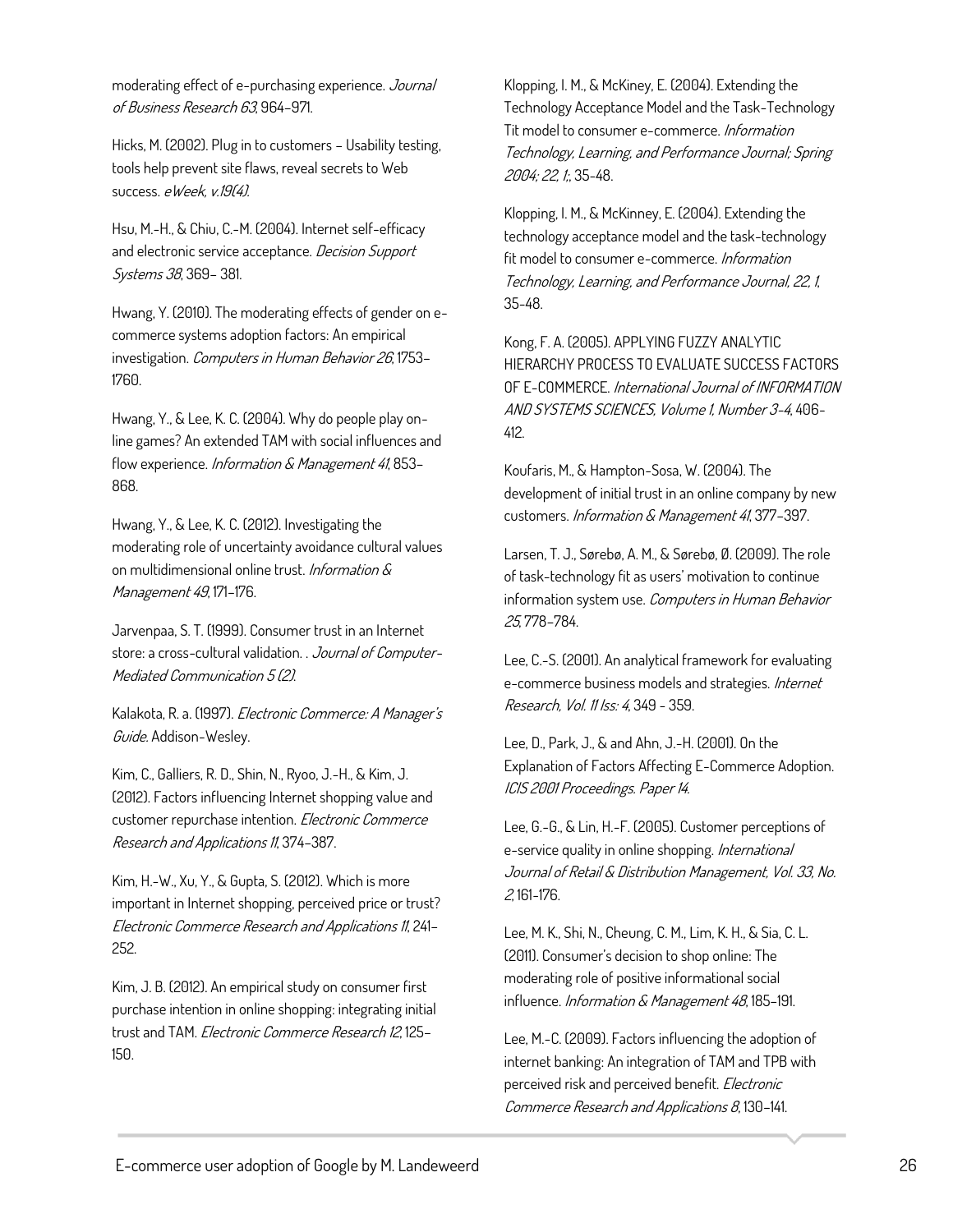moderating effect of e-purchasing experience. Journal of Business Research 63, 964–971.

Hicks, M. (2002). Plug in to customers – Usability testing, tools help prevent site flaws, reveal secrets to Web success. eWeek, v.19(4).

Hsu, M.-H., & Chiu, C.-M. (2004). Internet self-efficacy and electronic service acceptance. Decision Support Systems 38, 369– 381.

Hwang, Y. (2010). The moderating effects of gender on ecommerce systems adoption factors: An empirical investigation. Computers in Human Behavior 26, 1753– 1760.

Hwang, Y., & Lee, K. C. (2004). Why do people play online games? An extended TAM with social influences and flow experience. Information & Management 41, 853– 868.

Hwang, Y., & Lee, K. C. (2012). Investigating the moderating role of uncertainty avoidance cultural values on multidimensional online trust. Information & Management 49, 171–176.

Jarvenpaa, S. T. (1999). Consumer trust in an Internet store: a cross-cultural validation. . Journal of Computer-Mediated Communication 5 (2).

Kalakota, R. a. (1997). Electronic Commerce: A Manager's Guide. Addison-Wesley.

Kim, C., Galliers, R. D., Shin, N., Ryoo, J.-H., & Kim, J. (2012). Factors influencing Internet shopping value and customer repurchase intention. Electronic Commerce Research and Applications 11, 374–387.

Kim, H.-W., Xu, Y., & Gupta, S. (2012). Which is more important in Internet shopping, perceived price or trust? Electronic Commerce Research and Applications 11, 241– 252.

Kim, J. B. (2012). An empirical study on consumer first purchase intention in online shopping: integrating initial trust and TAM. Electronic Commerce Research 12, 125– 150.

Klopping, I. M., & McKiney, E. (2004). Extending the Technology Acceptance Model and the Task-Technology Tit model to consumer e-commerce. Information Technology, Learning, and Performance Journal; Spring 2004; 22, 1;, 35-48.

Klopping, I. M., & McKinney, E. (2004). Extending the technology acceptance model and the task-technology fit model to consumer e-commerce. *Information* Technology, Learning, and Performance Journal, 22, 1, 35-48.

Kong, F. A. (2005). APPLYING FUZZY ANALYTIC HIERARCHY PROCESS TO EVALUATE SUCCESS FACTORS OF E-COMMERCE. International Journal of INFORMATION AND SYSTEMS SCIENCES, Volume 1, Number 3-4, 406- 412.

Koufaris, M., & Hampton-Sosa, W. (2004). The development of initial trust in an online company by new customers. *Information & Management 41*, 377-397.

Larsen, T. J., Sørebø, A. M., & Sørebø, Ø. (2009). The role of task-technology fit as users' motivation to continue information system use. Computers in Human Behavior 25, 778–784.

Lee, C.-S. (2001). An analytical framework for evaluating e-commerce business models and strategies. Internet Research, Vol. 11 Iss: 4, 349 - 359.

Lee, D., Park, J., & and Ahn, J.-H. (2001). On the Explanation of Factors Affecting E-Commerce Adoption. ICIS 2001 Proceedings. Paper 14.

Lee, G.-G., & Lin, H.-F. (2005). Customer perceptions of e-service quality in online shopping. International Journal of Retail & Distribution Management, Vol. 33, No. 2, 161-176.

Lee, M. K., Shi, N., Cheung, C. M., Lim, K. H., & Sia, C. L. (2011). Consumer's decision to shop online: The moderating role of positive informational social influence. Information & Management 48, 185-191.

Lee, M.-C. (2009). Factors influencing the adoption of internet banking: An integration of TAM and TPB with perceived risk and perceived benefit. Electronic Commerce Research and Applications 8, 130–141.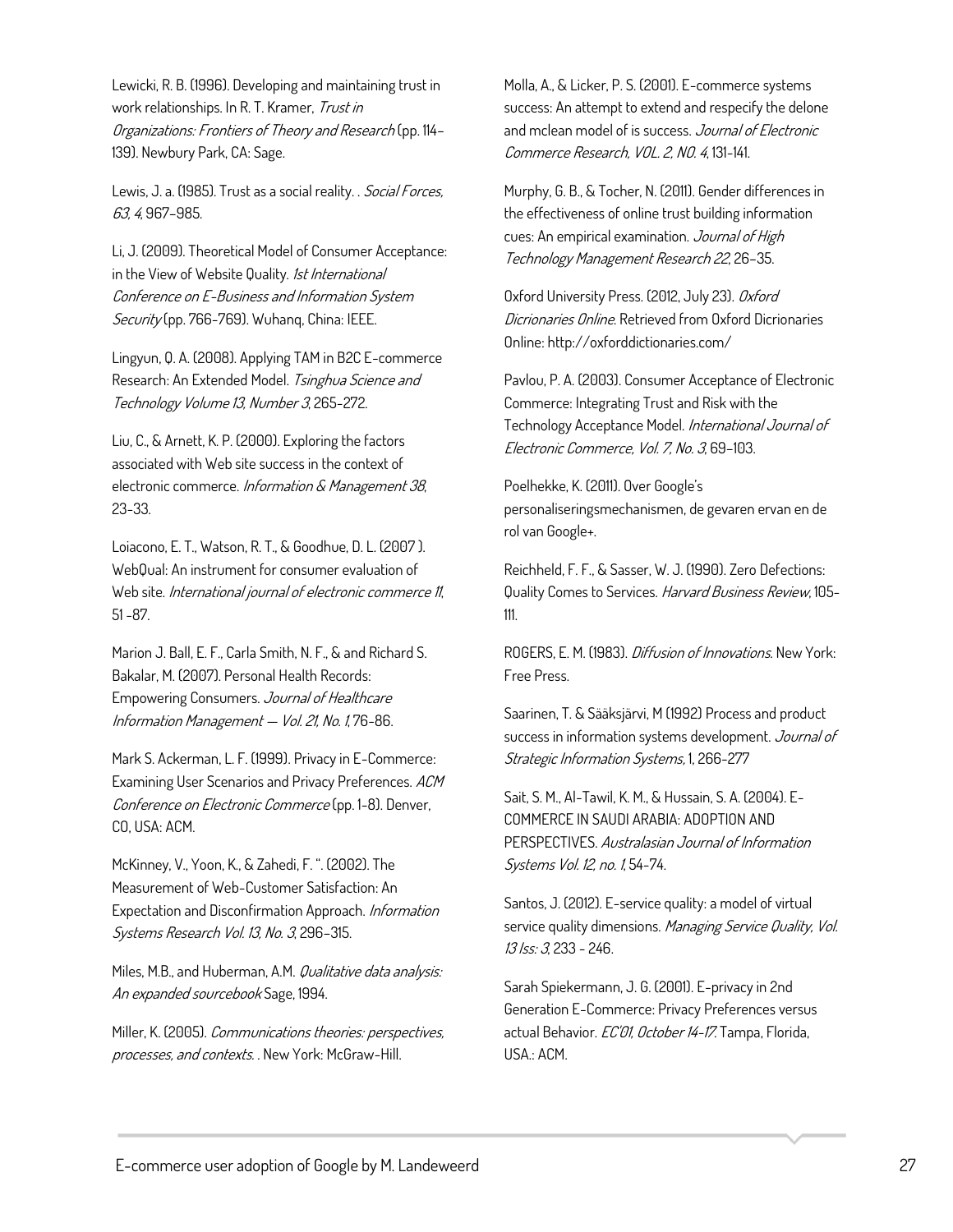Lewicki, R. B. (1996). Developing and maintaining trust in work relationships. In R. T. Kramer, Trust in Organizations: Frontiers of Theory and Research (pp. 114– 139). Newbury Park, CA: Sage.

Lewis, J. a. (1985). Trust as a social reality. . Social Forces, 63, 4, 967–985.

Li, J. (2009). Theoretical Model of Consumer Acceptance: in the View of Website Quality. *1st International* Conference on E-Business and Information System Security (pp. 766-769). Wuhang, China: IEEE.

Lingyun, Q. A. (2008). Applying TAM in B2C E-commerce Research: An Extended Model. Tsinghua Science and Technology Volume 13, Number 3, 265-272.

Liu, C., & Arnett, K. P. (2000). Exploring the factors associated with Web site success in the context of electronic commerce. Information & Management 38, 23-33.

Loiacono, E. T., Watson, R. T., & Goodhue, D. L. (2007 ). WebQual: An instrument for consumer evaluation of Web site. *International journal of electronic commerce 11*, 51 -87.

Marion J. Ball, E. F., Carla Smith, N. F., & and Richard S. Bakalar, M. (2007). Personal Health Records: Empowering Consumers. Journal of Healthcare Information Management — Vol. 21, No. 1, 76-86.

Mark S. Ackerman, L. F. (1999). Privacy in E-Commerce: Examining User Scenarios and Privacy Preferences. ACM Conference on Electronic Commerce (pp. 1-8). Denver, CO, USA: ACM.

McKinney, V., Yoon, K., & Zahedi, F. ". (2002). The Measurement of Web-Customer Satisfaction: An Expectation and Disconfirmation Approach. Information Systems Research Vol. 13, No. 3, 296–315.

Miles, M.B., and Huberman, A.M. Qualitative data analysis: An expanded sourcebook Sage, 1994.

Miller, K. (2005). Communications theories: perspectives, processes, and contexts. . New York: McGraw-Hill.

Molla, A., & Licker, P. S. (2001). E-commerce systems success: An attempt to extend and respecify the delone and mclean model of is success. Journal of Electronic Commerce Research, VOL. 2, NO. 4, 131-141.

Murphy, G. B., & Tocher, N. (2011). Gender differences in the effectiveness of online trust building information cues: An empirical examination. Journal of High Technology Management Research 22, 26–35.

Oxford University Press. (2012, July 23). Oxford Dicrionaries Online. Retrieved from Oxford Dicrionaries Online: http://oxforddictionaries.com/

Pavlou, P. A. (2003). Consumer Acceptance of Electronic Commerce: Integrating Trust and Risk with the Technology Acceptance Model. International Journal of Electronic Commerce, Vol. 7, No. 3, 69–103.

Poelhekke, K. (2011). Over Google's personaliseringsmechanismen, de gevaren ervan en de rol van Google+.

Reichheld, F. F., & Sasser, W. J. (1990). Zero Defections: Quality Comes to Services. Harvard Business Review, 105-111.

ROGERS, E. M. (1983). Diffusion of Innovations. New York: Free Press.

Saarinen, T. & Sääksjärvi, M (1992) Process and product success in information systems development. Journal of Strategic Information Systems, 1, 266-277

Sait, S. M., Al-Tawil, K. M., & Hussain, S. A. (2004). E-COMMERCE IN SAUDI ARABIA: ADOPTION AND PERSPECTIVES. Australasian Journal of Information Systems Vol. 12, no. 1, 54-74.

Santos, J. (2012). E-service quality: a model of virtual service quality dimensions. Managing Service Quality, Vol. 13 Iss: 3, 233 - 246.

Sarah Spiekermann, J. G. (2001). E-privacy in 2nd Generation E-Commerce: Privacy Preferences versus actual Behavior. EC'01, October 14-17. Tampa, Florida, USA.: ACM.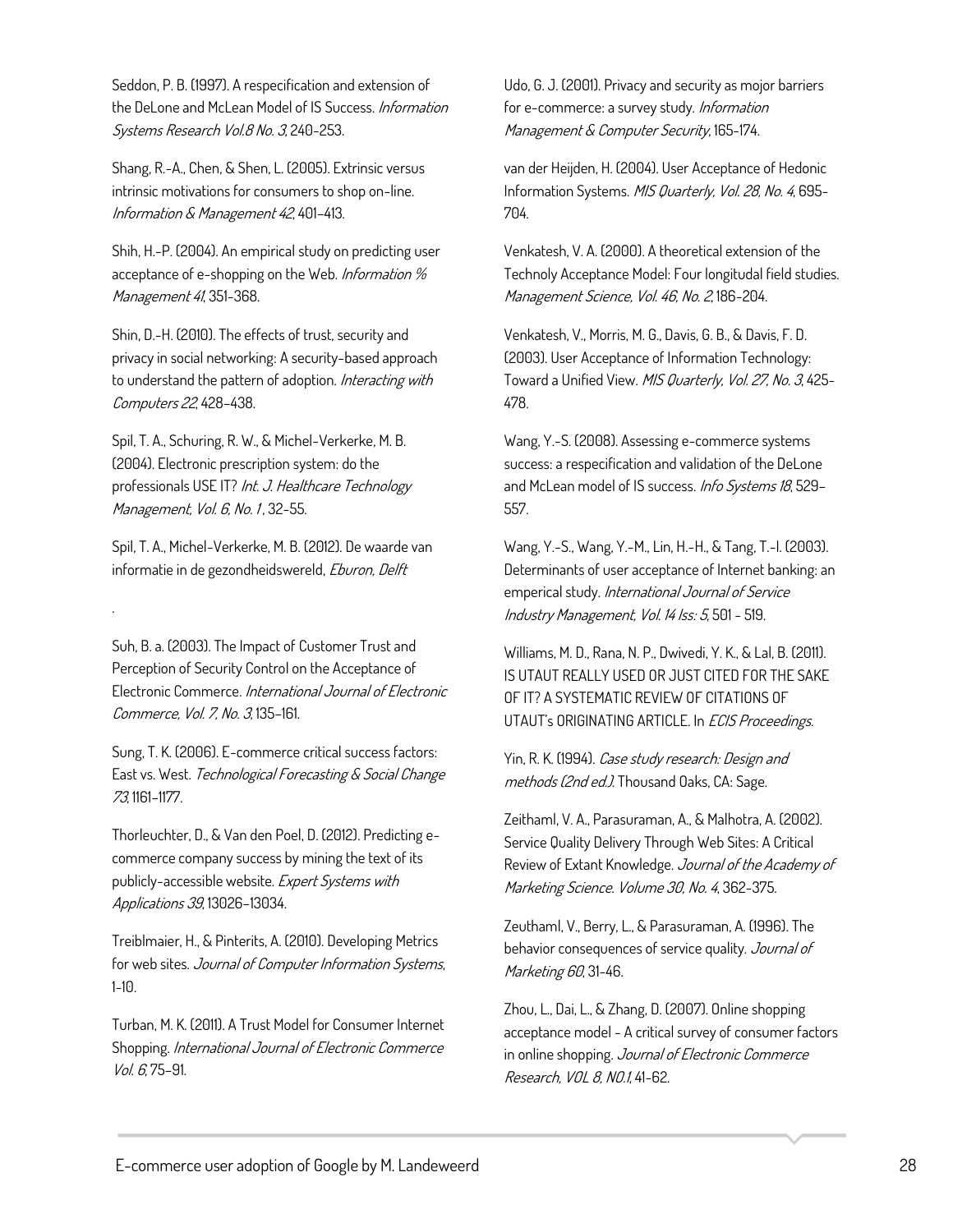Seddon, P. B. (1997). A respecification and extension of the DeLone and McLean Model of IS Success. Information Systems Research Vol.8 No. 3, 240-253.

Shang, R.-A., Chen, & Shen, L. (2005). Extrinsic versus intrinsic motivations for consumers to shop on-line. Information & Management 42, 401–413.

Shih, H.-P. (2004). An empirical study on predicting user acceptance of e-shopping on the Web. Information % Management 41, 351-368.

Shin, D.-H. (2010). The effects of trust, security and privacy in social networking: A security-based approach to understand the pattern of adoption. Interacting with Computers 22, 428–438.

Spil, T. A., Schuring, R. W., & Michel-Verkerke, M. B. (2004). Electronic prescription system: do the professionals USE IT? Int. J. Healthcare Technology Management, Vol. 6, No. 1, 32-55.

Spil, T. A., Michel-Verkerke, M. B. (2012). De waarde van informatie in de gezondheidswereld, Eburon, Delft

.

Suh, B. a. (2003). The Impact of Customer Trust and Perception of Security Control on the Acceptance of Electronic Commerce. International Journal of Electronic Commerce, Vol. 7, No. 3, 135–161.

Sung, T. K. (2006). E-commerce critical success factors: East vs. West. Technological Forecasting & Social Change 73, 1161–1177.

Thorleuchter, D., & Van den Poel, D. (2012). Predicting ecommerce company success by mining the text of its publicly-accessible website. Expert Systems with Applications 39, 13026–13034.

Treiblmaier, H., & Pinterits, A. (2010). Developing Metrics for web sites. Journal of Computer Information Systems, 1-10.

Turban, M. K. (2011). A Trust Model for Consumer Internet Shopping. International Journal of Electronic Commerce Vol. 6, 75–91.

Udo, G. J. (2001). Privacy and security as mojor barriers for e-commerce: a survey study. Information Management & Computer Security, 165-174.

van der Heijden, H. (2004). User Acceptance of Hedonic Information Systems. MIS Quarterly, Vol. 28, No. 4, 695- 704.

Venkatesh, V. A. (2000). A theoretical extension of the Technoly Acceptance Model: Four longitudal field studies. Management Science, Vol. 46, No. 2, 186-204.

Venkatesh, V., Morris, M. G., Davis, G. B., & Davis, F. D. (2003). User Acceptance of Information Technology: Toward a Unified View. MIS Quarterly, Vol. 27, No. 3, 425-478.

Wang, Y.-S. (2008). Assessing e-commerce systems success: a respecification and validation of the DeLone and McLean model of IS success. Info Systems 18, 529-557.

Wang, Y.-S., Wang, Y.-M., Lin, H.-H., & Tang, T.-I. (2003). Determinants of user acceptance of Internet banking: an emperical study. International Journal of Service Industry Management, Vol. 14 Iss: 5, 501 - 519.

Williams, M. D., Rana, N. P., Dwivedi, Y. K., & Lal, B. (2011). IS UTAUT REALLY USED OR JUST CITED FOR THE SAKE OF IT? A SYSTEMATIC REVIEW OF CITATIONS OF UTAUT's ORIGINATING ARTICLE. In *ECIS Proceedings*.

Yin, R. K. (1994). Case study research: Design and methods (2nd ed.). Thousand Oaks, CA: Sage.

Zeithaml, V. A., Parasuraman, A., & Malhotra, A. (2002). Service Quality Delivery Through Web Sites: A Critical Review of Extant Knowledge. Journal of the Academy of Marketing Science. Volume 30, No. 4, 362-375.

Zeuthaml, V., Berry, L., & Parasuraman, A. (1996). The behavior consequences of service quality. Journal of Marketing 60, 31-46.

Zhou, L., Dai, L., & Zhang, D. (2007). Online shopping acceptance model - A critical survey of consumer factors in online shopping. Journal of Electronic Commerce Research, VOL 8, NO.1, 41-62.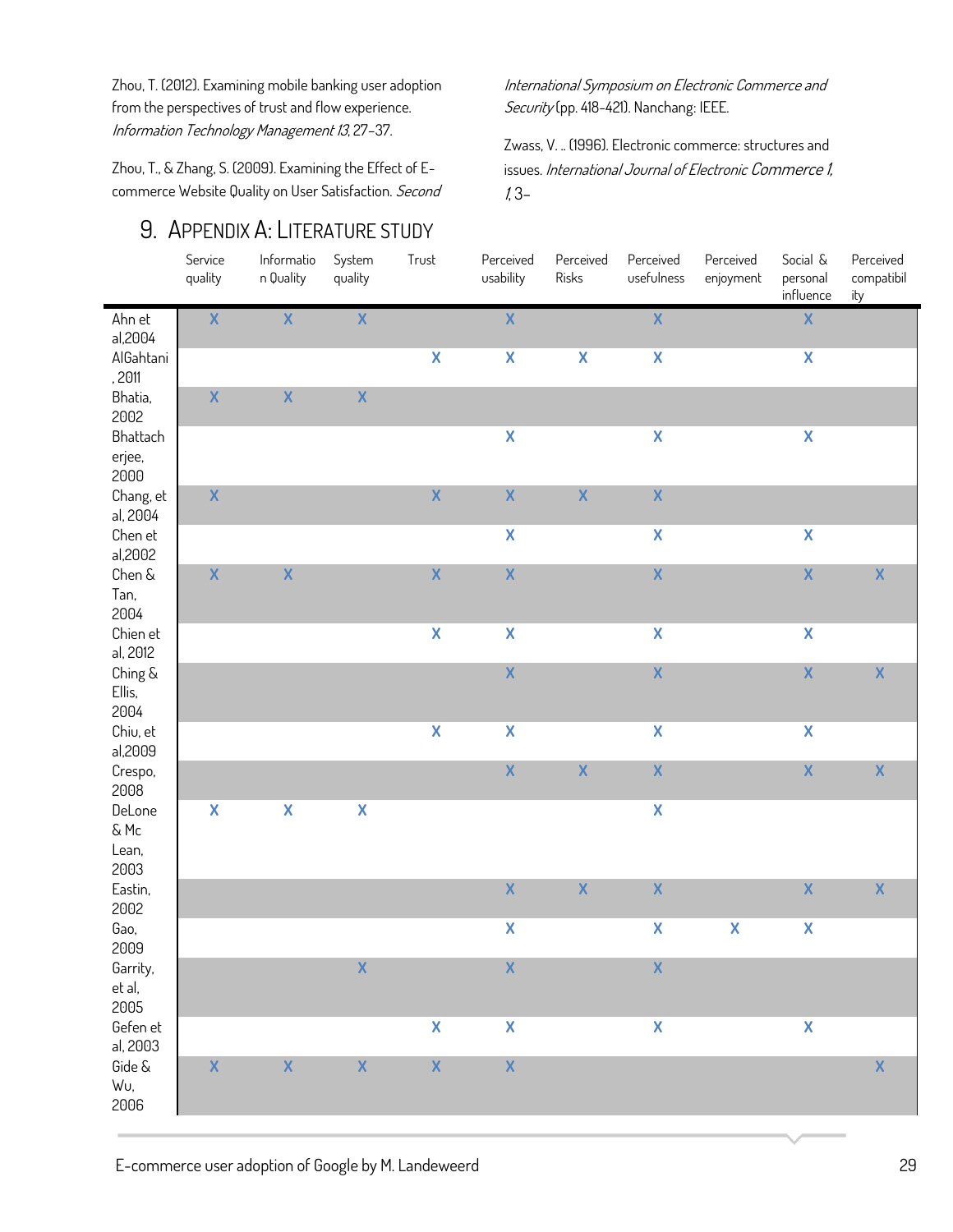Zhou, T. (2012). Examining mobile banking user adoption from the perspectives of trust and flow experience. Information Technology Management 13, 27–37.

Zhou, T., & Zhang, S. (2009). Examining the Effect of Ecommerce Website Quality on User Satisfaction. Second

## 9. APPENDIX A: LITERATURE STUDY

International Symposium on Electronic Commerce and Security (pp. 418-421). Nanchang: IEEE.

Zwass, V. .. (1996). Electronic commerce: structures and issues. International Journal of Electronic Commerce 1, 1, 3–

|                                | Service<br>quality      | Informatio<br>n Quality   | System<br>quality       | Trust                     | Perceived<br>usability  | Perceived<br>Risks | Perceived<br>usefulness | Perceived<br>enjoyment | Social &<br>personal<br>influence | Perceived<br>compatibil<br>ity |
|--------------------------------|-------------------------|---------------------------|-------------------------|---------------------------|-------------------------|--------------------|-------------------------|------------------------|-----------------------------------|--------------------------------|
| Ahn et<br>al,2004              | $\bar{\mathsf{X}}$      | $\pmb{\mathsf{X}}$        | $\pmb{\mathsf{X}}$      |                           | $\overline{\mathsf{X}}$ |                    | $\pmb{\mathsf{X}}$      |                        | $\overline{\mathsf{X}}$           |                                |
| AlGahtani<br>, 2011            |                         |                           |                         | $\pmb{\mathsf{X}}$        | $\pmb{\mathsf{X}}$      | $\pmb{\mathsf{X}}$ | $\pmb{\mathsf{X}}$      |                        | $\boldsymbol{\mathsf{X}}$         |                                |
| Bhatia,<br>2002                | $\pmb{\mathsf{X}}$      | $\pmb{\mathsf{X}}$        | $\pmb{\mathsf{X}}$      |                           |                         |                    |                         |                        |                                   |                                |
| Bhattach<br>erjee,<br>2000     |                         |                           |                         |                           | $\pmb{\mathsf{X}}$      |                    | $\pmb{\mathsf{X}}$      |                        | $\pmb{\mathsf{X}}$                |                                |
| Chang, et<br>al, 2004          | $\overline{\mathsf{X}}$ |                           |                         | $\overline{\mathsf{x}}$   | $\overline{\mathsf{X}}$ | $\bar{\mathsf{X}}$ | $\overline{\mathsf{X}}$ |                        |                                   |                                |
| Chen et<br>al,2002             |                         |                           |                         |                           | $\mathsf{X}% _{0}$      |                    | $\pmb{\mathsf{X}}$      |                        | $\boldsymbol{\mathsf{X}}$         |                                |
| Chen &<br>Tan,<br>2004         | $\pmb{\mathsf{X}}$      | $\overline{\mathsf{X}}$   |                         | $\boldsymbol{\mathsf{X}}$ | $\pmb{\mathsf{X}}$      |                    | $\pmb{\mathsf{X}}$      |                        | $\boldsymbol{\mathsf{X}}$         | $\pmb{\mathsf{X}}$             |
| Chien et<br>al, 2012           |                         |                           |                         | $\boldsymbol{\mathsf{X}}$ | $\mathsf{X}% _{0}$      |                    | $\pmb{\mathsf{X}}$      |                        | $\boldsymbol{\mathsf{X}}$         |                                |
| Ching &<br>Ellis,<br>2004      |                         |                           |                         |                           | $\overline{\mathsf{x}}$ |                    | $\overline{\mathsf{X}}$ |                        | $\overline{\mathsf{x}}$           | $\overline{\mathsf{X}}$        |
| Chiu, et<br>al,2009            |                         |                           |                         | $\pmb{\mathsf{X}}$        | $\mathsf{X}% _{0}$      |                    | $\pmb{\mathsf{X}}$      |                        | $\boldsymbol{\mathsf{X}}$         |                                |
| Crespo,<br>2008                |                         |                           |                         |                           | $\overline{\mathsf{X}}$ | $\pmb{\mathsf{X}}$ | $\overline{\mathsf{X}}$ |                        | $\overline{\mathsf{X}}$           | $\pmb{\mathsf{X}}$             |
| DeLone<br>&Mc<br>Lean,<br>2003 | $\pmb{\mathsf{X}}$      | $\boldsymbol{\mathsf{X}}$ | $\pmb{\mathsf{X}}$      |                           |                         |                    | $\pmb{\mathsf{X}}$      |                        |                                   |                                |
| Eastin,<br>2002                |                         |                           |                         |                           | $\overline{\mathsf{X}}$ | $\pmb{\mathsf{X}}$ | $\pmb{\mathsf{X}}$      |                        | $\boldsymbol{\mathsf{X}}$         | $\pmb{\mathsf{X}}$             |
| Gao,<br>2009                   |                         |                           |                         |                           | $\pmb{\mathsf{X}}$      |                    | $\pmb{\mathsf{X}}$      | $\pmb{\mathsf{X}}$     | $\boldsymbol{\mathsf{X}}$         |                                |
| Garrity,<br>et al,<br>2005     |                         |                           | $\overline{\mathsf{x}}$ |                           | $\overline{\mathsf{x}}$ |                    | $\pmb{\mathsf{X}}$      |                        |                                   |                                |
| Gefen et<br>al, 2003           |                         |                           |                         | $\boldsymbol{\mathsf{X}}$ | $\pmb{\mathsf{X}}$      |                    | $\mathsf{x}$            |                        | $\boldsymbol{\mathsf{X}}$         |                                |
| Gide $\&$<br>Wu,<br>2006       | $\pmb{\mathsf{X}}$      | $\pmb{\mathsf{X}}$        | $\pmb{\mathsf{X}}$      | $\pmb{\mathsf{X}}$        | $\pmb{\mathsf{X}}$      |                    |                         |                        |                                   | $\pmb{\mathsf{X}}$             |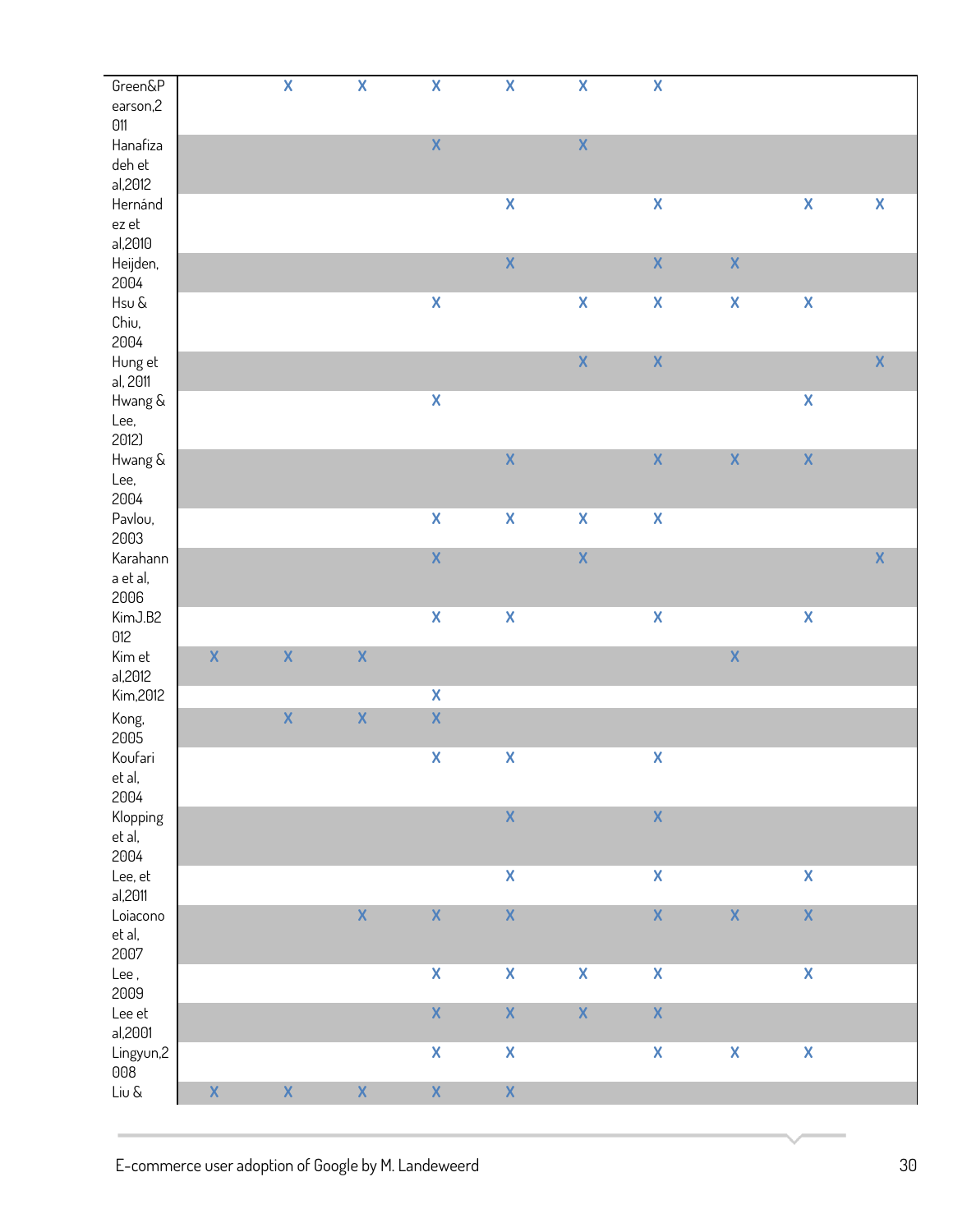| <b>Green&amp;P</b><br>earson,2               |                         | $\mathsf{\overline{X}}$ | $\pmb{\mathsf{X}}$      | $\pmb{\mathsf{X}}$        | $\mathsf{X}% _{0}$      | $\pmb{\mathsf{X}}$      | $\pmb{\mathsf{X}}$ |                    |                    |                    |
|----------------------------------------------|-------------------------|-------------------------|-------------------------|---------------------------|-------------------------|-------------------------|--------------------|--------------------|--------------------|--------------------|
| 011                                          |                         |                         |                         |                           |                         |                         |                    |                    |                    |                    |
| Hanafiza                                     |                         |                         |                         | $\overline{\mathsf{X}}$   |                         | $\pmb{\mathsf{X}}$      |                    |                    |                    |                    |
| deh et                                       |                         |                         |                         |                           |                         |                         |                    |                    |                    |                    |
| al, 2012<br>Hernánd                          |                         |                         |                         |                           | $\pmb{\mathsf{X}}$      |                         | $\pmb{\mathsf{X}}$ |                    | $\pmb{\mathsf{X}}$ | $\pmb{\mathsf{X}}$ |
| ez et                                        |                         |                         |                         |                           |                         |                         |                    |                    |                    |                    |
| al,2010                                      |                         |                         |                         |                           |                         |                         |                    |                    |                    |                    |
| Heijden,                                     |                         |                         |                         |                           | $\bar{\mathsf{X}}$      |                         | $\pmb{\mathsf{X}}$ | $\pmb{\mathsf{X}}$ |                    |                    |
| 2004<br>$\mathsf{H}\mathsf{su}\,\mathsf{\&}$ |                         |                         |                         | $\boldsymbol{\mathsf{X}}$ |                         | $\pmb{\mathsf{X}}$      | $\pmb{\mathsf{X}}$ | $\pmb{\mathsf{X}}$ | $\pmb{\mathsf{X}}$ |                    |
| Chiu,                                        |                         |                         |                         |                           |                         |                         |                    |                    |                    |                    |
| 2004                                         |                         |                         |                         |                           |                         |                         |                    |                    |                    |                    |
| Hung et                                      |                         |                         |                         |                           |                         | $\bar{\mathsf{X}}$      | $\pmb{\mathsf{X}}$ |                    |                    | $\pmb{\mathsf{X}}$ |
| al, 2011                                     |                         |                         |                         |                           |                         |                         |                    |                    |                    |                    |
| Hwang &                                      |                         |                         |                         | $\pmb{\mathsf{X}}$        |                         |                         |                    |                    | $\pmb{\mathsf{X}}$ |                    |
| Lee,<br>2012)                                |                         |                         |                         |                           |                         |                         |                    |                    |                    |                    |
| Hwang &                                      |                         |                         |                         |                           | $\overline{\mathsf{x}}$ |                         | $\bar{\mathbf{X}}$ | $\bar{\mathbf{X}}$ | $\bar{\mathbf{X}}$ |                    |
| Lee,                                         |                         |                         |                         |                           |                         |                         |                    |                    |                    |                    |
| 2004                                         |                         |                         |                         |                           |                         |                         |                    |                    |                    |                    |
| Pavlou,<br>2003                              |                         |                         |                         | $\pmb{\mathsf{X}}$        | $\pmb{\mathsf{X}}$      | $\pmb{\mathsf{X}}$      | $\pmb{\mathsf{X}}$ |                    |                    |                    |
| Karahann                                     |                         |                         |                         | $\overline{\mathsf{x}}$   |                         | $\overline{\mathsf{x}}$ |                    |                    |                    | $\bar{\mathbf{X}}$ |
| a et al,                                     |                         |                         |                         |                           |                         |                         |                    |                    |                    |                    |
| 2006                                         |                         |                         |                         |                           |                         |                         |                    |                    |                    |                    |
| KimJ.B2<br>012                               |                         |                         |                         | $\pmb{\mathsf{X}}$        | $\pmb{\mathsf{X}}$      |                         | $\pmb{\mathsf{X}}$ |                    | $\pmb{\mathsf{X}}$ |                    |
| Kim et                                       | $\overline{\mathsf{X}}$ | $\bar{\mathsf{X}}$      | $\overline{\mathsf{x}}$ |                           |                         |                         |                    | $\bar{\mathbf{X}}$ |                    |                    |
| al, 2012                                     |                         |                         |                         |                           |                         |                         |                    |                    |                    |                    |
| Kim, 2012                                    |                         |                         |                         | $\pmb{\mathsf{X}}$        |                         |                         |                    |                    |                    |                    |
| Kong,                                        |                         | $\pmb{\mathsf{X}}$      | $\pmb{\mathsf{X}}$      | $\pmb{\mathsf{X}}$        |                         |                         |                    |                    |                    |                    |
| 2005                                         |                         |                         |                         |                           |                         |                         |                    |                    |                    |                    |
| Koufari<br>et al,                            |                         |                         |                         | $\pmb{\mathsf{X}}$        | $\pmb{\mathsf{X}}$      |                         | $\pmb{\mathsf{X}}$ |                    |                    |                    |
| 2004                                         |                         |                         |                         |                           |                         |                         |                    |                    |                    |                    |
| Klopping                                     |                         |                         |                         |                           | $\overline{\mathsf{X}}$ |                         | $\pmb{\mathsf{X}}$ |                    |                    |                    |
| et al,                                       |                         |                         |                         |                           |                         |                         |                    |                    |                    |                    |
| 2004                                         |                         |                         |                         |                           | $\pmb{\mathsf{X}}$      |                         | $\pmb{\mathsf{X}}$ |                    | $\pmb{\mathsf{X}}$ |                    |
| Lee, et<br>al, 2011                          |                         |                         |                         |                           |                         |                         |                    |                    |                    |                    |
| Loiacono                                     |                         |                         | $\overline{\mathsf{X}}$ | $\pmb{\mathsf{X}}$        | $\overline{\mathsf{X}}$ |                         | $\pmb{\mathsf{X}}$ | $\pmb{\mathsf{X}}$ | $\pmb{\mathsf{X}}$ |                    |
| et al,                                       |                         |                         |                         |                           |                         |                         |                    |                    |                    |                    |
| 2007                                         |                         |                         |                         |                           |                         |                         |                    |                    |                    |                    |
| Lee,<br>2009                                 |                         |                         |                         | $\pmb{\mathsf{X}}$        | $\pmb{\mathsf{X}}$      | $\pmb{\mathsf{X}}$      | $\pmb{\mathsf{X}}$ |                    | $\pmb{\mathsf{X}}$ |                    |
| Lee et                                       |                         |                         |                         | $\pmb{\mathsf{X}}$        | $\pmb{\mathsf{X}}$      | $\mathsf{X}$            | $\pmb{\mathsf{X}}$ |                    |                    |                    |
| al,2001                                      |                         |                         |                         |                           |                         |                         |                    |                    |                    |                    |
| Lingyun,2                                    |                         |                         |                         | $\pmb{\mathsf{X}}$        | $\pmb{\mathsf{X}}$      |                         | $\pmb{\mathsf{X}}$ | $\pmb{\mathsf{X}}$ | $\pmb{\mathsf{X}}$ |                    |
| 008                                          |                         |                         |                         |                           |                         |                         |                    |                    |                    |                    |
| Liu &                                        | $\pmb{\mathsf{X}}$      | $\pmb{\mathsf{X}}$      | $\pmb{\mathsf{X}}$      | $\pmb{\mathsf{X}}$        | $\mathsf{X}% _{0}$      |                         |                    |                    |                    |                    |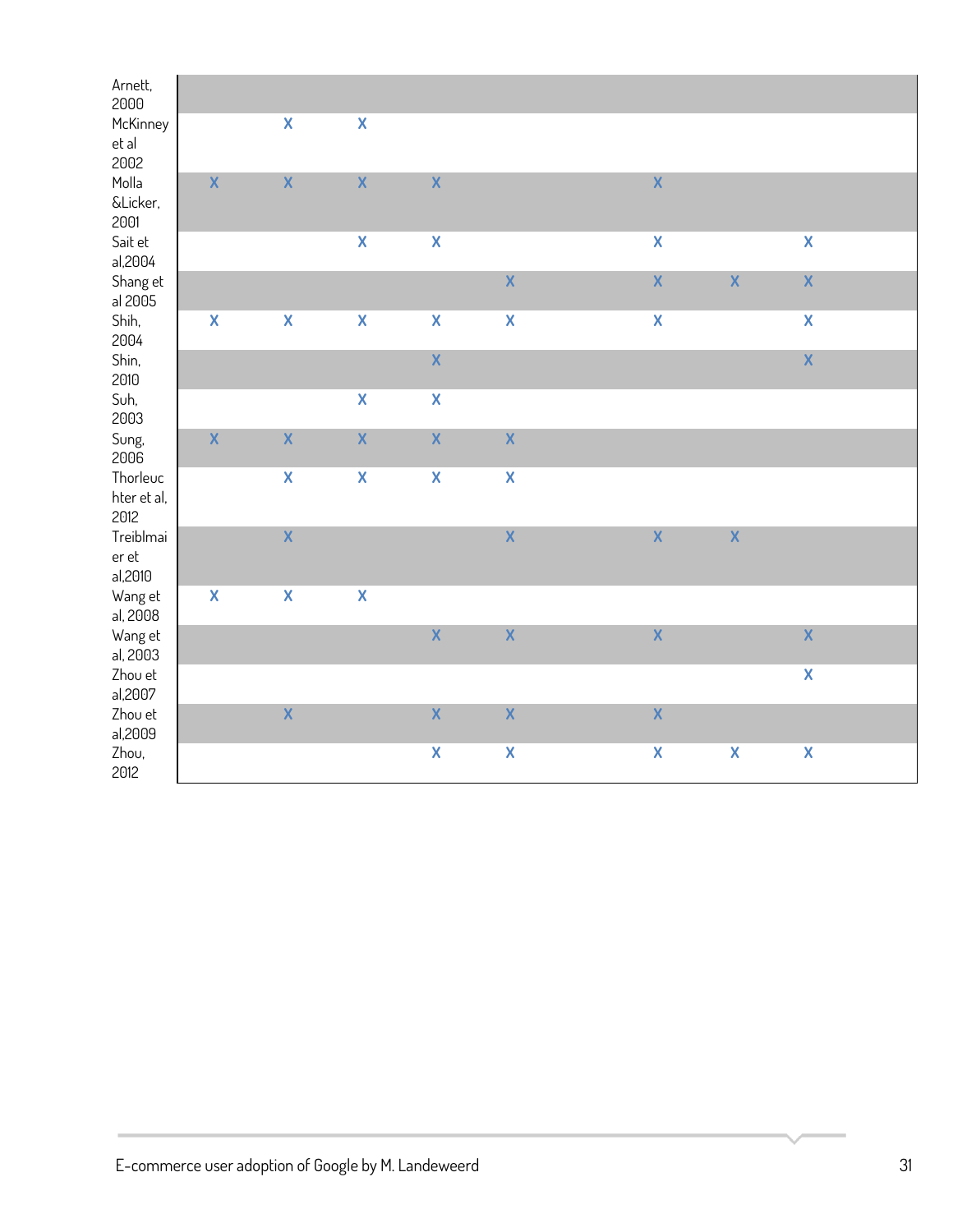| Arnett,<br>2000                 |                    |                         |                           |                    |                         |                    |                    |                           |  |
|---------------------------------|--------------------|-------------------------|---------------------------|--------------------|-------------------------|--------------------|--------------------|---------------------------|--|
| McKinney<br>et al<br>2002       |                    | $\pmb{\mathsf{X}}$      | $\pmb{\mathsf{X}}$        |                    |                         |                    |                    |                           |  |
| Molla<br>&Licker,<br>2001       | $\pmb{\mathsf{X}}$ | $\overline{\mathsf{X}}$ | $\pmb{\mathsf{X}}$        | $\pmb{\mathsf{X}}$ |                         | $\pmb{\mathsf{X}}$ |                    |                           |  |
| Sait et<br>al,2004              |                    |                         | $\boldsymbol{\mathsf{X}}$ | $\pmb{\mathsf{X}}$ |                         | $\pmb{\mathsf{X}}$ |                    | $\boldsymbol{\mathsf{X}}$ |  |
| Shang et<br>al 2005             |                    |                         |                           |                    | $\overline{\mathsf{x}}$ | $\pmb{\mathsf{X}}$ | $\pmb{\mathsf{X}}$ | $\overline{\mathsf{X}}$   |  |
| Shih,<br>2004                   | $\pmb{\mathsf{X}}$ | $\mathsf{\overline{X}}$ | $\overline{\mathsf{x}}$   | $\pmb{\mathsf{X}}$ | $\overline{\mathsf{x}}$ | $\pmb{\mathsf{X}}$ |                    | $\boldsymbol{\mathsf{X}}$ |  |
| Shin,<br>2010                   |                    |                         |                           | $\pmb{\mathsf{X}}$ |                         |                    |                    | $\overline{\mathsf{X}}$   |  |
| Suh,<br>2003                    |                    |                         | $\boldsymbol{\mathsf{X}}$ | $\pmb{\mathsf{X}}$ |                         |                    |                    |                           |  |
| Sung,<br>2006                   | $\pmb{\mathsf{X}}$ | $\pmb{\mathsf{X}}$      | $\overline{\mathsf{x}}$   | $\bar{\mathsf{X}}$ | $\overline{\mathsf{X}}$ |                    |                    |                           |  |
| Thorleuc<br>hter et al,<br>2012 |                    | $\pmb{\mathsf{X}}$      | $\boldsymbol{\mathsf{X}}$ | $\pmb{\mathsf{X}}$ | $\overline{\mathsf{x}}$ |                    |                    |                           |  |
| Treiblmai<br>er et<br>al,2010   |                    | $\overline{\mathsf{x}}$ |                           |                    | $\overline{\mathsf{X}}$ | $\bar{\mathsf{X}}$ | $\pmb{\mathsf{X}}$ |                           |  |
| Wang et<br>al, 2008             | $\pmb{\mathsf{X}}$ | $\pmb{\mathsf{X}}$      | $\overline{\mathsf{x}}$   |                    |                         |                    |                    |                           |  |
| Wang et<br>al, 2003             |                    |                         |                           | $\bar{\mathsf{X}}$ | $\overline{\mathsf{x}}$ | $\bar{\mathsf{X}}$ |                    | $\overline{\mathsf{x}}$   |  |
| Zhou et<br>al,2007              |                    |                         |                           |                    |                         |                    |                    | $\boldsymbol{\mathsf{X}}$ |  |
| Zhou et<br>al,2009              |                    | $\bar{\mathbf{X}}$      |                           | $\pmb{\mathsf{X}}$ | $\pmb{\mathsf{X}}$      | $\pmb{\mathsf{X}}$ |                    |                           |  |
| Zhou,<br>2012                   |                    |                         |                           | $\pmb{\mathsf{X}}$ | $\pmb{\mathsf{X}}$      | $\pmb{\mathsf{X}}$ | $\pmb{\mathsf{X}}$ | $\boldsymbol{\mathsf{X}}$ |  |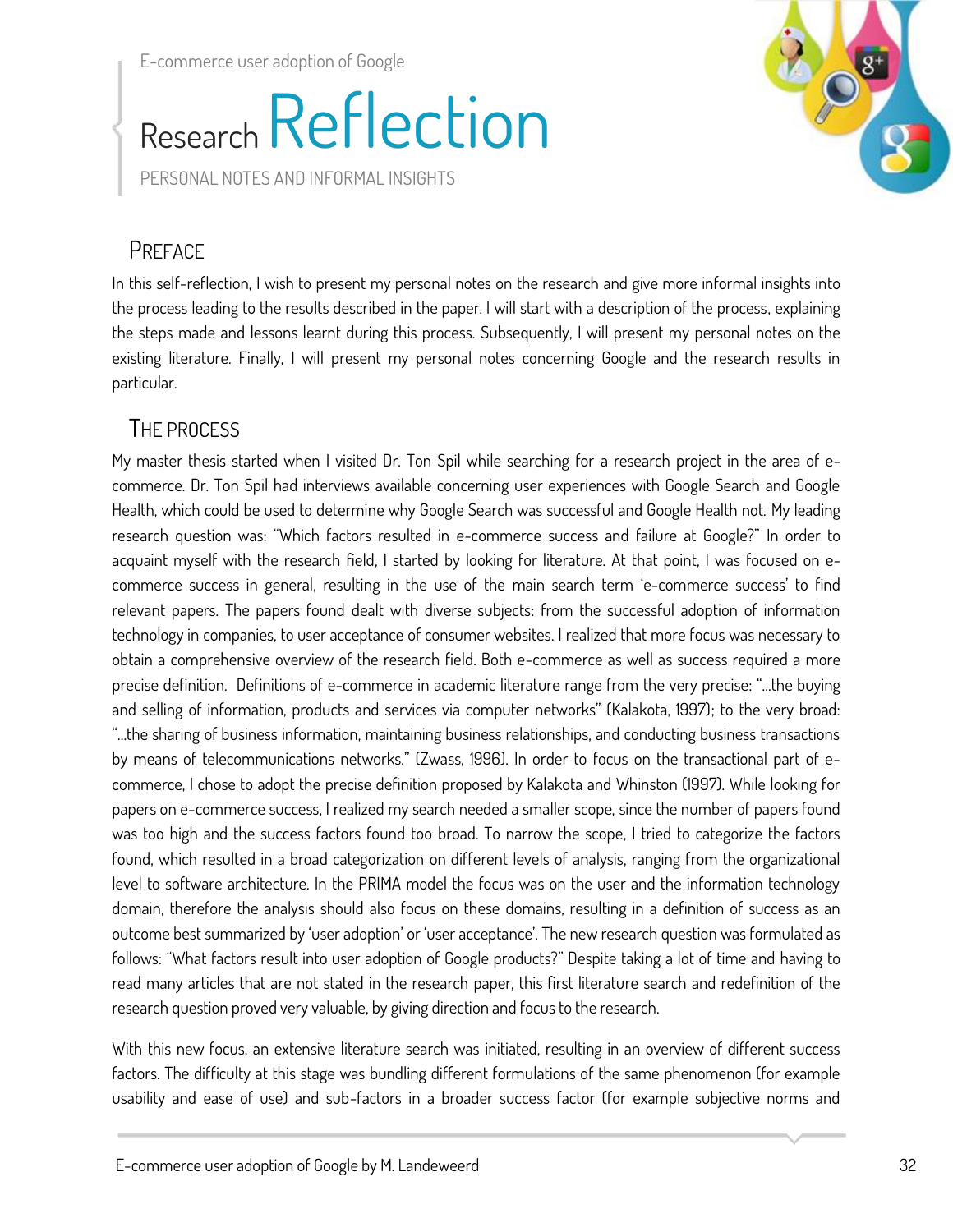# Research Reflection



PERSONAL NOTES AND INFORMAL INSIGHTS

# **PREFACE**

In this self-reflection, I wish to present my personal notes on the research and give more informal insights into the process leading to the results described in the paper. I will start with a description of the process, explaining the steps made and lessons learnt during this process. Subsequently, I will present my personal notes on the existing literature. Finally, I will present my personal notes concerning Google and the research results in particular.

## THE PROCESS

My master thesis started when I visited Dr. Ton Spil while searching for a research project in the area of ecommerce. Dr. Ton Spil had interviews available concerning user experiences with Google Search and Google Health, which could be used to determine why Google Search was successful and Google Health not. My leading research question was: "Which factors resulted in e-commerce success and failure at Google?" In order to acquaint myself with the research field, I started by looking for literature. At that point, I was focused on ecommerce success in general, resulting in the use of the main search term 'e-commerce success' to find relevant papers. The papers found dealt with diverse subjects: from the successful adoption of information technology in companies, to user acceptance of consumer websites. I realized that more focus was necessary to obtain a comprehensive overview of the research field. Both e-commerce as well as success required a more precise definition. Definitions of e-commerce in academic literature range from the very precise: "…the buying and selling of information, products and services via computer networks" (Kalakota, 1997); to the very broad: "…the sharing of business information, maintaining business relationships, and conducting business transactions by means of telecommunications networks." (Zwass, 1996). In order to focus on the transactional part of ecommerce, I chose to adopt the precise definition proposed by Kalakota and Whinston (1997). While looking for papers on e-commerce success, I realized my search needed a smaller scope, since the number of papers found was too high and the success factors found too broad. To narrow the scope, I tried to categorize the factors found, which resulted in a broad categorization on different levels of analysis, ranging from the organizational level to software architecture. In the PRIMA model the focus was on the user and the information technology domain, therefore the analysis should also focus on these domains, resulting in a definition of success as an outcome best summarized by 'user adoption' or 'user acceptance'. The new research question was formulated as follows: "What factors result into user adoption of Google products?" Despite taking a lot of time and having to read many articles that are not stated in the research paper, this first literature search and redefinition of the research question proved very valuable, by giving direction and focus to the research.

With this new focus, an extensive literature search was initiated, resulting in an overview of different success factors. The difficulty at this stage was bundling different formulations of the same phenomenon (for example usability and ease of use) and sub-factors in a broader success factor (for example subjective norms and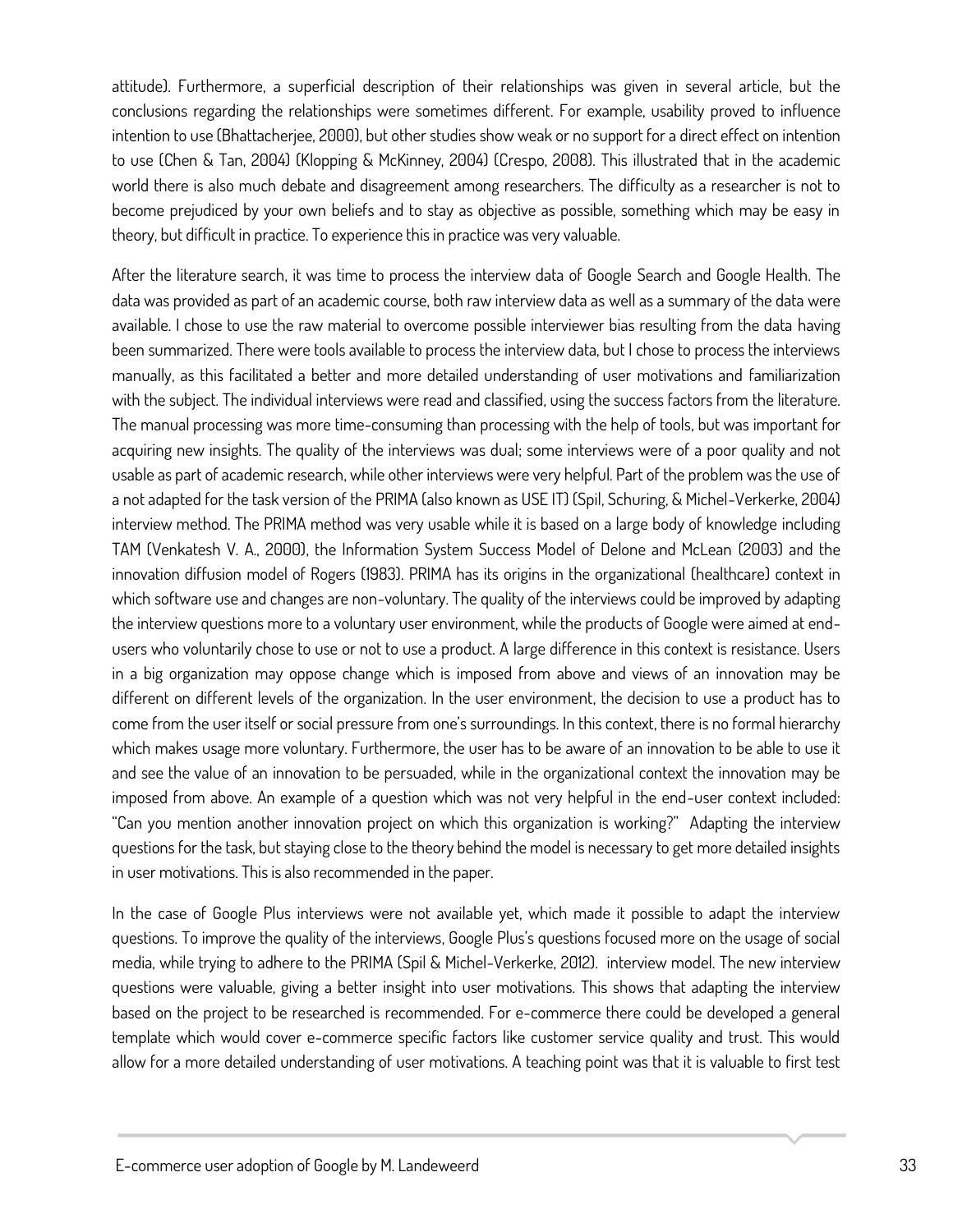attitude). Furthermore, a superficial description of their relationships was given in several article, but the conclusions regarding the relationships were sometimes different. For example, usability proved to influence intention to use (Bhattacherjee, 2000), but other studies show weak or no support for a direct effect on intention to use (Chen & Tan, 2004) (Klopping & McKinney, 2004) (Crespo, 2008). This illustrated that in the academic world there is also much debate and disagreement among researchers. The difficulty as a researcher is not to become prejudiced by your own beliefs and to stay as objective as possible, something which may be easy in theory, but difficult in practice. To experience this in practice was very valuable.

After the literature search, it was time to process the interview data of Google Search and Google Health. The data was provided as part of an academic course, both raw interview data as well as a summary of the data were available. I chose to use the raw material to overcome possible interviewer bias resulting from the data having been summarized. There were tools available to process the interview data, but I chose to process the interviews manually, as this facilitated a better and more detailed understanding of user motivations and familiarization with the subject. The individual interviews were read and classified, using the success factors from the literature. The manual processing was more time-consuming than processing with the help of tools, but was important for acquiring new insights. The quality of the interviews was dual; some interviews were of a poor quality and not usable as part of academic research, while other interviews were very helpful. Part of the problem was the use of a not adapted for the task version of the PRIMA (also known as USE IT) (Spil, Schuring, & Michel-Verkerke, 2004) interview method. The PRIMA method was very usable while it is based on a large body of knowledge including TAM (Venkatesh V. A., 2000), the Information System Success Model of Delone and McLean (2003) and the innovation diffusion model of Rogers (1983). PRIMA has its origins in the organizational (healthcare) context in which software use and changes are non-voluntary. The quality of the interviews could be improved by adapting the interview questions more to a voluntary user environment, while the products of Google were aimed at endusers who voluntarily chose to use or not to use a product. A large difference in this context is resistance. Users in a big organization may oppose change which is imposed from above and views of an innovation may be different on different levels of the organization. In the user environment, the decision to use a product has to come from the user itself or social pressure from one's surroundings. In this context, there is no formal hierarchy which makes usage more voluntary. Furthermore, the user has to be aware of an innovation to be able to use it and see the value of an innovation to be persuaded, while in the organizational context the innovation may be imposed from above. An example of a question which was not very helpful in the end-user context included: "Can you mention another innovation project on which this organization is working?" Adapting the interview questions for the task, but staying close to the theory behind the model is necessary to get more detailed insights in user motivations. This is also recommended in the paper.

In the case of Google Plus interviews were not available yet, which made it possible to adapt the interview questions. To improve the quality of the interviews, Google Plus's questions focused more on the usage of social media, while trying to adhere to the PRIMA (Spil & Michel-Verkerke, 2012). interview model. The new interview questions were valuable, giving a better insight into user motivations. This shows that adapting the interview based on the project to be researched is recommended. For e-commerce there could be developed a general template which would cover e-commerce specific factors like customer service quality and trust. This would allow for a more detailed understanding of user motivations. A teaching point was that it is valuable to first test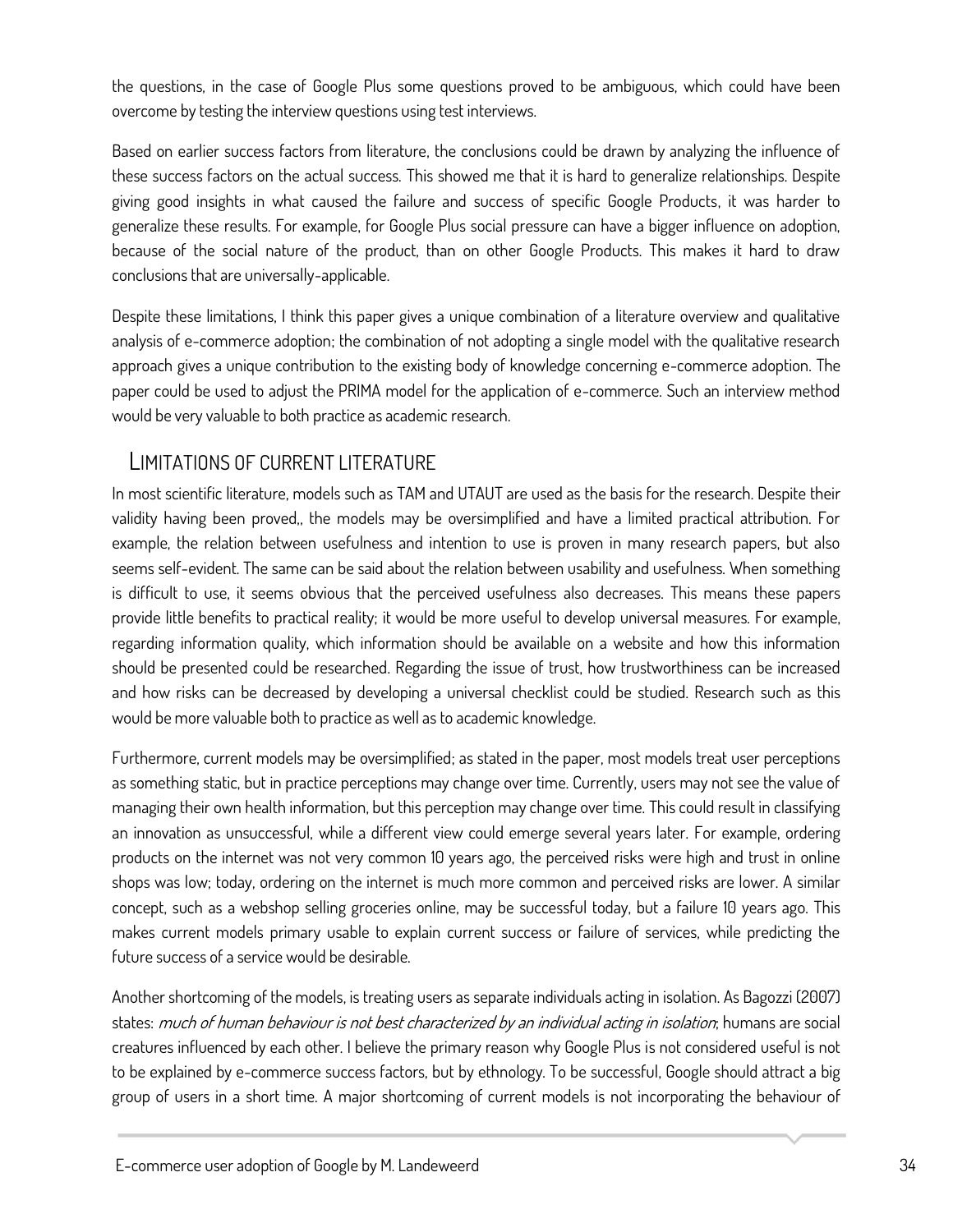the questions, in the case of Google Plus some questions proved to be ambiguous, which could have been overcome by testing the interview questions using test interviews.

Based on earlier success factors from literature, the conclusions could be drawn by analyzing the influence of these success factors on the actual success. This showed me that it is hard to generalize relationships. Despite giving good insights in what caused the failure and success of specific Google Products, it was harder to generalize these results. For example, for Google Plus social pressure can have a bigger influence on adoption, because of the social nature of the product, than on other Google Products. This makes it hard to draw conclusions that are universally-applicable.

Despite these limitations, I think this paper gives a unique combination of a literature overview and qualitative analysis of e-commerce adoption; the combination of not adopting a single model with the qualitative research approach gives a unique contribution to the existing body of knowledge concerning e-commerce adoption. The paper could be used to adjust the PRIMA model for the application of e-commerce. Such an interview method would be very valuable to both practice as academic research.

#### LIMITATIONS OF CURRENT LITERATURE

In most scientific literature, models such as TAM and UTAUT are used as the basis for the research. Despite their validity having been proved,, the models may be oversimplified and have a limited practical attribution. For example, the relation between usefulness and intention to use is proven in many research papers, but also seems self-evident. The same can be said about the relation between usability and usefulness. When something is difficult to use, it seems obvious that the perceived usefulness also decreases. This means these papers provide little benefits to practical reality; it would be more useful to develop universal measures. For example, regarding information quality, which information should be available on a website and how this information should be presented could be researched. Regarding the issue of trust, how trustworthiness can be increased and how risks can be decreased by developing a universal checklist could be studied. Research such as this would be more valuable both to practice as well as to academic knowledge.

Furthermore, current models may be oversimplified; as stated in the paper, most models treat user perceptions as something static, but in practice perceptions may change over time. Currently, users may not see the value of managing their own health information, but this perception may change over time. This could result in classifying an innovation as unsuccessful, while a different view could emerge several years later. For example, ordering products on the internet was not very common 10 years ago, the perceived risks were high and trust in online shops was low; today, ordering on the internet is much more common and perceived risks are lower. A similar concept, such as a webshop selling groceries online, may be successful today, but a failure 10 years ago. This makes current models primary usable to explain current success or failure of services, while predicting the future success of a service would be desirable.

Another shortcoming of the models, is treating users as separate individuals acting in isolation. As Bagozzi (2007) states: much of human behaviour is not best characterized by an individual acting in isolation; humans are social creatures influenced by each other. I believe the primary reason why Google Plus is not considered useful is not to be explained by e-commerce success factors, but by ethnology. To be successful, Google should attract a big group of users in a short time. A major shortcoming of current models is not incorporating the behaviour of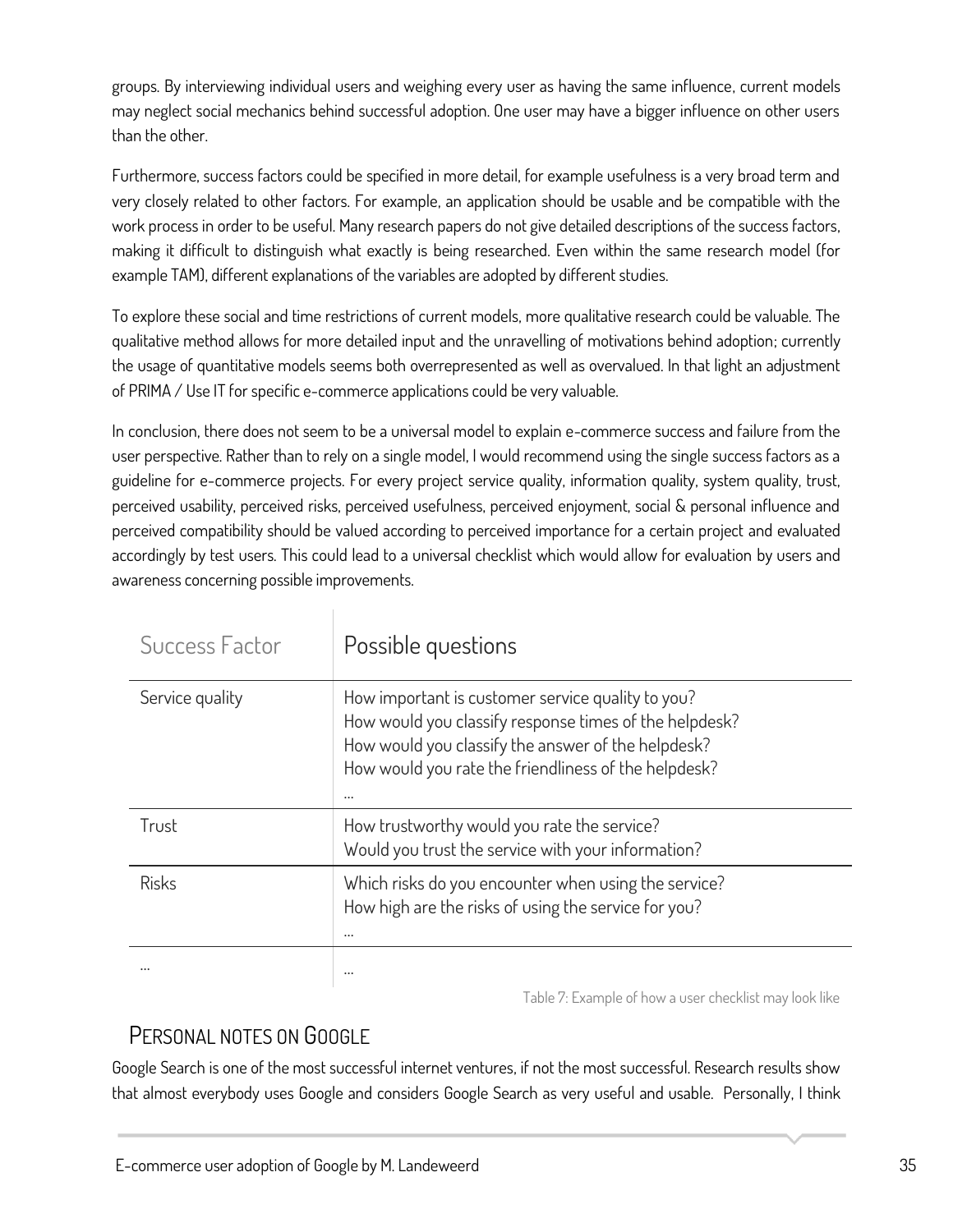groups. By interviewing individual users and weighing every user as having the same influence, current models may neglect social mechanics behind successful adoption. One user may have a bigger influence on other users than the other.

Furthermore, success factors could be specified in more detail, for example usefulness is a very broad term and very closely related to other factors. For example, an application should be usable and be compatible with the work process in order to be useful. Many research papers do not give detailed descriptions of the success factors, making it difficult to distinguish what exactly is being researched. Even within the same research model (for example TAM), different explanations of the variables are adopted by different studies.

To explore these social and time restrictions of current models, more qualitative research could be valuable. The qualitative method allows for more detailed input and the unravelling of motivations behind adoption; currently the usage of quantitative models seems both overrepresented as well as overvalued. In that light an adjustment of PRIMA / Use IT for specific e-commerce applications could be very valuable.

In conclusion, there does not seem to be a universal model to explain e-commerce success and failure from the user perspective. Rather than to rely on a single model, I would recommend using the single success factors as a guideline for e-commerce projects. For every project service quality, information quality, system quality, trust, perceived usability, perceived risks, perceived usefulness, perceived enjoyment, social & personal influence and perceived compatibility should be valued according to perceived importance for a certain project and evaluated accordingly by test users. This could lead to a universal checklist which would allow for evaluation by users and awareness concerning possible improvements.

| Success Factor  | Possible questions                                                                                                                                                                                                                    |
|-----------------|---------------------------------------------------------------------------------------------------------------------------------------------------------------------------------------------------------------------------------------|
| Service quality | How important is customer service quality to you?<br>How would you classify response times of the helpdesk?<br>How would you classify the answer of the helpdesk?<br>How would you rate the friendliness of the helpdesk?<br>$\cdots$ |
| Trust           | How trustworthy would you rate the service?<br>Would you trust the service with your information?                                                                                                                                     |
| <b>Risks</b>    | Which risks do you encounter when using the service?<br>How high are the risks of using the service for you?<br>$\cdots$                                                                                                              |
|                 | $\cdots$                                                                                                                                                                                                                              |

Table 7: Example of how a user checklist may look like

## PERSONAL NOTES ON GOOGLE

Google Search is one of the most successful internet ventures, if not the most successful. Research results show that almost everybody uses Google and considers Google Search as very useful and usable. Personally, I think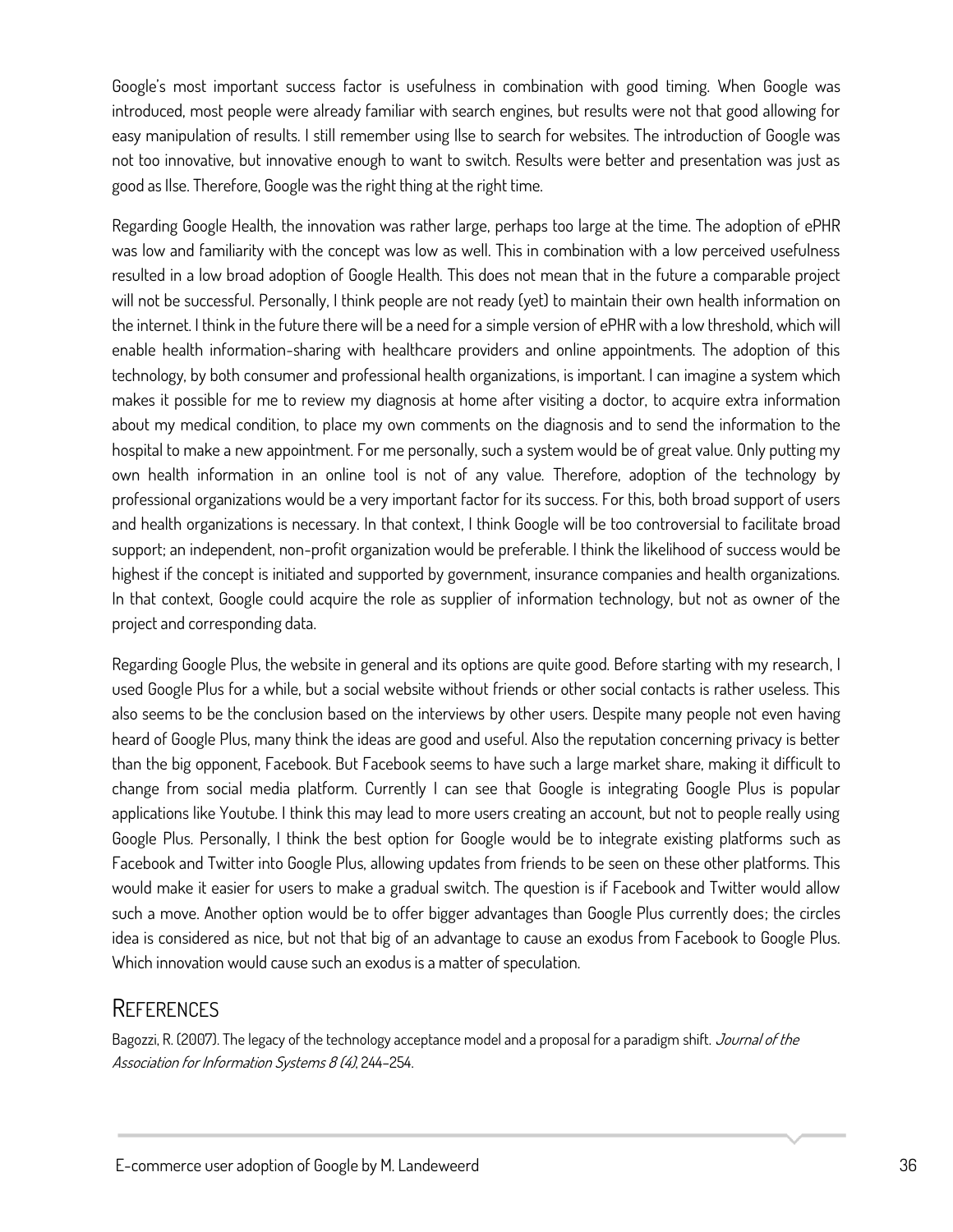Google's most important success factor is usefulness in combination with good timing. When Google was introduced, most people were already familiar with search engines, but results were not that good allowing for easy manipulation of results. I still remember using Ilse to search for websites. The introduction of Google was not too innovative, but innovative enough to want to switch. Results were better and presentation was just as good as Ilse. Therefore, Google was the right thing at the right time.

Regarding Google Health, the innovation was rather large, perhaps too large at the time. The adoption of ePHR was low and familiarity with the concept was low as well. This in combination with a low perceived usefulness resulted in a low broad adoption of Google Health. This does not mean that in the future a comparable project will not be successful. Personally, I think people are not ready (yet) to maintain their own health information on the internet. I think in the future there will be a need for a simple version of ePHR with a low threshold, which will enable health information-sharing with healthcare providers and online appointments. The adoption of this technology, by both consumer and professional health organizations, is important. I can imagine a system which makes it possible for me to review my diagnosis at home after visiting a doctor, to acquire extra information about my medical condition, to place my own comments on the diagnosis and to send the information to the hospital to make a new appointment. For me personally, such a system would be of great value. Only putting my own health information in an online tool is not of any value. Therefore, adoption of the technology by professional organizations would be a very important factor for its success. For this, both broad support of users and health organizations is necessary. In that context, I think Google will be too controversial to facilitate broad support; an independent, non-profit organization would be preferable. I think the likelihood of success would be highest if the concept is initiated and supported by government, insurance companies and health organizations. In that context, Google could acquire the role as supplier of information technology, but not as owner of the project and corresponding data.

Regarding Google Plus, the website in general and its options are quite good. Before starting with my research, I used Google Plus for a while, but a social website without friends or other social contacts is rather useless. This also seems to be the conclusion based on the interviews by other users. Despite many people not even having heard of Google Plus, many think the ideas are good and useful. Also the reputation concerning privacy is better than the big opponent, Facebook. But Facebook seems to have such a large market share, making it difficult to change from social media platform. Currently I can see that Google is integrating Google Plus is popular applications like Youtube. I think this may lead to more users creating an account, but not to people really using Google Plus. Personally, I think the best option for Google would be to integrate existing platforms such as Facebook and Twitter into Google Plus, allowing updates from friends to be seen on these other platforms. This would make it easier for users to make a gradual switch. The question is if Facebook and Twitter would allow such a move. Another option would be to offer bigger advantages than Google Plus currently does; the circles idea is considered as nice, but not that big of an advantage to cause an exodus from Facebook to Google Plus. Which innovation would cause such an exodus is a matter of speculation.

#### **REFERENCES**

Bagozzi, R. (2007). The legacy of the technology acceptance model and a proposal for a paradigm shift. *Journal of the* Association for Information Systems 8 (4), 244–254.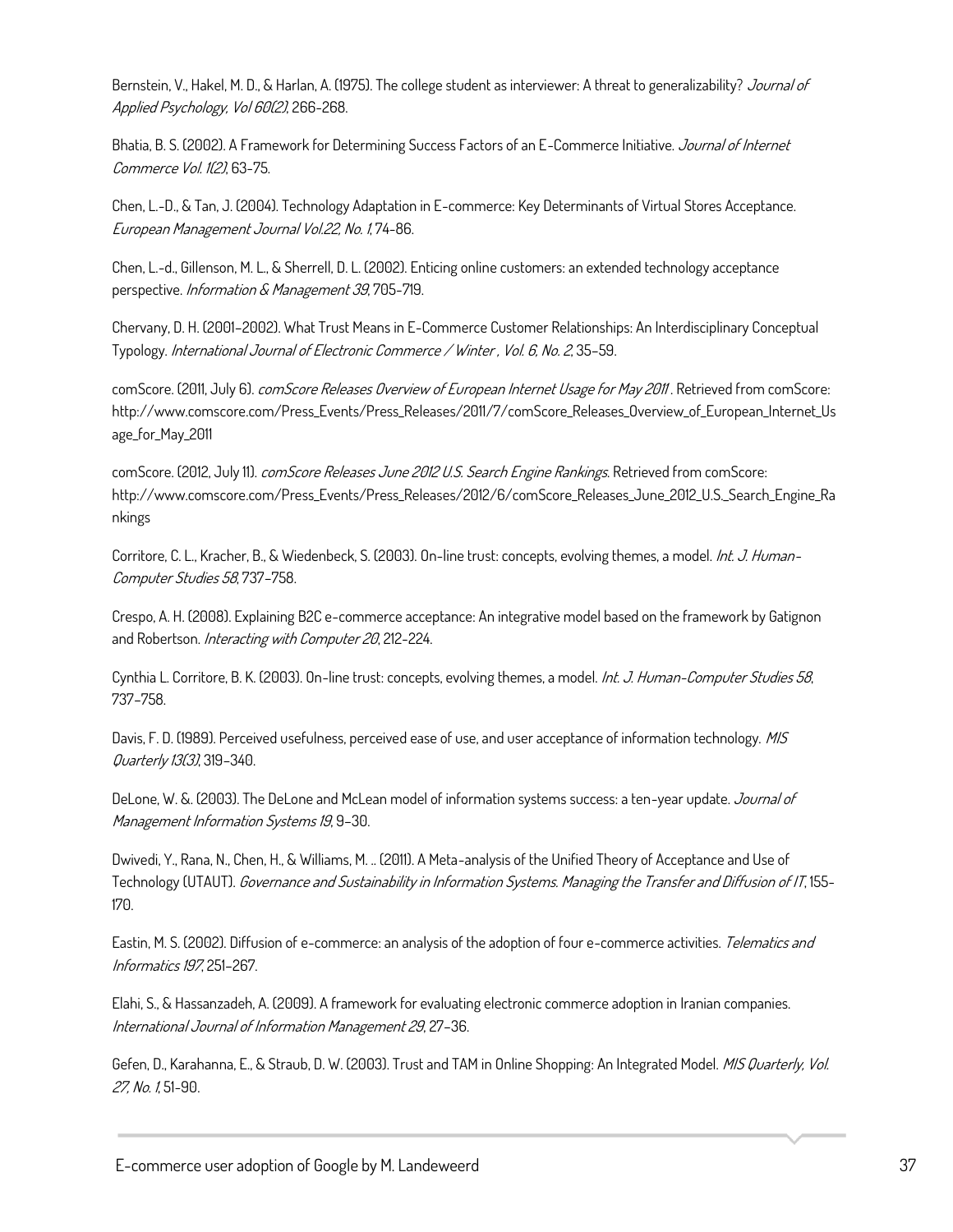Bernstein, V., Hakel, M. D., & Harlan, A. (1975). The college student as interviewer: A threat to generalizability? Journal of Applied Psychology, Vol 60(2), 266-268.

Bhatia, B. S. (2002). A Framework for Determining Success Factors of an E-Commerce Initiative. Journal of Internet Commerce Vol. 1(2), 63-75.

Chen, L.-D., & Tan, J. (2004). Technology Adaptation in E-commerce: Key Determinants of Virtual Stores Acceptance. European Management Journal Vol.22, No. 1, 74-86.

Chen, L.-d., Gillenson, M. L., & Sherrell, D. L. (2002). Enticing online customers: an extended technology acceptance perspective. Information & Management 39, 705-719.

Chervany, D. H. (2001–2002). What Trust Means in E-Commerce Customer Relationships: An Interdisciplinary Conceptual Typology. International Journal of Electronic Commerce / Winter , Vol. 6, No. 2, 35–59.

comScore. (2011, July 6). comScore Releases Overview of European Internet Usage for May 2011. Retrieved from comScore: http://www.comscore.com/Press\_Events/Press\_Releases/2011/7/comScore\_Releases\_Overview\_of\_European\_Internet\_Us age\_for\_May\_2011

comScore. (2012, July 11). *comScore Releases June 2012 U.S. Search Engine Rankings*. Retrieved from comScore: http://www.comscore.com/Press\_Events/Press\_Releases/2012/6/comScore\_Releases\_June\_2012\_U.S.\_Search\_Engine\_Ra nkings

Corritore, C. L., Kracher, B., & Wiedenbeck, S. (2003). On-line trust: concepts, evolving themes, a model. Int. J. Human-Computer Studies 58, 737–758.

Crespo, A. H. (2008). Explaining B2C e-commerce acceptance: An integrative model based on the framework by Gatignon and Robertson. Interacting with Computer 20, 212-224.

Cynthia L. Corritore, B. K. (2003). On-line trust: concepts, evolving themes, a model. Int. J. Human-Computer Studies 58, 737–758.

Davis, F. D. (1989). Perceived usefulness, perceived ease of use, and user acceptance of information technology. MIS Quarterly 13(3), 319–340.

DeLone, W. &. (2003). The DeLone and McLean model of information systems success: a ten-year update. *Journal of* Management Information Systems 19, 9–30.

Dwivedi, Y., Rana, N., Chen, H., & Williams, M. .. (2011). A Meta-analysis of the Unified Theory of Acceptance and Use of Technology (UTAUT). Governance and Sustainability in Information Systems. Managing the Transfer and Diffusion of IT, 155-170.

Eastin, M. S. (2002). Diffusion of e-commerce: an analysis of the adoption of four e-commerce activities. Telematics and Informatics 197, 251–267.

Elahi, S., & Hassanzadeh, A. (2009). A framework for evaluating electronic commerce adoption in Iranian companies. International Journal of Information Management 29, 27–36.

Gefen, D., Karahanna, E., & Straub, D. W. (2003). Trust and TAM in Online Shopping: An Integrated Model. MIS Quarterly, Vol. 27, No. 1, 51-90.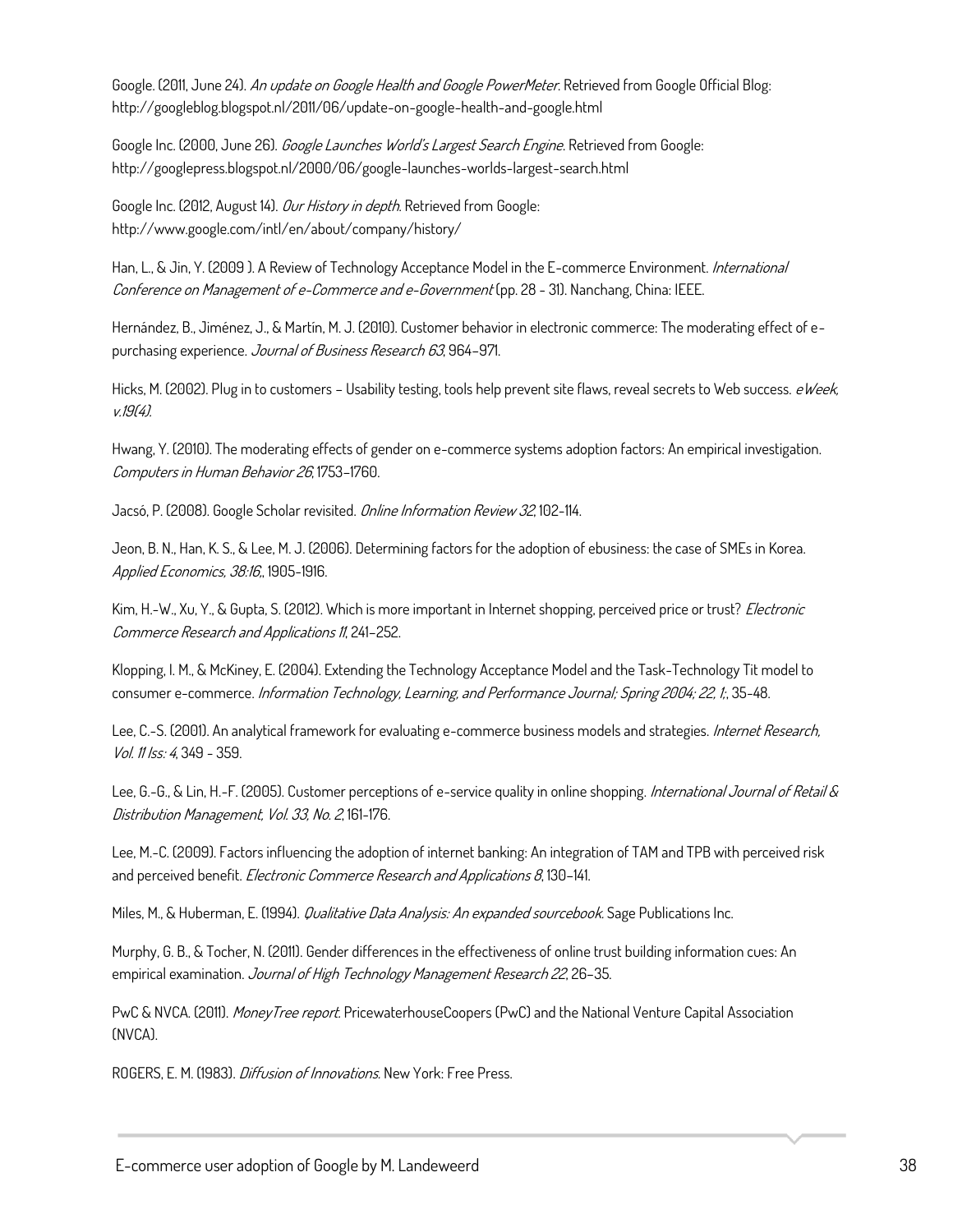Google. (2011, June 24). An update on Google Health and Google PowerMeter. Retrieved from Google Official Blog: http://googleblog.blogspot.nl/2011/06/update-on-google-health-and-google.html

Google Inc. (2000, June 26). Google Launches World's Largest Search Engine. Retrieved from Google: http://googlepress.blogspot.nl/2000/06/google-launches-worlds-largest-search.html

Google Inc. (2012, August 14). Our History in depth. Retrieved from Google: http://www.google.com/intl/en/about/company/history/

Han, L., & Jin, Y. (2009). A Review of Technology Acceptance Model in the E-commerce Environment. *International* Conference on Management of e-Commerce and e-Government (pp. 28 - 31). Nanchang, China: IEEE.

Hernández, B., Jiménez, J., & Martín, M. J. (2010). Customer behavior in electronic commerce: The moderating effect of epurchasing experience. Journal of Business Research 63, 964-971.

Hicks, M. (2002). Plug in to customers – Usability testing, tools help prevent site flaws, reveal secrets to Web success. *eWeek*, v.19(4).

Hwang, Y. (2010). The moderating effects of gender on e-commerce systems adoption factors: An empirical investigation. Computers in Human Behavior 26, 1753–1760.

Jacsó, P. (2008). Google Scholar revisited. Online Information Review 32, 102-114.

Jeon, B. N., Han, K. S., & Lee, M. J. (2006). Determining factors for the adoption of ebusiness: the case of SMEs in Korea. Applied Economics, 38:16,, 1905-1916.

Kim, H.-W., Xu, Y., & Gupta, S. (2012). Which is more important in Internet shopping, perceived price or trust? *Electronic* Commerce Research and Applications 11, 241–252.

Klopping, I. M., & McKiney, E. (2004). Extending the Technology Acceptance Model and the Task-Technology Tit model to consumer e-commerce. Information Technology, Learning, and Performance Journal; Spring 2004; 22, 1;, 35-48.

Lee, C.-S. (2001). An analytical framework for evaluating e-commerce business models and strategies. *Internet Research*, Vol. 11 Iss: 4, 349 - 359.

Lee, G.-G., & Lin, H.-F. (2005). Customer perceptions of e-service quality in online shopping. *International Journal of Retail &* Distribution Management, Vol. 33, No. 2, 161-176.

Lee, M.-C. (2009). Factors influencing the adoption of internet banking: An integration of TAM and TPB with perceived risk and perceived benefit. *Electronic Commerce Research and Applications 8*, 130-141.

Miles, M., & Huberman, E. (1994). *Qualitative Data Analysis: An expanded sourcebook*. Sage Publications Inc.

Murphy, G. B., & Tocher, N. (2011). Gender differences in the effectiveness of online trust building information cues: An empirical examination. Journal of High Technology Management Research 22, 26-35.

PwC & NVCA. (2011). MoneyTree report. PricewaterhouseCoopers (PwC) and the National Venture Capital Association (NVCA).

ROGERS, E. M. (1983). Diffusion of Innovations. New York: Free Press.